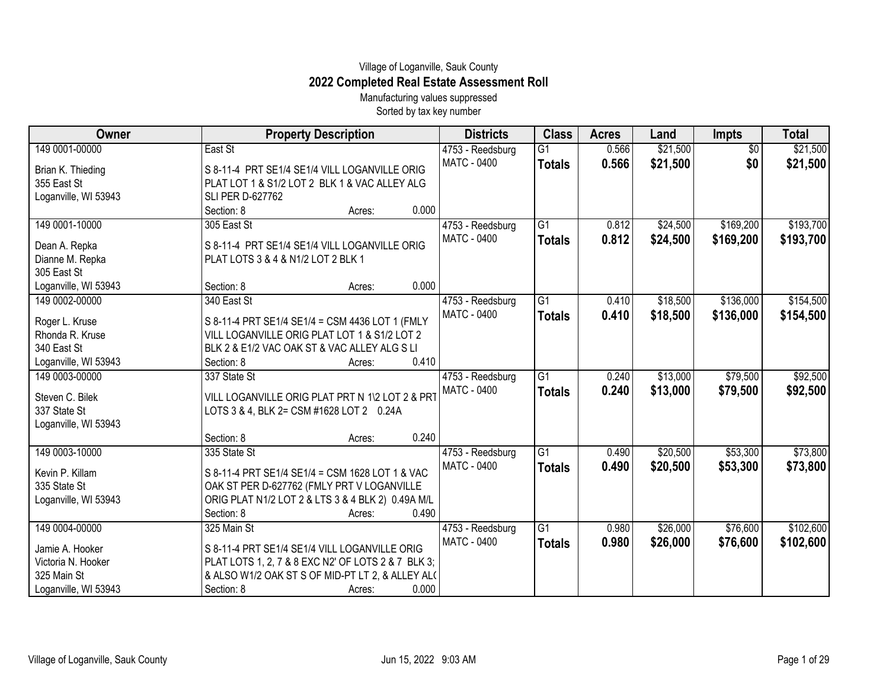## Village of Loganville, Sauk County **2022 Completed Real Estate Assessment Roll**

Manufacturing values suppressed Sorted by tax key number

| Owner                          | <b>Property Description</b>                        | <b>Districts</b> | <b>Class</b>    | <b>Acres</b> | Land     | <b>Impts</b>    | <b>Total</b> |
|--------------------------------|----------------------------------------------------|------------------|-----------------|--------------|----------|-----------------|--------------|
| 149 0001-00000                 | East St                                            | 4753 - Reedsburg | $\overline{G1}$ | 0.566        | \$21,500 | $\overline{50}$ | \$21,500     |
| Brian K. Thieding              | S 8-11-4 PRT SE1/4 SE1/4 VILL LOGANVILLE ORIG      | MATC - 0400      | <b>Totals</b>   | 0.566        | \$21,500 | \$0             | \$21,500     |
| 355 East St                    | PLAT LOT 1 & S1/2 LOT 2 BLK 1 & VAC ALLEY ALG      |                  |                 |              |          |                 |              |
| Loganville, WI 53943           | <b>SLI PER D-627762</b>                            |                  |                 |              |          |                 |              |
|                                | 0.000<br>Section: 8<br>Acres:                      |                  |                 |              |          |                 |              |
| 149 0001-10000                 | 305 East St                                        | 4753 - Reedsburg | G1              | 0.812        | \$24,500 | \$169,200       | \$193,700    |
|                                | S 8-11-4 PRT SE1/4 SE1/4 VILL LOGANVILLE ORIG      | MATC - 0400      | <b>Totals</b>   | 0.812        | \$24,500 | \$169,200       | \$193,700    |
| Dean A. Repka                  | PLAT LOTS 3 & 4 & N1/2 LOT 2 BLK 1                 |                  |                 |              |          |                 |              |
| Dianne M. Repka<br>305 East St |                                                    |                  |                 |              |          |                 |              |
| Loganville, WI 53943           | 0.000<br>Section: 8                                |                  |                 |              |          |                 |              |
|                                | Acres:                                             |                  |                 |              |          |                 |              |
| 149 0002-00000                 | 340 East St                                        | 4753 - Reedsburg | $\overline{G1}$ | 0.410        | \$18,500 | \$136,000       | \$154,500    |
| Roger L. Kruse                 | S 8-11-4 PRT SE1/4 SE1/4 = CSM 4436 LOT 1 (FMLY    | MATC - 0400      | <b>Totals</b>   | 0.410        | \$18,500 | \$136,000       | \$154,500    |
| Rhonda R. Kruse                | VILL LOGANVILLE ORIG PLAT LOT 1 & S1/2 LOT 2       |                  |                 |              |          |                 |              |
| 340 East St                    | BLK 2 & E1/2 VAC OAK ST & VAC ALLEY ALG S LI       |                  |                 |              |          |                 |              |
| Loganville, WI 53943           | 0.410<br>Section: 8<br>Acres:                      |                  |                 |              |          |                 |              |
| 149 0003-00000                 | 337 State St                                       | 4753 - Reedsburg | $\overline{G1}$ | 0.240        | \$13,000 | \$79,500        | \$92,500     |
|                                |                                                    | MATC - 0400      | <b>Totals</b>   | 0.240        | \$13,000 | \$79,500        | \$92,500     |
| Steven C. Bilek                | VILL LOGANVILLE ORIG PLAT PRT N 1\2 LOT 2 & PRT    |                  |                 |              |          |                 |              |
| 337 State St                   | LOTS 3 & 4, BLK 2= CSM #1628 LOT 2 0.24A           |                  |                 |              |          |                 |              |
| Loganville, WI 53943           | 0.240                                              |                  |                 |              |          |                 |              |
|                                | Section: 8<br>Acres:                               |                  |                 |              |          |                 |              |
| 149 0003-10000                 | 335 State St                                       | 4753 - Reedsburg | $\overline{G1}$ | 0.490        | \$20,500 | \$53,300        | \$73,800     |
| Kevin P. Killam                | S 8-11-4 PRT SE1/4 SE1/4 = CSM 1628 LOT 1 & VAC    | MATC - 0400      | <b>Totals</b>   | 0.490        | \$20,500 | \$53,300        | \$73,800     |
| 335 State St                   | OAK ST PER D-627762 (FMLY PRT V LOGANVILLE         |                  |                 |              |          |                 |              |
| Loganville, WI 53943           | ORIG PLAT N1/2 LOT 2 & LTS 3 & 4 BLK 2) 0.49A M/L  |                  |                 |              |          |                 |              |
|                                | 0.490<br>Section: 8<br>Acres:                      |                  |                 |              |          |                 |              |
| 149 0004-00000                 | 325 Main St                                        | 4753 - Reedsburg | $\overline{G1}$ | 0.980        | \$26,000 | \$76,600        | \$102,600    |
|                                |                                                    | MATC - 0400      | <b>Totals</b>   | 0.980        | \$26,000 | \$76,600        | \$102,600    |
| Jamie A. Hooker                | S 8-11-4 PRT SE1/4 SE1/4 VILL LOGANVILLE ORIG      |                  |                 |              |          |                 |              |
| Victoria N. Hooker             | PLAT LOTS 1, 2, 7 & 8 EXC N2' OF LOTS 2 & 7 BLK 3; |                  |                 |              |          |                 |              |
| 325 Main St                    | & ALSO W1/2 OAK ST S OF MID-PT LT 2, & ALLEY AL(   |                  |                 |              |          |                 |              |
| Loganville, WI 53943           | 0.000<br>Section: 8<br>Acres:                      |                  |                 |              |          |                 |              |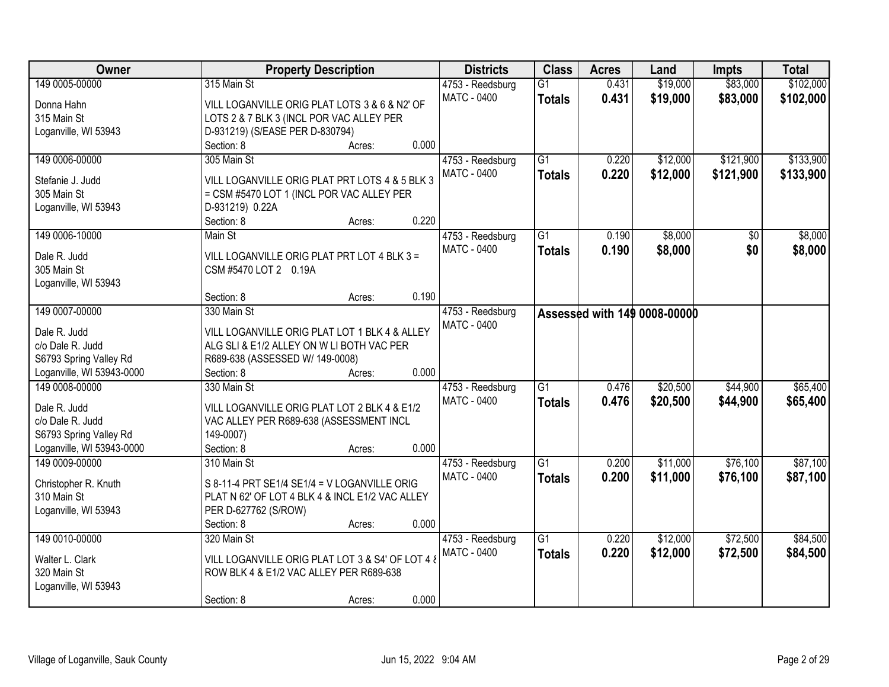| Owner                     | <b>Property Description</b>                      | <b>Districts</b>   | <b>Class</b>    | <b>Acres</b> | Land                                | <b>Impts</b> | <b>Total</b> |
|---------------------------|--------------------------------------------------|--------------------|-----------------|--------------|-------------------------------------|--------------|--------------|
| 149 0005-00000            | 315 Main St                                      | 4753 - Reedsburg   | $\overline{G1}$ | 0.431        | \$19,000                            | \$83,000     | \$102,000    |
| Donna Hahn                | VILL LOGANVILLE ORIG PLAT LOTS 3 & 6 & N2' OF    | <b>MATC - 0400</b> | <b>Totals</b>   | 0.431        | \$19,000                            | \$83,000     | \$102,000    |
| 315 Main St               | LOTS 2 & 7 BLK 3 (INCL POR VAC ALLEY PER         |                    |                 |              |                                     |              |              |
| Loganville, WI 53943      | D-931219) (S/EASE PER D-830794)                  |                    |                 |              |                                     |              |              |
|                           | Section: 8<br>Acres:                             | 0.000              |                 |              |                                     |              |              |
| 149 0006-00000            | 305 Main St                                      | 4753 - Reedsburg   | $\overline{G1}$ | 0.220        | \$12,000                            | \$121,900    | \$133,900    |
|                           |                                                  | MATC - 0400        | <b>Totals</b>   | 0.220        | \$12,000                            | \$121,900    | \$133,900    |
| Stefanie J. Judd          | VILL LOGANVILLE ORIG PLAT PRT LOTS 4 & 5 BLK 3   |                    |                 |              |                                     |              |              |
| 305 Main St               | = CSM #5470 LOT 1 (INCL POR VAC ALLEY PER        |                    |                 |              |                                     |              |              |
| Loganville, WI 53943      | D-931219) 0.22A                                  |                    |                 |              |                                     |              |              |
|                           | Section: 8<br>Acres:                             | 0.220              |                 |              |                                     |              |              |
| 149 0006-10000            | Main St                                          | 4753 - Reedsburg   | $\overline{G1}$ | 0.190        | \$8,000                             | \$0          | \$8,000      |
| Dale R. Judd              | VILL LOGANVILLE ORIG PLAT PRT LOT 4 BLK 3 =      | <b>MATC - 0400</b> | <b>Totals</b>   | 0.190        | \$8,000                             | \$0          | \$8,000      |
| 305 Main St               | CSM #5470 LOT 2 0.19A                            |                    |                 |              |                                     |              |              |
| Loganville, WI 53943      |                                                  |                    |                 |              |                                     |              |              |
|                           | Section: 8<br>Acres:                             | 0.190              |                 |              |                                     |              |              |
| 149 0007-00000            | 330 Main St                                      | 4753 - Reedsburg   |                 |              | <b>Assessed with 149 0008-00000</b> |              |              |
| Dale R. Judd              | VILL LOGANVILLE ORIG PLAT LOT 1 BLK 4 & ALLEY    | <b>MATC - 0400</b> |                 |              |                                     |              |              |
| c/o Dale R. Judd          | ALG SLI & E1/2 ALLEY ON W LI BOTH VAC PER        |                    |                 |              |                                     |              |              |
| S6793 Spring Valley Rd    | R689-638 (ASSESSED W/ 149-0008)                  |                    |                 |              |                                     |              |              |
| Loganville, WI 53943-0000 | Section: 8<br>Acres:                             | 0.000              |                 |              |                                     |              |              |
| 149 0008-00000            | 330 Main St                                      | 4753 - Reedsburg   | $\overline{G1}$ | 0.476        | \$20,500                            | \$44,900     | \$65,400     |
|                           |                                                  | MATC - 0400        |                 | 0.476        | \$20,500                            | \$44,900     | \$65,400     |
| Dale R. Judd              | VILL LOGANVILLE ORIG PLAT LOT 2 BLK 4 & E1/2     |                    | <b>Totals</b>   |              |                                     |              |              |
| c/o Dale R. Judd          | VAC ALLEY PER R689-638 (ASSESSMENT INCL          |                    |                 |              |                                     |              |              |
| S6793 Spring Valley Rd    | 149-0007)                                        |                    |                 |              |                                     |              |              |
| Loganville, WI 53943-0000 | Section: 8<br>Acres:                             | 0.000              |                 |              |                                     |              |              |
| 149 0009-00000            | 310 Main St                                      | 4753 - Reedsburg   | $\overline{G1}$ | 0.200        | \$11,000                            | \$76,100     | \$87,100     |
| Christopher R. Knuth      | S 8-11-4 PRT SE1/4 SE1/4 = V LOGANVILLE ORIG     | <b>MATC - 0400</b> | <b>Totals</b>   | 0.200        | \$11,000                            | \$76,100     | \$87,100     |
| 310 Main St               | PLAT N 62' OF LOT 4 BLK 4 & INCL E1/2 VAC ALLEY  |                    |                 |              |                                     |              |              |
| Loganville, WI 53943      | PER D-627762 (S/ROW)                             |                    |                 |              |                                     |              |              |
|                           | Section: 8<br>Acres:                             | 0.000              |                 |              |                                     |              |              |
| 149 0010-00000            | 320 Main St                                      | 4753 - Reedsburg   | $\overline{G1}$ | 0.220        | \$12,000                            | \$72,500     | \$84,500     |
|                           |                                                  | MATC - 0400        | <b>Totals</b>   | 0.220        | \$12,000                            | \$72,500     | \$84,500     |
| Walter L. Clark           | VILL LOGANVILLE ORIG PLAT LOT 3 & S4' OF LOT 4 & |                    |                 |              |                                     |              |              |
| 320 Main St               | ROW BLK 4 & E1/2 VAC ALLEY PER R689-638          |                    |                 |              |                                     |              |              |
| Loganville, WI 53943      |                                                  |                    |                 |              |                                     |              |              |
|                           | Section: 8<br>Acres:                             | 0.000              |                 |              |                                     |              |              |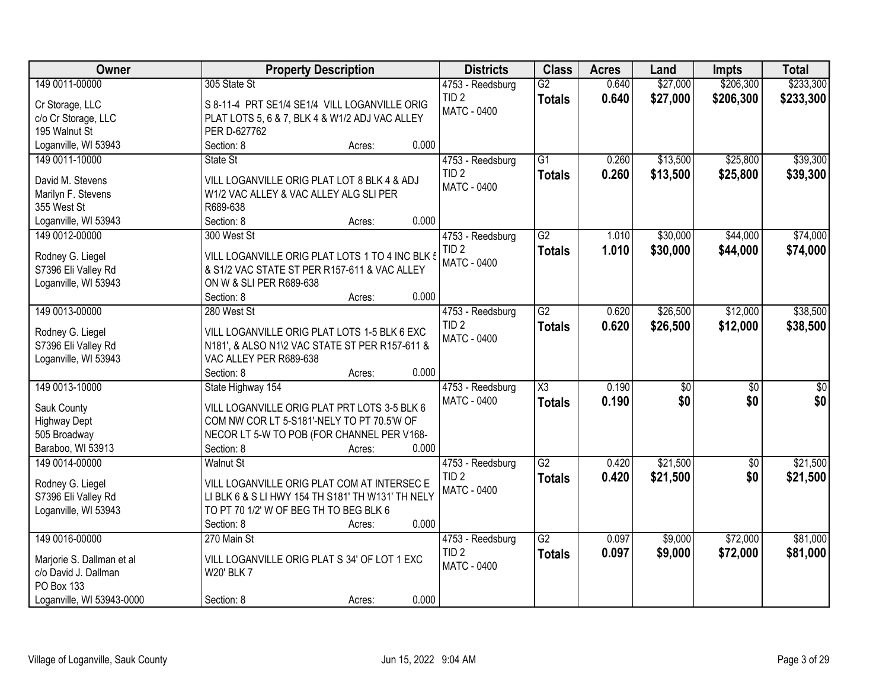| Owner                     | <b>Property Description</b>                       | <b>Districts</b>   | <b>Class</b>        | <b>Acres</b> | Land            | <b>Impts</b>    | <b>Total</b> |
|---------------------------|---------------------------------------------------|--------------------|---------------------|--------------|-----------------|-----------------|--------------|
| 149 0011-00000            | 305 State St                                      | 4753 - Reedsburg   | $\overline{G2}$     | 0.640        | \$27,000        | \$206,300       | \$233,300    |
| Cr Storage, LLC           | S 8-11-4 PRT SE1/4 SE1/4 VILL LOGANVILLE ORIG     | TID <sub>2</sub>   | <b>Totals</b>       | 0.640        | \$27,000        | \$206,300       | \$233,300    |
| c/o Cr Storage, LLC       | PLAT LOTS 5, 6 & 7, BLK 4 & W1/2 ADJ VAC ALLEY    | <b>MATC - 0400</b> |                     |              |                 |                 |              |
| 195 Walnut St             | PER D-627762                                      |                    |                     |              |                 |                 |              |
| Loganville, WI 53943      | 0.000<br>Section: 8<br>Acres:                     |                    |                     |              |                 |                 |              |
| 149 0011-10000            | State St                                          | 4753 - Reedsburg   | $\overline{G1}$     | 0.260        | \$13,500        | \$25,800        | \$39,300     |
|                           |                                                   | TID <sub>2</sub>   | <b>Totals</b>       | 0.260        | \$13,500        | \$25,800        | \$39,300     |
| David M. Stevens          | VILL LOGANVILLE ORIG PLAT LOT 8 BLK 4 & ADJ       | <b>MATC - 0400</b> |                     |              |                 |                 |              |
| Marilyn F. Stevens        | W1/2 VAC ALLEY & VAC ALLEY ALG SLI PER            |                    |                     |              |                 |                 |              |
| 355 West St               | R689-638                                          |                    |                     |              |                 |                 |              |
| Loganville, WI 53943      | 0.000<br>Section: 8<br>Acres:                     |                    |                     |              |                 |                 |              |
| 149 0012-00000            | 300 West St                                       | 4753 - Reedsburg   | $\overline{G2}$     | 1.010        | \$30,000        | \$44,000        | \$74,000     |
| Rodney G. Liegel          | VILL LOGANVILLE ORIG PLAT LOTS 1 TO 4 INC BLK 5   | TID <sub>2</sub>   | <b>Totals</b>       | 1.010        | \$30,000        | \$44,000        | \$74,000     |
| S7396 Eli Valley Rd       | & S1/2 VAC STATE ST PER R157-611 & VAC ALLEY      | <b>MATC - 0400</b> |                     |              |                 |                 |              |
| Loganville, WI 53943      | ON W & SLI PER R689-638                           |                    |                     |              |                 |                 |              |
|                           | 0.000<br>Section: 8<br>Acres:                     |                    |                     |              |                 |                 |              |
| 149 0013-00000            | 280 West St                                       | 4753 - Reedsburg   | $\overline{G2}$     | 0.620        | \$26,500        | \$12,000        | \$38,500     |
|                           |                                                   | TID <sub>2</sub>   | <b>Totals</b>       | 0.620        | \$26,500        | \$12,000        | \$38,500     |
| Rodney G. Liegel          | VILL LOGANVILLE ORIG PLAT LOTS 1-5 BLK 6 EXC      | <b>MATC - 0400</b> |                     |              |                 |                 |              |
| S7396 Eli Valley Rd       | N181', & ALSO N1\2 VAC STATE ST PER R157-611 &    |                    |                     |              |                 |                 |              |
| Loganville, WI 53943      | VAC ALLEY PER R689-638<br>0.000<br>Section: 8     |                    |                     |              |                 |                 |              |
|                           | Acres:                                            |                    | $\overline{\chi_3}$ |              |                 |                 |              |
| 149 0013-10000            | State Highway 154                                 | 4753 - Reedsburg   |                     | 0.190        | $\overline{50}$ | $\overline{50}$ | \$0          |
| Sauk County               | VILL LOGANVILLE ORIG PLAT PRT LOTS 3-5 BLK 6      | MATC - 0400        | <b>Totals</b>       | 0.190        | \$0             | \$0             | \$0          |
| <b>Highway Dept</b>       | COM NW COR LT 5-S181'-NELY TO PT 70.5'W OF        |                    |                     |              |                 |                 |              |
| 505 Broadway              | NECOR LT 5-W TO POB (FOR CHANNEL PER V168-        |                    |                     |              |                 |                 |              |
| Baraboo, WI 53913         | 0.000<br>Section: 8<br>Acres:                     |                    |                     |              |                 |                 |              |
| 149 0014-00000            | <b>Walnut St</b>                                  | 4753 - Reedsburg   | $\overline{G2}$     | 0.420        | \$21,500        | $\overline{60}$ | \$21,500     |
| Rodney G. Liegel          | VILL LOGANVILLE ORIG PLAT COM AT INTERSEC E       | TID <sub>2</sub>   | <b>Totals</b>       | 0.420        | \$21,500        | \$0             | \$21,500     |
| S7396 Eli Valley Rd       | LI BLK 6 & S LI HWY 154 TH S181' TH W131' TH NELY | <b>MATC - 0400</b> |                     |              |                 |                 |              |
| Loganville, WI 53943      | TO PT 70 1/2' W OF BEG TH TO BEG BLK 6            |                    |                     |              |                 |                 |              |
|                           | 0.000<br>Section: 8<br>Acres:                     |                    |                     |              |                 |                 |              |
| 149 0016-00000            | 270 Main St                                       | 4753 - Reedsburg   | $\overline{G2}$     | 0.097        | \$9,000         | \$72,000        | \$81,000     |
|                           |                                                   | TID <sub>2</sub>   |                     | 0.097        | \$9,000         | \$72,000        | \$81,000     |
| Marjorie S. Dallman et al | VILL LOGANVILLE ORIG PLAT S 34' OF LOT 1 EXC      | <b>MATC - 0400</b> | <b>Totals</b>       |              |                 |                 |              |
| c/o David J. Dallman      | <b>W20' BLK 7</b>                                 |                    |                     |              |                 |                 |              |
| PO Box 133                |                                                   |                    |                     |              |                 |                 |              |
| Loganville, WI 53943-0000 | 0.000<br>Section: 8<br>Acres:                     |                    |                     |              |                 |                 |              |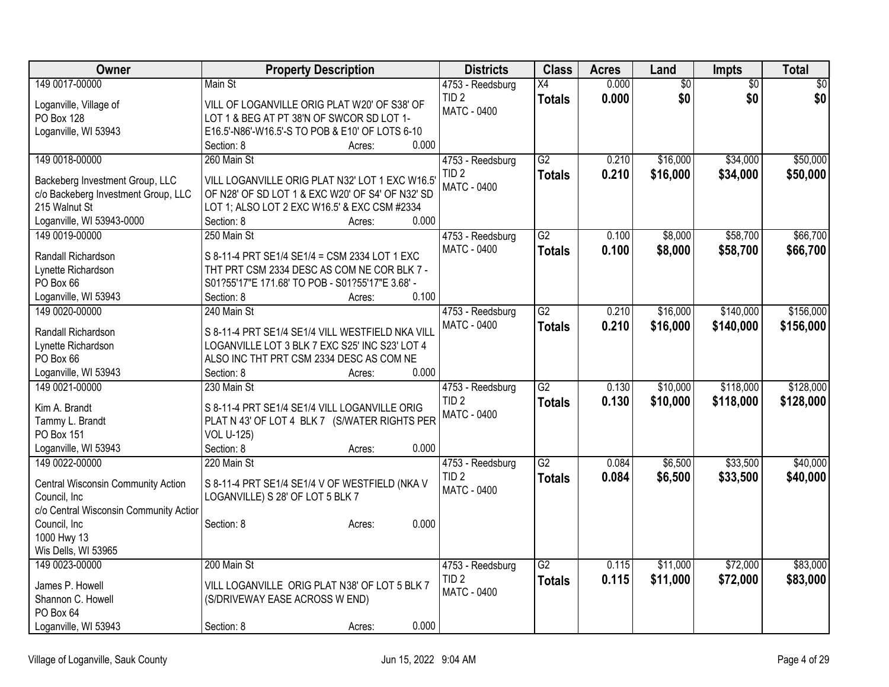| Owner                                              | <b>Property Description</b>                               | <b>Districts</b>                       | <b>Class</b>    | <b>Acres</b> | Land     | Impts           | <b>Total</b> |
|----------------------------------------------------|-----------------------------------------------------------|----------------------------------------|-----------------|--------------|----------|-----------------|--------------|
| 149 0017-00000                                     | Main St                                                   | 4753 - Reedsburg                       | $\overline{X4}$ | 0.000        | \$0      | $\overline{50}$ | $\sqrt{30}$  |
| Loganville, Village of                             | VILL OF LOGANVILLE ORIG PLAT W20' OF S38' OF              | TID <sub>2</sub>                       | <b>Totals</b>   | 0.000        | \$0      | \$0             | \$0          |
| PO Box 128                                         | LOT 1 & BEG AT PT 38'N OF SWCOR SD LOT 1-                 | <b>MATC - 0400</b>                     |                 |              |          |                 |              |
| Loganville, WI 53943                               | E16.5'-N86'-W16.5'-S TO POB & E10' OF LOTS 6-10           |                                        |                 |              |          |                 |              |
|                                                    | 0.000<br>Section: 8<br>Acres:                             |                                        |                 |              |          |                 |              |
| 149 0018-00000                                     | 260 Main St                                               | 4753 - Reedsburg                       | G2              | 0.210        | \$16,000 | \$34,000        | \$50,000     |
| Backeberg Investment Group, LLC                    | VILL LOGANVILLE ORIG PLAT N32' LOT 1 EXC W16.5'           | TID <sub>2</sub>                       | <b>Totals</b>   | 0.210        | \$16,000 | \$34,000        | \$50,000     |
| c/o Backeberg Investment Group, LLC                | OF N28' OF SD LOT 1 & EXC W20' OF S4' OF N32' SD          | <b>MATC - 0400</b>                     |                 |              |          |                 |              |
| 215 Walnut St                                      | LOT 1; ALSO LOT 2 EXC W16.5' & EXC CSM #2334              |                                        |                 |              |          |                 |              |
| Loganville, WI 53943-0000                          | 0.000<br>Section: 8<br>Acres:                             |                                        |                 |              |          |                 |              |
| 149 0019-00000                                     | 250 Main St                                               | 4753 - Reedsburg                       | $\overline{G2}$ | 0.100        | \$8,000  | \$58,700        | \$66,700     |
|                                                    |                                                           | MATC - 0400                            | <b>Totals</b>   | 0.100        | \$8,000  | \$58,700        | \$66,700     |
| Randall Richardson                                 | S 8-11-4 PRT SE1/4 SE1/4 = CSM 2334 LOT 1 EXC             |                                        |                 |              |          |                 |              |
| Lynette Richardson                                 | THT PRT CSM 2334 DESC AS COM NE COR BLK 7 -               |                                        |                 |              |          |                 |              |
| PO Box 66                                          | S01?55'17"E 171.68' TO POB - S01?55'17"E 3.68' -<br>0.100 |                                        |                 |              |          |                 |              |
| Loganville, WI 53943<br>149 0020-00000             | Section: 8<br>Acres:<br>240 Main St                       |                                        | $\overline{G2}$ | 0.210        | \$16,000 | \$140,000       | \$156,000    |
|                                                    |                                                           | 4753 - Reedsburg<br><b>MATC - 0400</b> |                 |              |          |                 |              |
| Randall Richardson                                 | S 8-11-4 PRT SE1/4 SE1/4 VILL WESTFIELD NKA VILL          |                                        | <b>Totals</b>   | 0.210        | \$16,000 | \$140,000       | \$156,000    |
| Lynette Richardson                                 | LOGANVILLE LOT 3 BLK 7 EXC S25' INC S23' LOT 4            |                                        |                 |              |          |                 |              |
| PO Box 66                                          | ALSO INC THT PRT CSM 2334 DESC AS COM NE                  |                                        |                 |              |          |                 |              |
| Loganville, WI 53943                               | 0.000<br>Section: 8<br>Acres:                             |                                        |                 |              |          |                 |              |
| 149 0021-00000                                     | 230 Main St                                               | 4753 - Reedsburg                       | $\overline{G2}$ | 0.130        | \$10,000 | \$118,000       | \$128,000    |
| Kim A. Brandt                                      | S 8-11-4 PRT SE1/4 SE1/4 VILL LOGANVILLE ORIG             | TID <sub>2</sub>                       | <b>Totals</b>   | 0.130        | \$10,000 | \$118,000       | \$128,000    |
| Tammy L. Brandt                                    | PLAT N 43' OF LOT 4 BLK 7 (S/WATER RIGHTS PER             | <b>MATC - 0400</b>                     |                 |              |          |                 |              |
| PO Box 151                                         | <b>VOL U-125)</b>                                         |                                        |                 |              |          |                 |              |
| Loganville, WI 53943                               | 0.000<br>Section: 8<br>Acres:                             |                                        |                 |              |          |                 |              |
| 149 0022-00000                                     | 220 Main St                                               | 4753 - Reedsburg                       | $\overline{G2}$ | 0.084        | \$6,500  | \$33,500        | \$40,000     |
|                                                    |                                                           | TID <sub>2</sub>                       | <b>Totals</b>   | 0.084        | \$6,500  | \$33,500        | \$40,000     |
| Central Wisconsin Community Action<br>Council, Inc | S 8-11-4 PRT SE1/4 SE1/4 V OF WESTFIELD (NKA V            | MATC - 0400                            |                 |              |          |                 |              |
| c/o Central Wisconsin Community Actior             | LOGANVILLE) S 28' OF LOT 5 BLK 7                          |                                        |                 |              |          |                 |              |
| Council, Inc                                       | 0.000<br>Section: 8<br>Acres:                             |                                        |                 |              |          |                 |              |
| 1000 Hwy 13                                        |                                                           |                                        |                 |              |          |                 |              |
| Wis Dells, WI 53965                                |                                                           |                                        |                 |              |          |                 |              |
| 149 0023-00000                                     | 200 Main St                                               | 4753 - Reedsburg                       | $\overline{G2}$ | 0.115        | \$11,000 | \$72,000        | \$83,000     |
|                                                    |                                                           | TID <sub>2</sub>                       | <b>Totals</b>   | 0.115        | \$11,000 | \$72,000        | \$83,000     |
| James P. Howell                                    | VILL LOGANVILLE ORIG PLAT N38' OF LOT 5 BLK 7             | <b>MATC - 0400</b>                     |                 |              |          |                 |              |
| Shannon C. Howell                                  | (S/DRIVEWAY EASE ACROSS W END)                            |                                        |                 |              |          |                 |              |
| PO Box 64                                          |                                                           |                                        |                 |              |          |                 |              |
| Loganville, WI 53943                               | 0.000<br>Section: 8<br>Acres:                             |                                        |                 |              |          |                 |              |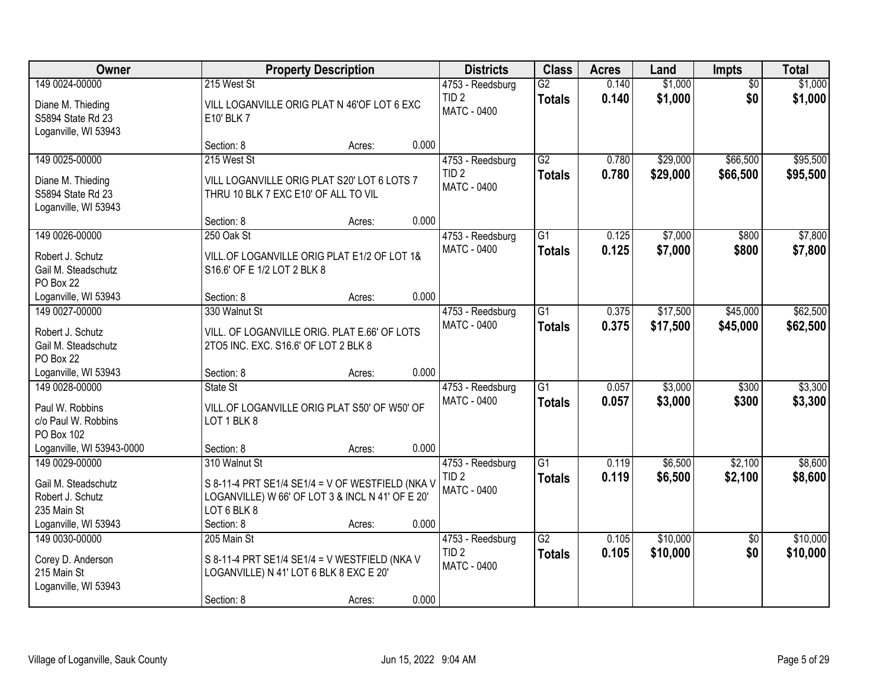| Owner                                                                                            |                                                                                                                                                    | <b>Property Description</b> |       |                                                            | <b>Class</b>                     | <b>Acres</b>   | Land               | <b>Impts</b>           | <b>Total</b>       |
|--------------------------------------------------------------------------------------------------|----------------------------------------------------------------------------------------------------------------------------------------------------|-----------------------------|-------|------------------------------------------------------------|----------------------------------|----------------|--------------------|------------------------|--------------------|
| 149 0024-00000<br>Diane M. Thieding<br>S5894 State Rd 23                                         | 215 West St<br>VILL LOGANVILLE ORIG PLAT N 46'OF LOT 6 EXC<br>E10' BLK 7                                                                           |                             |       | 4753 - Reedsburg<br>TID <sub>2</sub><br><b>MATC - 0400</b> | $\overline{G2}$<br><b>Totals</b> | 0.140<br>0.140 | \$1,000<br>\$1,000 | $\overline{50}$<br>\$0 | \$1,000<br>\$1,000 |
| Loganville, WI 53943                                                                             | Section: 8                                                                                                                                         | Acres:                      | 0.000 |                                                            |                                  |                |                    |                        |                    |
| 149 0025-00000                                                                                   | 215 West St                                                                                                                                        |                             |       | 4753 - Reedsburg                                           | G2                               | 0.780          | \$29,000           | \$66,500               | \$95,500           |
| Diane M. Thieding<br>S5894 State Rd 23<br>Loganville, WI 53943                                   | VILL LOGANVILLE ORIG PLAT S20' LOT 6 LOTS 7<br>THRU 10 BLK 7 EXC E10' OF ALL TO VIL                                                                |                             |       | TID <sub>2</sub><br>MATC - 0400                            | <b>Totals</b>                    | 0.780          | \$29,000           | \$66,500               | \$95,500           |
|                                                                                                  | Section: 8                                                                                                                                         | Acres:                      | 0.000 |                                                            |                                  |                |                    |                        |                    |
| 149 0026-00000                                                                                   | 250 Oak St                                                                                                                                         |                             |       | 4753 - Reedsburg                                           | G1                               | 0.125          | \$7,000            | \$800                  | \$7,800            |
| Robert J. Schutz<br>Gail M. Steadschutz<br>PO Box 22                                             | VILL.OF LOGANVILLE ORIG PLAT E1/2 OF LOT 1&<br>S16.6' OF E 1/2 LOT 2 BLK 8                                                                         |                             |       | MATC - 0400                                                | <b>Totals</b>                    | 0.125          | \$7,000            | \$800                  | \$7,800            |
| Loganville, WI 53943                                                                             | Section: 8                                                                                                                                         | Acres:                      | 0.000 |                                                            |                                  |                |                    |                        |                    |
| 149 0027-00000                                                                                   | 330 Walnut St                                                                                                                                      |                             |       | 4753 - Reedsburg                                           | G1                               | 0.375          | \$17,500           | \$45,000               | \$62,500           |
| Robert J. Schutz<br>Gail M. Steadschutz<br>PO Box 22                                             | VILL. OF LOGANVILLE ORIG. PLAT E.66' OF LOTS<br>2TO5 INC. EXC. S16.6' OF LOT 2 BLK 8                                                               |                             |       | MATC - 0400                                                | <b>Totals</b>                    | 0.375          | \$17,500           | \$45,000               | \$62,500           |
| Loganville, WI 53943                                                                             | Section: 8                                                                                                                                         | Acres:                      | 0.000 |                                                            |                                  |                |                    |                        |                    |
| 149 0028-00000<br>Paul W. Robbins<br>c/o Paul W. Robbins                                         | State St<br>VILL.OF LOGANVILLE ORIG PLAT S50' OF W50' OF<br>LOT 1 BLK 8                                                                            |                             |       | 4753 - Reedsburg<br><b>MATC - 0400</b>                     | $\overline{G1}$<br><b>Totals</b> | 0.057<br>0.057 | \$3,000<br>\$3,000 | \$300<br>\$300         | \$3,300<br>\$3,300 |
| PO Box 102                                                                                       |                                                                                                                                                    |                             |       |                                                            |                                  |                |                    |                        |                    |
| Loganville, WI 53943-0000                                                                        | Section: 8                                                                                                                                         | Acres:                      | 0.000 |                                                            |                                  |                |                    |                        |                    |
| 149 0029-00000<br>Gail M. Steadschutz<br>Robert J. Schutz<br>235 Main St<br>Loganville, WI 53943 | 310 Walnut St<br>S 8-11-4 PRT SE1/4 SE1/4 = V OF WESTFIELD (NKA V<br>LOGANVILLE) W 66' OF LOT 3 & INCL N 41' OF E 20'<br>LOT 6 BLK 8<br>Section: 8 | Acres:                      | 0.000 | 4753 - Reedsburg<br>TID <sub>2</sub><br>MATC - 0400        | $\overline{G1}$<br><b>Totals</b> | 0.119<br>0.119 | \$6,500<br>\$6,500 | \$2,100<br>\$2,100     | \$8,600<br>\$8,600 |
| 149 0030-00000                                                                                   | 205 Main St                                                                                                                                        |                             |       | 4753 - Reedsburg                                           | $\overline{G2}$                  | 0.105          | \$10,000           | $\overline{50}$        | \$10,000           |
| Corey D. Anderson<br>215 Main St<br>Loganville, WI 53943                                         | S 8-11-4 PRT SE1/4 SE1/4 = V WESTFIELD (NKA V<br>LOGANVILLE) N 41' LOT 6 BLK 8 EXC E 20'                                                           |                             | 0.000 | TID <sub>2</sub><br><b>MATC - 0400</b>                     | <b>Totals</b>                    | 0.105          | \$10,000           | \$0                    | \$10,000           |
|                                                                                                  | Section: 8                                                                                                                                         | Acres:                      |       |                                                            |                                  |                |                    |                        |                    |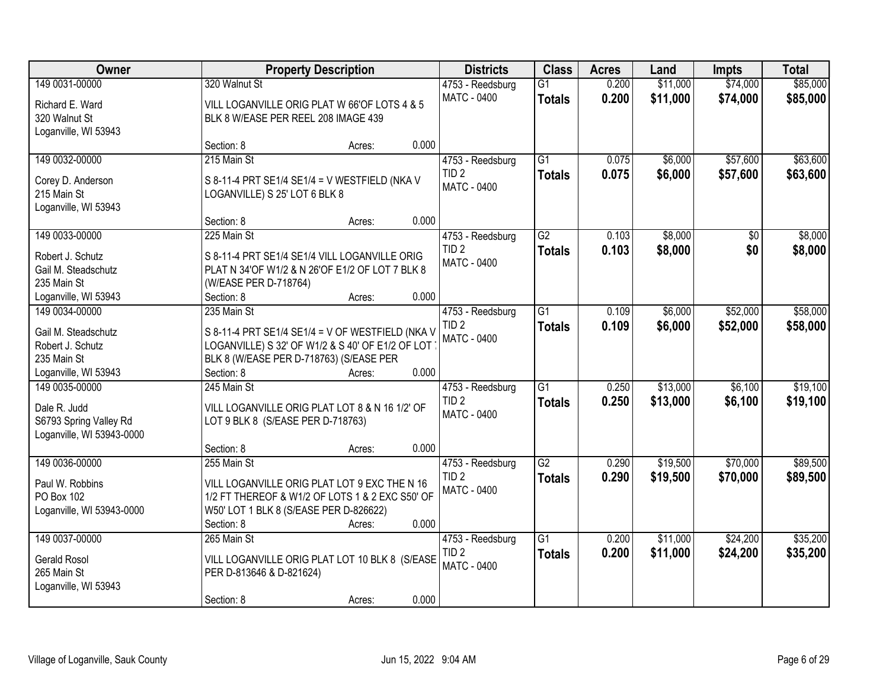| Owner                     |                                                  | <b>Property Description</b>                      |       |                    | <b>Class</b>    | <b>Acres</b> | Land     | <b>Impts</b> | <b>Total</b> |
|---------------------------|--------------------------------------------------|--------------------------------------------------|-------|--------------------|-----------------|--------------|----------|--------------|--------------|
| 149 0031-00000            | 320 Walnut St                                    |                                                  |       | 4753 - Reedsburg   | $\overline{G1}$ | 0.200        | \$11,000 | \$74,000     | \$85,000     |
| Richard E. Ward           |                                                  | VILL LOGANVILLE ORIG PLAT W 66'OF LOTS 4 & 5     |       | MATC - 0400        | <b>Totals</b>   | 0.200        | \$11,000 | \$74,000     | \$85,000     |
| 320 Walnut St             | BLK 8 W/EASE PER REEL 208 IMAGE 439              |                                                  |       |                    |                 |              |          |              |              |
| Loganville, WI 53943      |                                                  |                                                  |       |                    |                 |              |          |              |              |
|                           | Section: 8                                       | Acres:                                           | 0.000 |                    |                 |              |          |              |              |
| 149 0032-00000            | 215 Main St                                      |                                                  |       | 4753 - Reedsburg   | $\overline{G1}$ | 0.075        | \$6,000  | \$57,600     | \$63,600     |
| Corey D. Anderson         | S 8-11-4 PRT SE1/4 SE1/4 = V WESTFIELD (NKA V    |                                                  |       | TID <sub>2</sub>   | <b>Totals</b>   | 0.075        | \$6,000  | \$57,600     | \$63,600     |
| 215 Main St               | LOGANVILLE) S 25' LOT 6 BLK 8                    |                                                  |       | MATC - 0400        |                 |              |          |              |              |
| Loganville, WI 53943      |                                                  |                                                  |       |                    |                 |              |          |              |              |
|                           | Section: 8                                       | Acres:                                           | 0.000 |                    |                 |              |          |              |              |
| 149 0033-00000            | 225 Main St                                      |                                                  |       | 4753 - Reedsburg   | $\overline{G2}$ | 0.103        | \$8,000  | $\sqrt{6}$   | \$8,000      |
| Robert J. Schutz          | S 8-11-4 PRT SE1/4 SE1/4 VILL LOGANVILLE ORIG    |                                                  |       | TID <sub>2</sub>   | <b>Totals</b>   | 0.103        | \$8,000  | \$0          | \$8,000      |
| Gail M. Steadschutz       | PLAT N 34'OF W1/2 & N 26'OF E1/2 OF LOT 7 BLK 8  |                                                  |       | MATC - 0400        |                 |              |          |              |              |
| 235 Main St               | (W/EASE PER D-718764)                            |                                                  |       |                    |                 |              |          |              |              |
| Loganville, WI 53943      | Section: 8                                       | Acres:                                           | 0.000 |                    |                 |              |          |              |              |
| 149 0034-00000            | 235 Main St                                      |                                                  |       | 4753 - Reedsburg   | $\overline{G1}$ | 0.109        | \$6,000  | \$52,000     | \$58,000     |
| Gail M. Steadschutz       | S 8-11-4 PRT SE1/4 SE1/4 = V OF WESTFIELD (NKA V |                                                  |       | TID <sub>2</sub>   | <b>Totals</b>   | 0.109        | \$6,000  | \$52,000     | \$58,000     |
| Robert J. Schutz          |                                                  | LOGANVILLE) S 32' OF W1/2 & S 40' OF E1/2 OF LOT |       | <b>MATC - 0400</b> |                 |              |          |              |              |
| 235 Main St               | BLK 8 (W/EASE PER D-718763) (S/EASE PER          |                                                  |       |                    |                 |              |          |              |              |
| Loganville, WI 53943      | Section: 8                                       | Acres:                                           | 0.000 |                    |                 |              |          |              |              |
| 149 0035-00000            | 245 Main St                                      |                                                  |       | 4753 - Reedsburg   | $\overline{G1}$ | 0.250        | \$13,000 | \$6,100      | \$19,100     |
| Dale R. Judd              |                                                  | VILL LOGANVILLE ORIG PLAT LOT 8 & N 16 1/2' OF   |       | TID <sub>2</sub>   | <b>Totals</b>   | 0.250        | \$13,000 | \$6,100      | \$19,100     |
| S6793 Spring Valley Rd    | LOT 9 BLK 8 (S/EASE PER D-718763)                |                                                  |       | MATC - 0400        |                 |              |          |              |              |
| Loganville, WI 53943-0000 |                                                  |                                                  |       |                    |                 |              |          |              |              |
|                           | Section: 8                                       | Acres:                                           | 0.000 |                    |                 |              |          |              |              |
| 149 0036-00000            | 255 Main St                                      |                                                  |       | 4753 - Reedsburg   | $\overline{G2}$ | 0.290        | \$19,500 | \$70,000     | \$89,500     |
| Paul W. Robbins           |                                                  | VILL LOGANVILLE ORIG PLAT LOT 9 EXC THE N 16     |       | TID <sub>2</sub>   | <b>Totals</b>   | 0.290        | \$19,500 | \$70,000     | \$89,500     |
| PO Box 102                |                                                  | 1/2 FT THEREOF & W1/2 OF LOTS 1 & 2 EXC S50' OF  |       | MATC - 0400        |                 |              |          |              |              |
| Loganville, WI 53943-0000 | W50' LOT 1 BLK 8 (S/EASE PER D-826622)           |                                                  |       |                    |                 |              |          |              |              |
|                           | Section: 8                                       | Acres:                                           | 0.000 |                    |                 |              |          |              |              |
| 149 0037-00000            | 265 Main St                                      |                                                  |       | 4753 - Reedsburg   | $\overline{G1}$ | 0.200        | \$11,000 | \$24,200     | \$35,200     |
| <b>Gerald Rosol</b>       |                                                  | VILL LOGANVILLE ORIG PLAT LOT 10 BLK 8 (S/EASE   |       | TID <sub>2</sub>   | <b>Totals</b>   | 0.200        | \$11,000 | \$24,200     | \$35,200     |
| 265 Main St               | PER D-813646 & D-821624)                         |                                                  |       | <b>MATC - 0400</b> |                 |              |          |              |              |
| Loganville, WI 53943      |                                                  |                                                  |       |                    |                 |              |          |              |              |
|                           | Section: 8                                       | Acres:                                           | 0.000 |                    |                 |              |          |              |              |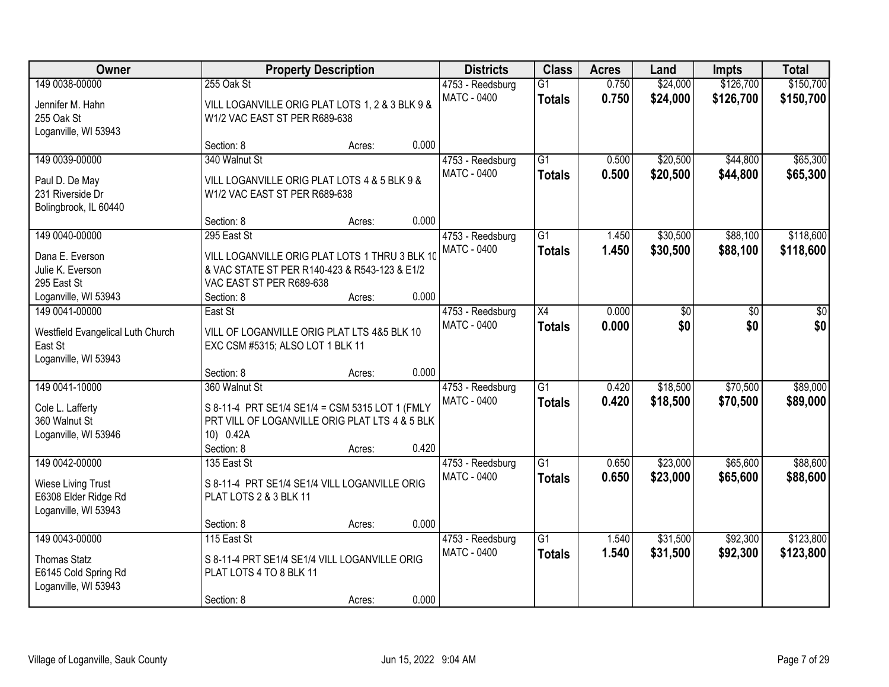| Owner                                             | <b>Property Description</b>                                             |        |       | <b>Districts</b>   | <b>Class</b>    | <b>Acres</b> | Land            | <b>Impts</b> | <b>Total</b> |
|---------------------------------------------------|-------------------------------------------------------------------------|--------|-------|--------------------|-----------------|--------------|-----------------|--------------|--------------|
| 149 0038-00000                                    | 255 Oak St                                                              |        |       | 4753 - Reedsburg   | $\overline{G1}$ | 0.750        | \$24,000        | \$126,700    | \$150,700    |
| Jennifer M. Hahn                                  | VILL LOGANVILLE ORIG PLAT LOTS 1, 2 & 3 BLK 9 &                         |        |       | <b>MATC - 0400</b> | <b>Totals</b>   | 0.750        | \$24,000        | \$126,700    | \$150,700    |
| 255 Oak St                                        | W1/2 VAC EAST ST PER R689-638                                           |        |       |                    |                 |              |                 |              |              |
| Loganville, WI 53943                              |                                                                         |        |       |                    |                 |              |                 |              |              |
|                                                   | Section: 8                                                              | Acres: | 0.000 |                    |                 |              |                 |              |              |
| 149 0039-00000                                    | 340 Walnut St                                                           |        |       | 4753 - Reedsburg   | $\overline{G1}$ | 0.500        | \$20,500        | \$44,800     | \$65,300     |
| Paul D. De May                                    | VILL LOGANVILLE ORIG PLAT LOTS 4 & 5 BLK 9 &                            |        |       | MATC - 0400        | <b>Totals</b>   | 0.500        | \$20,500        | \$44,800     | \$65,300     |
| 231 Riverside Dr                                  | W1/2 VAC EAST ST PER R689-638                                           |        |       |                    |                 |              |                 |              |              |
| Bolingbrook, IL 60440                             |                                                                         |        |       |                    |                 |              |                 |              |              |
|                                                   | Section: 8                                                              | Acres: | 0.000 |                    |                 |              |                 |              |              |
| 149 0040-00000                                    | 295 East St                                                             |        |       | 4753 - Reedsburg   | $\overline{G1}$ | 1.450        | \$30,500        | \$88,100     | \$118,600    |
| Dana E. Everson                                   | VILL LOGANVILLE ORIG PLAT LOTS 1 THRU 3 BLK 10                          |        |       | MATC - 0400        | <b>Totals</b>   | 1.450        | \$30,500        | \$88,100     | \$118,600    |
| Julie K. Everson                                  | & VAC STATE ST PER R140-423 & R543-123 & E1/2                           |        |       |                    |                 |              |                 |              |              |
| 295 East St                                       | VAC EAST ST PER R689-638                                                |        |       |                    |                 |              |                 |              |              |
| Loganville, WI 53943                              | Section: 8                                                              | Acres: | 0.000 |                    |                 |              |                 |              |              |
| 149 0041-00000                                    | East St                                                                 |        |       | 4753 - Reedsburg   | $\overline{X4}$ | 0.000        | $\overline{30}$ | \$0          | \$0          |
| Westfield Evangelical Luth Church                 | VILL OF LOGANVILLE ORIG PLAT LTS 4&5 BLK 10                             |        |       | <b>MATC - 0400</b> | <b>Totals</b>   | 0.000        | \$0             | \$0          | \$0          |
| East St                                           | EXC CSM #5315; ALSO LOT 1 BLK 11                                        |        |       |                    |                 |              |                 |              |              |
| Loganville, WI 53943                              |                                                                         |        |       |                    |                 |              |                 |              |              |
|                                                   | Section: 8                                                              | Acres: | 0.000 |                    |                 |              |                 |              |              |
| 149 0041-10000                                    | 360 Walnut St                                                           |        |       | 4753 - Reedsburg   | $\overline{G1}$ | 0.420        | \$18,500        | \$70,500     | \$89,000     |
|                                                   | S 8-11-4 PRT SE1/4 SE1/4 = CSM 5315 LOT 1 (FMLY                         |        |       | <b>MATC - 0400</b> | <b>Totals</b>   | 0.420        | \$18,500        | \$70,500     | \$89,000     |
| Cole L. Lafferty<br>360 Walnut St                 | PRT VILL OF LOGANVILLE ORIG PLAT LTS 4 & 5 BLK                          |        |       |                    |                 |              |                 |              |              |
| Loganville, WI 53946                              | 10) 0.42A                                                               |        |       |                    |                 |              |                 |              |              |
|                                                   | Section: 8                                                              | Acres: | 0.420 |                    |                 |              |                 |              |              |
| 149 0042-00000                                    | 135 East St                                                             |        |       | 4753 - Reedsburg   | $\overline{G1}$ | 0.650        | \$23,000        | \$65,600     | \$88,600     |
|                                                   |                                                                         |        |       | <b>MATC - 0400</b> | <b>Totals</b>   | 0.650        | \$23,000        | \$65,600     | \$88,600     |
| <b>Wiese Living Trust</b><br>E6308 Elder Ridge Rd | S 8-11-4 PRT SE1/4 SE1/4 VILL LOGANVILLE ORIG<br>PLAT LOTS 2 & 3 BLK 11 |        |       |                    |                 |              |                 |              |              |
| Loganville, WI 53943                              |                                                                         |        |       |                    |                 |              |                 |              |              |
|                                                   | Section: 8                                                              | Acres: | 0.000 |                    |                 |              |                 |              |              |
| 149 0043-00000                                    | 115 East St                                                             |        |       | 4753 - Reedsburg   | $\overline{G1}$ | 1.540        | \$31,500        | \$92,300     | \$123,800    |
|                                                   |                                                                         |        |       | <b>MATC - 0400</b> | <b>Totals</b>   | 1.540        | \$31,500        | \$92,300     | \$123,800    |
| <b>Thomas Statz</b>                               | S 8-11-4 PRT SE1/4 SE1/4 VILL LOGANVILLE ORIG                           |        |       |                    |                 |              |                 |              |              |
| E6145 Cold Spring Rd<br>Loganville, WI 53943      | PLAT LOTS 4 TO 8 BLK 11                                                 |        |       |                    |                 |              |                 |              |              |
|                                                   | Section: 8                                                              | Acres: | 0.000 |                    |                 |              |                 |              |              |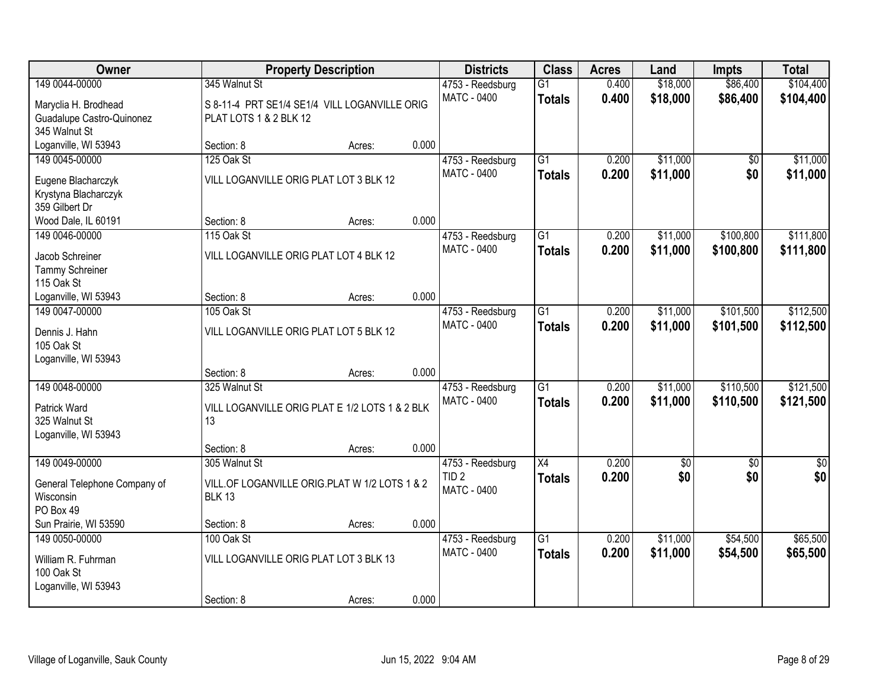| <b>Owner</b>                 |                                                | <b>Property Description</b> |       |                    | <b>Class</b>    | <b>Acres</b> | Land            | <b>Impts</b>    | <b>Total</b> |
|------------------------------|------------------------------------------------|-----------------------------|-------|--------------------|-----------------|--------------|-----------------|-----------------|--------------|
| 149 0044-00000               | 345 Walnut St                                  |                             |       | 4753 - Reedsburg   | $\overline{G1}$ | 0.400        | \$18,000        | \$86,400        | \$104,400    |
| Maryclia H. Brodhead         | S 8-11-4 PRT SE1/4 SE1/4 VILL LOGANVILLE ORIG  |                             |       | MATC - 0400        | <b>Totals</b>   | 0.400        | \$18,000        | \$86,400        | \$104,400    |
| Guadalupe Castro-Quinonez    | PLAT LOTS 1 & 2 BLK 12                         |                             |       |                    |                 |              |                 |                 |              |
| 345 Walnut St                |                                                |                             |       |                    |                 |              |                 |                 |              |
| Loganville, WI 53943         | Section: 8                                     | Acres:                      | 0.000 |                    |                 |              |                 |                 |              |
| 149 0045-00000               | 125 Oak St                                     |                             |       | 4753 - Reedsburg   | $\overline{G1}$ | 0.200        | \$11,000        | $\overline{50}$ | \$11,000     |
| Eugene Blacharczyk           | VILL LOGANVILLE ORIG PLAT LOT 3 BLK 12         |                             |       | MATC - 0400        | <b>Totals</b>   | 0.200        | \$11,000        | \$0             | \$11,000     |
| Krystyna Blacharczyk         |                                                |                             |       |                    |                 |              |                 |                 |              |
| 359 Gilbert Dr               |                                                |                             |       |                    |                 |              |                 |                 |              |
| Wood Dale, IL 60191          | Section: 8                                     | Acres:                      | 0.000 |                    |                 |              |                 |                 |              |
| 149 0046-00000               | 115 Oak St                                     |                             |       | 4753 - Reedsburg   | $\overline{G1}$ | 0.200        | \$11,000        | \$100,800       | \$111,800    |
| Jacob Schreiner              | VILL LOGANVILLE ORIG PLAT LOT 4 BLK 12         |                             |       | <b>MATC - 0400</b> | <b>Totals</b>   | 0.200        | \$11,000        | \$100,800       | \$111,800    |
| Tammy Schreiner              |                                                |                             |       |                    |                 |              |                 |                 |              |
| 115 Oak St                   |                                                |                             |       |                    |                 |              |                 |                 |              |
| Loganville, WI 53943         | Section: 8                                     | Acres:                      | 0.000 |                    |                 |              |                 |                 |              |
| 149 0047-00000               | 105 Oak St                                     |                             |       | 4753 - Reedsburg   | $\overline{G1}$ | 0.200        | \$11,000        | \$101,500       | \$112,500    |
| Dennis J. Hahn               | VILL LOGANVILLE ORIG PLAT LOT 5 BLK 12         |                             |       | <b>MATC - 0400</b> | <b>Totals</b>   | 0.200        | \$11,000        | \$101,500       | \$112,500    |
| 105 Oak St                   |                                                |                             |       |                    |                 |              |                 |                 |              |
| Loganville, WI 53943         |                                                |                             |       |                    |                 |              |                 |                 |              |
|                              | Section: 8                                     | Acres:                      | 0.000 |                    |                 |              |                 |                 |              |
| 149 0048-00000               | 325 Walnut St                                  |                             |       | 4753 - Reedsburg   | $\overline{G1}$ | 0.200        | \$11,000        | \$110,500       | \$121,500    |
| Patrick Ward                 | VILL LOGANVILLE ORIG PLAT E 1/2 LOTS 1 & 2 BLK |                             |       | <b>MATC - 0400</b> | <b>Totals</b>   | 0.200        | \$11,000        | \$110,500       | \$121,500    |
| 325 Walnut St                | 13                                             |                             |       |                    |                 |              |                 |                 |              |
| Loganville, WI 53943         |                                                |                             |       |                    |                 |              |                 |                 |              |
|                              | Section: 8                                     | Acres:                      | 0.000 |                    |                 |              |                 |                 |              |
| 149 0049-00000               | 305 Walnut St                                  |                             |       | 4753 - Reedsburg   | X4              | 0.200        | $\overline{50}$ | $\overline{50}$ | $\sqrt{50}$  |
| General Telephone Company of | VILL.OF LOGANVILLE ORIG.PLAT W 1/2 LOTS 1 & 2  |                             |       | TID <sub>2</sub>   | <b>Totals</b>   | 0.200        | \$0             | \$0             | \$0          |
| Wisconsin                    | <b>BLK 13</b>                                  |                             |       | MATC - 0400        |                 |              |                 |                 |              |
| PO Box 49                    |                                                |                             |       |                    |                 |              |                 |                 |              |
| Sun Prairie, WI 53590        | Section: 8                                     | Acres:                      | 0.000 |                    |                 |              |                 |                 |              |
| 149 0050-00000               | 100 Oak St                                     |                             |       | 4753 - Reedsburg   | $\overline{G1}$ | 0.200        | \$11,000        | \$54,500        | \$65,500     |
| William R. Fuhrman           | VILL LOGANVILLE ORIG PLAT LOT 3 BLK 13         |                             |       | <b>MATC - 0400</b> | <b>Totals</b>   | 0.200        | \$11,000        | \$54,500        | \$65,500     |
| 100 Oak St                   |                                                |                             |       |                    |                 |              |                 |                 |              |
| Loganville, WI 53943         |                                                |                             |       |                    |                 |              |                 |                 |              |
|                              | Section: 8                                     | Acres:                      | 0.000 |                    |                 |              |                 |                 |              |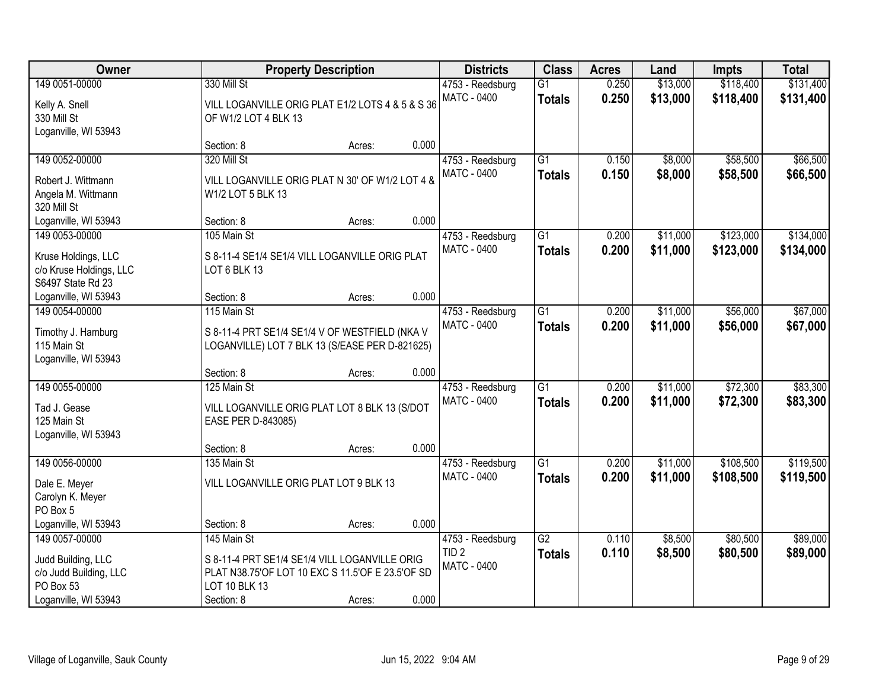| <b>Owner</b>            |                                                  | <b>Property Description</b> |       |                    | <b>Class</b>    | <b>Acres</b> | Land     | <b>Impts</b> | <b>Total</b> |
|-------------------------|--------------------------------------------------|-----------------------------|-------|--------------------|-----------------|--------------|----------|--------------|--------------|
| 149 0051-00000          | 330 Mill St                                      |                             |       | 4753 - Reedsburg   | $\overline{G1}$ | 0.250        | \$13,000 | \$118,400    | \$131,400    |
| Kelly A. Snell          | VILL LOGANVILLE ORIG PLAT E1/2 LOTS 4 & 5 & S 36 |                             |       | <b>MATC - 0400</b> | <b>Totals</b>   | 0.250        | \$13,000 | \$118,400    | \$131,400    |
| 330 Mill St             | OF W1/2 LOT 4 BLK 13                             |                             |       |                    |                 |              |          |              |              |
| Loganville, WI 53943    |                                                  |                             |       |                    |                 |              |          |              |              |
|                         | Section: 8                                       | Acres:                      | 0.000 |                    |                 |              |          |              |              |
| 149 0052-00000          | 320 Mill St                                      |                             |       | 4753 - Reedsburg   | $\overline{G1}$ | 0.150        | \$8,000  | \$58,500     | \$66,500     |
| Robert J. Wittmann      | VILL LOGANVILLE ORIG PLAT N 30' OF W1/2 LOT 4 &  |                             |       | <b>MATC - 0400</b> | Totals          | 0.150        | \$8,000  | \$58,500     | \$66,500     |
| Angela M. Wittmann      | W1/2 LOT 5 BLK 13                                |                             |       |                    |                 |              |          |              |              |
| 320 Mill St             |                                                  |                             |       |                    |                 |              |          |              |              |
| Loganville, WI 53943    | Section: 8                                       | Acres:                      | 0.000 |                    |                 |              |          |              |              |
| 149 0053-00000          | 105 Main St                                      |                             |       | 4753 - Reedsburg   | $\overline{G1}$ | 0.200        | \$11,000 | \$123,000    | \$134,000    |
| Kruse Holdings, LLC     | S 8-11-4 SE1/4 SE1/4 VILL LOGANVILLE ORIG PLAT   |                             |       | <b>MATC - 0400</b> | <b>Totals</b>   | 0.200        | \$11,000 | \$123,000    | \$134,000    |
| c/o Kruse Holdings, LLC | LOT 6 BLK 13                                     |                             |       |                    |                 |              |          |              |              |
| S6497 State Rd 23       |                                                  |                             |       |                    |                 |              |          |              |              |
| Loganville, WI 53943    | Section: 8                                       | Acres:                      | 0.000 |                    |                 |              |          |              |              |
| 149 0054-00000          | 115 Main St                                      |                             |       | 4753 - Reedsburg   | G1              | 0.200        | \$11,000 | \$56,000     | \$67,000     |
| Timothy J. Hamburg      | S 8-11-4 PRT SE1/4 SE1/4 V OF WESTFIELD (NKA V   |                             |       | <b>MATC - 0400</b> | <b>Totals</b>   | 0.200        | \$11,000 | \$56,000     | \$67,000     |
| 115 Main St             | LOGANVILLE) LOT 7 BLK 13 (S/EASE PER D-821625)   |                             |       |                    |                 |              |          |              |              |
| Loganville, WI 53943    |                                                  |                             |       |                    |                 |              |          |              |              |
|                         | Section: 8                                       | Acres:                      | 0.000 |                    |                 |              |          |              |              |
| 149 0055-00000          | 125 Main St                                      |                             |       | 4753 - Reedsburg   | $\overline{G1}$ | 0.200        | \$11,000 | \$72,300     | \$83,300     |
| Tad J. Gease            | VILL LOGANVILLE ORIG PLAT LOT 8 BLK 13 (S/DOT    |                             |       | <b>MATC - 0400</b> | <b>Totals</b>   | 0.200        | \$11,000 | \$72,300     | \$83,300     |
| 125 Main St             | EASE PER D-843085)                               |                             |       |                    |                 |              |          |              |              |
| Loganville, WI 53943    |                                                  |                             |       |                    |                 |              |          |              |              |
|                         | Section: 8                                       | Acres:                      | 0.000 |                    |                 |              |          |              |              |
| 149 0056-00000          | 135 Main St                                      |                             |       | 4753 - Reedsburg   | $\overline{G1}$ | 0.200        | \$11,000 | \$108,500    | \$119,500    |
| Dale E. Meyer           | VILL LOGANVILLE ORIG PLAT LOT 9 BLK 13           |                             |       | <b>MATC - 0400</b> | <b>Totals</b>   | 0.200        | \$11,000 | \$108,500    | \$119,500    |
| Carolyn K. Meyer        |                                                  |                             |       |                    |                 |              |          |              |              |
| PO Box 5                |                                                  |                             |       |                    |                 |              |          |              |              |
| Loganville, WI 53943    | Section: 8                                       | Acres:                      | 0.000 |                    |                 |              |          |              |              |
| 149 0057-00000          | 145 Main St                                      |                             |       | 4753 - Reedsburg   | G2              | 0.110        | \$8,500  | \$80,500     | \$89,000     |
| Judd Building, LLC      | S 8-11-4 PRT SE1/4 SE1/4 VILL LOGANVILLE ORIG    |                             |       | TID <sub>2</sub>   | <b>Totals</b>   | 0.110        | \$8,500  | \$80,500     | \$89,000     |
| c/o Judd Building, LLC  | PLAT N38.75'OF LOT 10 EXC S 11.5'OF E 23.5'OF SD |                             |       | <b>MATC - 0400</b> |                 |              |          |              |              |
| PO Box 53               | LOT 10 BLK 13                                    |                             |       |                    |                 |              |          |              |              |
| Loganville, WI 53943    | Section: 8                                       | Acres:                      | 0.000 |                    |                 |              |          |              |              |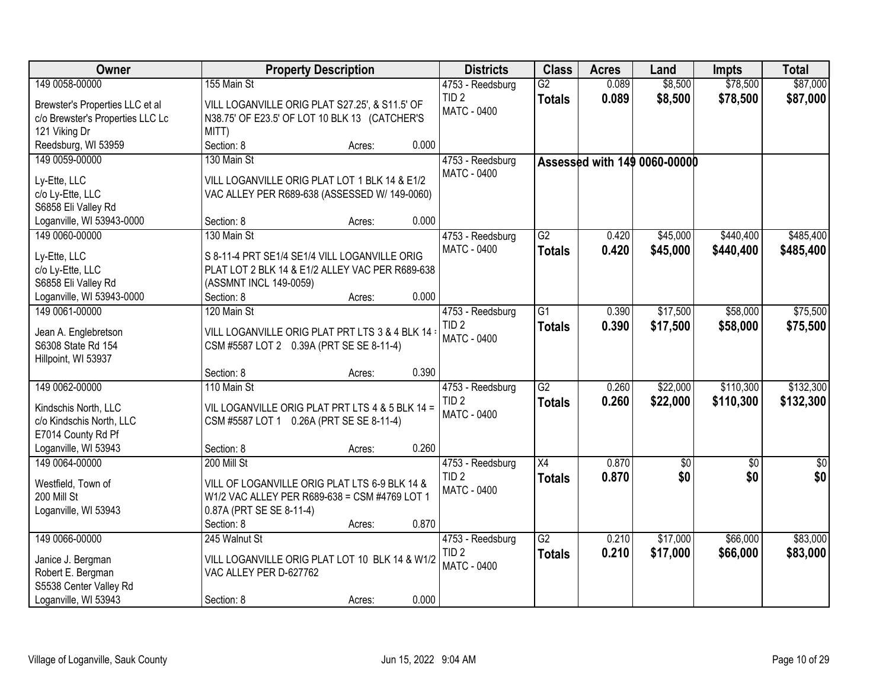| Owner                                      | <b>Property Description</b>                      |        |       | <b>Districts</b>                     | <b>Class</b>    | <b>Acres</b> | Land                         | <b>Impts</b>           | <b>Total</b>            |
|--------------------------------------------|--------------------------------------------------|--------|-------|--------------------------------------|-----------------|--------------|------------------------------|------------------------|-------------------------|
| 149 0058-00000                             | 155 Main St                                      |        |       | 4753 - Reedsburg                     | $\overline{G2}$ | 0.089        | \$8,500                      | \$78,500               | \$87,000                |
| Brewster's Properties LLC et al            | VILL LOGANVILLE ORIG PLAT S27.25', & S11.5' OF   |        |       | TID <sub>2</sub>                     | <b>Totals</b>   | 0.089        | \$8,500                      | \$78,500               | \$87,000                |
| c/o Brewster's Properties LLC Lc           | N38.75' OF E23.5' OF LOT 10 BLK 13 (CATCHER'S    |        |       | MATC - 0400                          |                 |              |                              |                        |                         |
| 121 Viking Dr                              | MITT)                                            |        |       |                                      |                 |              |                              |                        |                         |
| Reedsburg, WI 53959                        | Section: 8                                       | Acres: | 0.000 |                                      |                 |              |                              |                        |                         |
| 149 0059-00000                             | 130 Main St                                      |        |       | 4753 - Reedsburg                     |                 |              | Assessed with 149 0060-00000 |                        |                         |
| Ly-Ette, LLC                               | VILL LOGANVILLE ORIG PLAT LOT 1 BLK 14 & E1/2    |        |       | MATC - 0400                          |                 |              |                              |                        |                         |
| c/o Ly-Ette, LLC                           | VAC ALLEY PER R689-638 (ASSESSED W/ 149-0060)    |        |       |                                      |                 |              |                              |                        |                         |
| S6858 Eli Valley Rd                        |                                                  |        |       |                                      |                 |              |                              |                        |                         |
| Loganville, WI 53943-0000                  | Section: 8                                       | Acres: | 0.000 |                                      |                 |              |                              |                        |                         |
| 149 0060-00000                             | 130 Main St                                      |        |       | 4753 - Reedsburg                     | $\overline{G2}$ | 0.420        | \$45,000                     | \$440,400              | \$485,400               |
| Ly-Ette, LLC                               | S 8-11-4 PRT SE1/4 SE1/4 VILL LOGANVILLE ORIG    |        |       | MATC - 0400                          | <b>Totals</b>   | 0.420        | \$45,000                     | \$440,400              | \$485,400               |
| c/o Ly-Ette, LLC                           | PLAT LOT 2 BLK 14 & E1/2 ALLEY VAC PER R689-638  |        |       |                                      |                 |              |                              |                        |                         |
| S6858 Eli Valley Rd                        | (ASSMNT INCL 149-0059)                           |        |       |                                      |                 |              |                              |                        |                         |
| Loganville, WI 53943-0000                  | Section: 8                                       | Acres: | 0.000 |                                      |                 |              |                              |                        |                         |
| 149 0061-00000                             | 120 Main St                                      |        |       | 4753 - Reedsburg                     | $\overline{G1}$ | 0.390        | \$17,500                     | \$58,000               | \$75,500                |
|                                            |                                                  |        |       | TID <sub>2</sub>                     | <b>Totals</b>   | 0.390        | \$17,500                     | \$58,000               | \$75,500                |
| Jean A. Englebretson<br>S6308 State Rd 154 | VILL LOGANVILLE ORIG PLAT PRT LTS 3 & 4 BLK 14 : |        |       | <b>MATC - 0400</b>                   |                 |              |                              |                        |                         |
| Hillpoint, WI 53937                        | CSM #5587 LOT 2 0.39A (PRT SE SE 8-11-4)         |        |       |                                      |                 |              |                              |                        |                         |
|                                            | Section: 8                                       | Acres: | 0.390 |                                      |                 |              |                              |                        |                         |
| 149 0062-00000                             | 110 Main St                                      |        |       | 4753 - Reedsburg                     | $\overline{G2}$ | 0.260        | \$22,000                     | \$110,300              | \$132,300               |
|                                            |                                                  |        |       | TID <sub>2</sub>                     | <b>Totals</b>   | 0.260        | \$22,000                     | \$110,300              | \$132,300               |
| Kindschis North, LLC                       | VIL LOGANVILLE ORIG PLAT PRT LTS 4 & 5 BLK 14 =  |        |       | MATC - 0400                          |                 |              |                              |                        |                         |
| c/o Kindschis North, LLC                   | CSM #5587 LOT 1 0.26A (PRT SE SE 8-11-4)         |        |       |                                      |                 |              |                              |                        |                         |
| E7014 County Rd Pf                         |                                                  |        | 0.260 |                                      |                 |              |                              |                        |                         |
| Loganville, WI 53943<br>149 0064-00000     | Section: 8<br>200 Mill St                        | Acres: |       |                                      | X4              | 0.870        |                              |                        |                         |
|                                            |                                                  |        |       | 4753 - Reedsburg<br>TID <sub>2</sub> |                 | 0.870        | $\sqrt{6}$<br>\$0            | $\overline{50}$<br>\$0 | $\overline{\$0}$<br>\$0 |
| Westfield, Town of                         | VILL OF LOGANVILLE ORIG PLAT LTS 6-9 BLK 14 &    |        |       | <b>MATC - 0400</b>                   | <b>Totals</b>   |              |                              |                        |                         |
| 200 Mill St                                | W1/2 VAC ALLEY PER R689-638 = CSM #4769 LOT 1    |        |       |                                      |                 |              |                              |                        |                         |
| Loganville, WI 53943                       | 0.87A (PRT SE SE 8-11-4)                         |        |       |                                      |                 |              |                              |                        |                         |
|                                            | Section: 8                                       | Acres: | 0.870 |                                      |                 |              |                              |                        |                         |
| 149 0066-00000                             | 245 Walnut St                                    |        |       | 4753 - Reedsburg                     | $\overline{G2}$ | 0.210        | \$17,000                     | \$66,000               | \$83,000                |
| Janice J. Bergman                          | VILL LOGANVILLE ORIG PLAT LOT 10 BLK 14 & W1/2   |        |       | TID <sub>2</sub>                     | <b>Totals</b>   | 0.210        | \$17,000                     | \$66,000               | \$83,000                |
| Robert E. Bergman                          | VAC ALLEY PER D-627762                           |        |       | MATC - 0400                          |                 |              |                              |                        |                         |
| S5538 Center Valley Rd                     |                                                  |        |       |                                      |                 |              |                              |                        |                         |
| Loganville, WI 53943                       | Section: 8                                       | Acres: | 0.000 |                                      |                 |              |                              |                        |                         |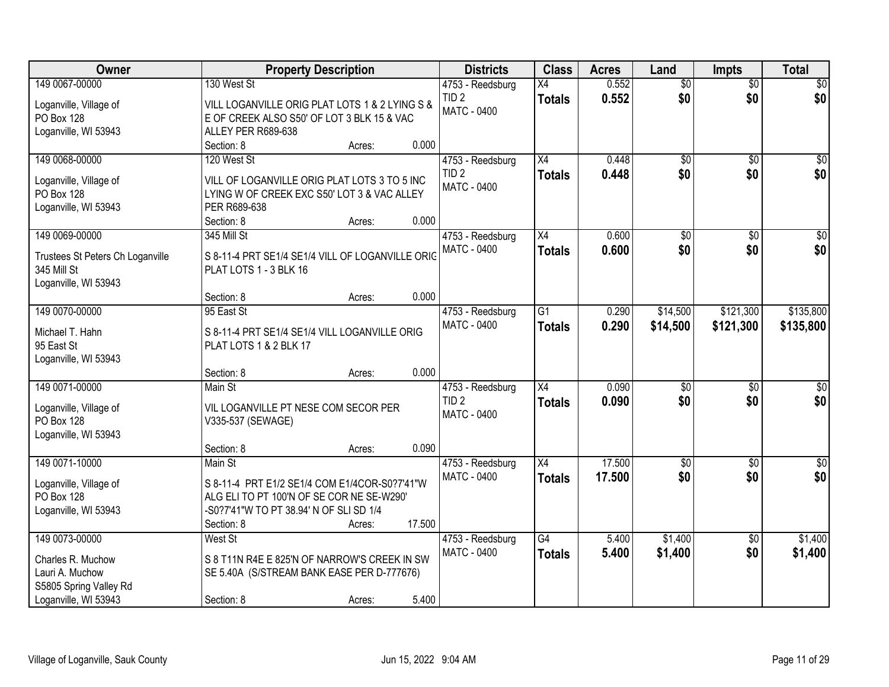| Owner                                       | <b>Property Description</b>                                 |                  | <b>Districts</b>   | <b>Class</b>    | <b>Acres</b> | Land            | <b>Impts</b>    | <b>Total</b>     |
|---------------------------------------------|-------------------------------------------------------------|------------------|--------------------|-----------------|--------------|-----------------|-----------------|------------------|
| 149 0067-00000                              | 130 West St                                                 |                  | 4753 - Reedsburg   | X4              | 0.552        | $\overline{50}$ | $\overline{50}$ | \$0              |
| Loganville, Village of                      | VILL LOGANVILLE ORIG PLAT LOTS 1 & 2 LYING S &              |                  | TID <sub>2</sub>   | <b>Totals</b>   | 0.552        | \$0             | \$0             | \$0              |
| PO Box 128                                  | E OF CREEK ALSO S50' OF LOT 3 BLK 15 & VAC                  |                  | <b>MATC - 0400</b> |                 |              |                 |                 |                  |
| Loganville, WI 53943                        | ALLEY PER R689-638                                          |                  |                    |                 |              |                 |                 |                  |
|                                             | Section: 8                                                  | 0.000<br>Acres:  |                    |                 |              |                 |                 |                  |
| 149 0068-00000                              | 120 West St                                                 |                  | 4753 - Reedsburg   | $\overline{X4}$ | 0.448        | $\overline{50}$ | $\overline{50}$ | $\overline{50}$  |
|                                             |                                                             |                  | TID <sub>2</sub>   | <b>Totals</b>   | 0.448        | \$0             | \$0             | \$0              |
| Loganville, Village of                      | VILL OF LOGANVILLE ORIG PLAT LOTS 3 TO 5 INC                |                  | MATC - 0400        |                 |              |                 |                 |                  |
| PO Box 128<br>Loganville, WI 53943          | LYING W OF CREEK EXC S50' LOT 3 & VAC ALLEY<br>PER R689-638 |                  |                    |                 |              |                 |                 |                  |
|                                             | Section: 8                                                  | 0.000<br>Acres:  |                    |                 |              |                 |                 |                  |
| 149 0069-00000                              | 345 Mill St                                                 |                  | 4753 - Reedsburg   | X4              | 0.600        | \$0             | \$0             | $\overline{50}$  |
|                                             |                                                             |                  | <b>MATC - 0400</b> | <b>Totals</b>   | 0.600        | \$0             | \$0             | \$0              |
| Trustees St Peters Ch Loganville            | S 8-11-4 PRT SE1/4 SE1/4 VILL OF LOGANVILLE ORIG            |                  |                    |                 |              |                 |                 |                  |
| 345 Mill St                                 | PLAT LOTS 1 - 3 BLK 16                                      |                  |                    |                 |              |                 |                 |                  |
| Loganville, WI 53943                        |                                                             |                  |                    |                 |              |                 |                 |                  |
|                                             | Section: 8                                                  | 0.000<br>Acres:  |                    |                 |              |                 |                 |                  |
| 149 0070-00000                              | 95 East St                                                  |                  | 4753 - Reedsburg   | G1              | 0.290        | \$14,500        | \$121,300       | \$135,800        |
| Michael T. Hahn                             | S 8-11-4 PRT SE1/4 SE1/4 VILL LOGANVILLE ORIG               |                  | MATC - 0400        | <b>Totals</b>   | 0.290        | \$14,500        | \$121,300       | \$135,800        |
| 95 East St                                  | PLAT LOTS 1 & 2 BLK 17                                      |                  |                    |                 |              |                 |                 |                  |
| Loganville, WI 53943                        |                                                             |                  |                    |                 |              |                 |                 |                  |
|                                             | Section: 8                                                  | 0.000<br>Acres:  |                    |                 |              |                 |                 |                  |
| 149 0071-00000                              | Main St                                                     |                  | 4753 - Reedsburg   | $\overline{X4}$ | 0.090        | $\overline{50}$ | $\overline{50}$ | $\overline{50}$  |
|                                             |                                                             |                  | TID <sub>2</sub>   | <b>Totals</b>   | 0.090        | \$0             | \$0             | \$0              |
| Loganville, Village of<br><b>PO Box 128</b> | VIL LOGANVILLE PT NESE COM SECOR PER                        |                  | MATC - 0400        |                 |              |                 |                 |                  |
| Loganville, WI 53943                        | V335-537 (SEWAGE)                                           |                  |                    |                 |              |                 |                 |                  |
|                                             | Section: 8                                                  | 0.090<br>Acres:  |                    |                 |              |                 |                 |                  |
| 149 0071-10000                              | Main St                                                     |                  | 4753 - Reedsburg   | X4              | 17.500       | $\overline{50}$ | $\overline{30}$ | $\overline{\$0}$ |
|                                             |                                                             |                  | <b>MATC - 0400</b> | <b>Totals</b>   | 17.500       | \$0             | \$0             | \$0              |
| Loganville, Village of                      | S 8-11-4 PRT E1/2 SE1/4 COM E1/4COR-S0?7'41"W               |                  |                    |                 |              |                 |                 |                  |
| PO Box 128                                  | ALG ELI TO PT 100'N OF SE COR NE SE-W290'                   |                  |                    |                 |              |                 |                 |                  |
| Loganville, WI 53943                        | -S0?7'41"W TO PT 38.94' N OF SLI SD 1/4                     |                  |                    |                 |              |                 |                 |                  |
|                                             | Section: 8                                                  | 17.500<br>Acres: |                    |                 |              |                 |                 |                  |
| 149 0073-00000                              | <b>West St</b>                                              |                  | 4753 - Reedsburg   | $\overline{G4}$ | 5.400        | \$1,400         | $\overline{50}$ | \$1,400          |
| Charles R. Muchow                           | S 8 T11N R4E E 825'N OF NARROW'S CREEK IN SW                |                  | <b>MATC - 0400</b> | <b>Totals</b>   | 5.400        | \$1,400         | \$0             | \$1,400          |
| Lauri A. Muchow                             | SE 5.40A (S/STREAM BANK EASE PER D-777676)                  |                  |                    |                 |              |                 |                 |                  |
| S5805 Spring Valley Rd                      |                                                             |                  |                    |                 |              |                 |                 |                  |
| Loganville, WI 53943                        | Section: 8                                                  | 5.400<br>Acres:  |                    |                 |              |                 |                 |                  |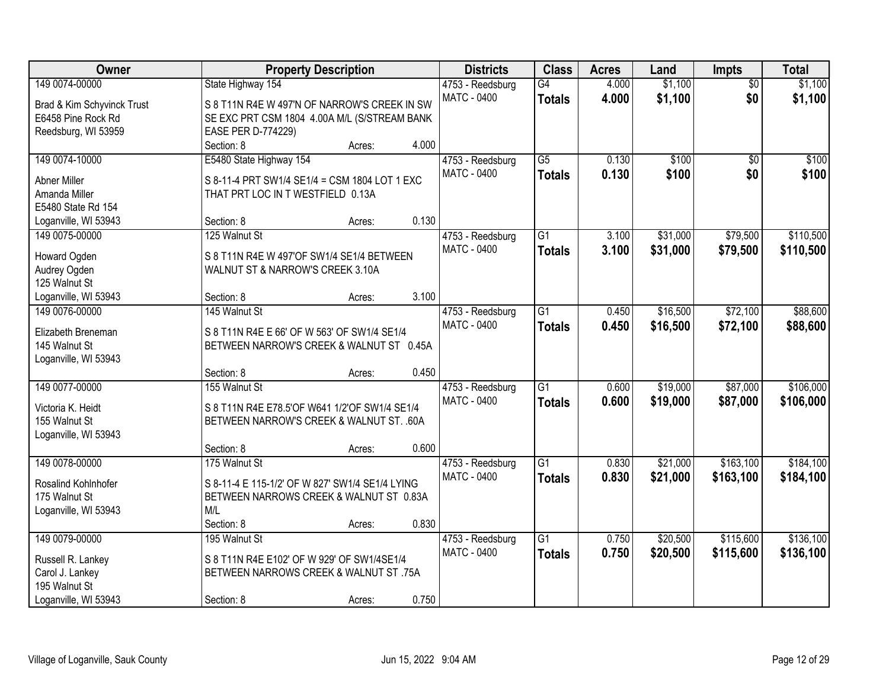| Owner                                  |                                                                                         | <b>Property Description</b> |       |                    | <b>Class</b>    | <b>Acres</b> | Land     | Impts           | <b>Total</b> |
|----------------------------------------|-----------------------------------------------------------------------------------------|-----------------------------|-------|--------------------|-----------------|--------------|----------|-----------------|--------------|
| 149 0074-00000                         | State Highway 154                                                                       |                             |       | 4753 - Reedsburg   | $\overline{G4}$ | 4.000        | \$1,100  | $\overline{50}$ | \$1,100      |
| Brad & Kim Schyvinck Trust             | S 8 T11N R4E W 497'N OF NARROW'S CREEK IN SW                                            |                             |       | <b>MATC - 0400</b> | <b>Totals</b>   | 4.000        | \$1,100  | \$0             | \$1,100      |
| E6458 Pine Rock Rd                     | SE EXC PRT CSM 1804 4.00A M/L (S/STREAM BANK                                            |                             |       |                    |                 |              |          |                 |              |
| Reedsburg, WI 53959                    | EASE PER D-774229)                                                                      |                             |       |                    |                 |              |          |                 |              |
|                                        | Section: 8                                                                              | Acres:                      | 4.000 |                    |                 |              |          |                 |              |
| 149 0074-10000                         | E5480 State Highway 154                                                                 |                             |       | 4753 - Reedsburg   | $\overline{G5}$ | 0.130        | \$100    | $\overline{50}$ | \$100        |
| <b>Abner Miller</b>                    | S 8-11-4 PRT SW1/4 SE1/4 = CSM 1804 LOT 1 EXC                                           |                             |       | <b>MATC - 0400</b> | <b>Totals</b>   | 0.130        | \$100    | \$0             | \$100        |
| Amanda Miller                          | THAT PRT LOC IN T WESTFIELD 0.13A                                                       |                             |       |                    |                 |              |          |                 |              |
| E5480 State Rd 154                     |                                                                                         |                             |       |                    |                 |              |          |                 |              |
|                                        | Section: 8                                                                              |                             | 0.130 |                    |                 |              |          |                 |              |
| Loganville, WI 53943<br>149 0075-00000 | 125 Walnut St                                                                           | Acres:                      |       |                    | $\overline{G1}$ | 3.100        | \$31,000 | \$79,500        | \$110,500    |
|                                        |                                                                                         |                             |       | 4753 - Reedsburg   |                 |              |          |                 |              |
| Howard Ogden                           | S 8 T11N R4E W 497'OF SW1/4 SE1/4 BETWEEN                                               |                             |       | MATC - 0400        | <b>Totals</b>   | 3.100        | \$31,000 | \$79,500        | \$110,500    |
| Audrey Ogden                           | WALNUT ST & NARROW'S CREEK 3.10A                                                        |                             |       |                    |                 |              |          |                 |              |
| 125 Walnut St                          |                                                                                         |                             |       |                    |                 |              |          |                 |              |
| Loganville, WI 53943                   | Section: 8                                                                              | Acres:                      | 3.100 |                    |                 |              |          |                 |              |
| 149 0076-00000                         | 145 Walnut St                                                                           |                             |       | 4753 - Reedsburg   | G1              | 0.450        | \$16,500 | \$72,100        | \$88,600     |
|                                        |                                                                                         |                             |       | <b>MATC - 0400</b> | <b>Totals</b>   | 0.450        | \$16,500 | \$72,100        | \$88,600     |
| Elizabeth Breneman<br>145 Walnut St    | S 8 T11N R4E E 66' OF W 563' OF SW1/4 SE1/4<br>BETWEEN NARROW'S CREEK & WALNUT ST 0.45A |                             |       |                    |                 |              |          |                 |              |
|                                        |                                                                                         |                             |       |                    |                 |              |          |                 |              |
| Loganville, WI 53943                   | Section: 8                                                                              |                             | 0.450 |                    |                 |              |          |                 |              |
| 149 0077-00000                         | 155 Walnut St                                                                           | Acres:                      |       |                    | $\overline{G1}$ | 0.600        | \$19,000 | \$87,000        | \$106,000    |
|                                        |                                                                                         |                             |       | 4753 - Reedsburg   |                 |              |          |                 |              |
| Victoria K. Heidt                      | S 8 T11N R4E E78.5'OF W641 1/2'OF SW1/4 SE1/4                                           |                             |       | <b>MATC - 0400</b> | <b>Totals</b>   | 0.600        | \$19,000 | \$87,000        | \$106,000    |
| 155 Walnut St                          | BETWEEN NARROW'S CREEK & WALNUT ST. . 60A                                               |                             |       |                    |                 |              |          |                 |              |
| Loganville, WI 53943                   |                                                                                         |                             |       |                    |                 |              |          |                 |              |
|                                        | Section: 8                                                                              | Acres:                      | 0.600 |                    |                 |              |          |                 |              |
| 149 0078-00000                         | 175 Walnut St                                                                           |                             |       | 4753 - Reedsburg   | $\overline{G1}$ | 0.830        | \$21,000 | \$163,100       | \$184,100    |
| Rosalind Kohlnhofer                    | S 8-11-4 E 115-1/2' OF W 827' SW1/4 SE1/4 LYING                                         |                             |       | MATC - 0400        | <b>Totals</b>   | 0.830        | \$21,000 | \$163,100       | \$184,100    |
| 175 Walnut St                          | BETWEEN NARROWS CREEK & WALNUT ST 0.83A                                                 |                             |       |                    |                 |              |          |                 |              |
| Loganville, WI 53943                   | M/L                                                                                     |                             |       |                    |                 |              |          |                 |              |
|                                        | Section: 8                                                                              | Acres:                      | 0.830 |                    |                 |              |          |                 |              |
| 149 0079-00000                         | 195 Walnut St                                                                           |                             |       | 4753 - Reedsburg   | $\overline{G1}$ | 0.750        | \$20,500 | \$115,600       | \$136,100    |
|                                        |                                                                                         |                             |       | MATC - 0400        | <b>Totals</b>   | 0.750        | \$20,500 | \$115,600       | \$136,100    |
| Russell R. Lankey                      | S 8 T11N R4E E102' OF W 929' OF SW1/4SE1/4                                              |                             |       |                    |                 |              |          |                 |              |
| Carol J. Lankey                        | BETWEEN NARROWS CREEK & WALNUT ST .75A                                                  |                             |       |                    |                 |              |          |                 |              |
| 195 Walnut St                          |                                                                                         |                             |       |                    |                 |              |          |                 |              |
| Loganville, WI 53943                   | Section: 8                                                                              | Acres:                      | 0.750 |                    |                 |              |          |                 |              |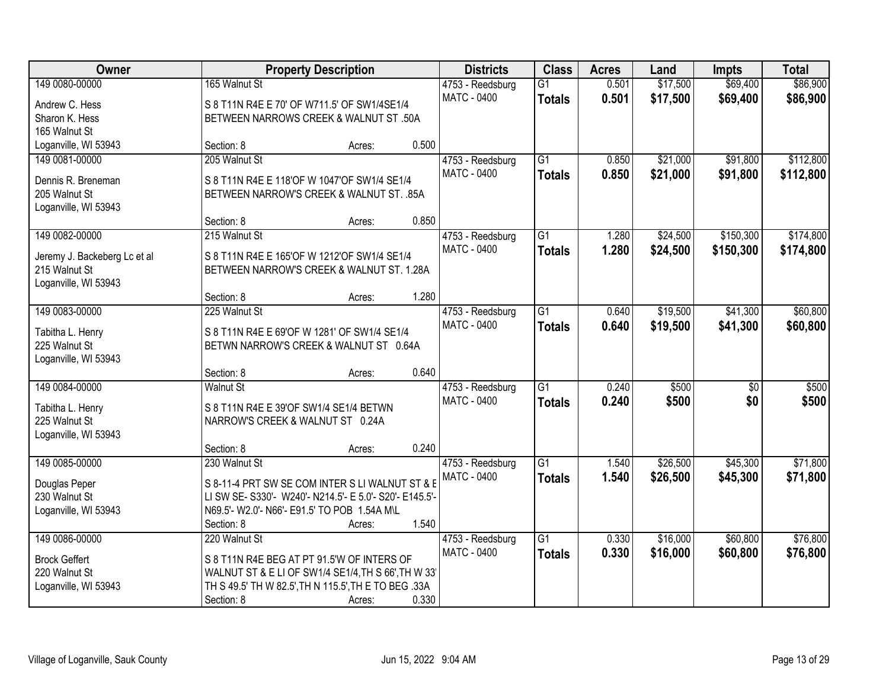| Owner                               |                                                         | <b>Property Description</b> |       | <b>Districts</b>   | <b>Class</b>    | <b>Acres</b> | Land     | <b>Impts</b>    | <b>Total</b> |
|-------------------------------------|---------------------------------------------------------|-----------------------------|-------|--------------------|-----------------|--------------|----------|-----------------|--------------|
| 149 0080-00000                      | 165 Walnut St                                           |                             |       | 4753 - Reedsburg   | $\overline{G1}$ | 0.501        | \$17,500 | \$69,400        | \$86,900     |
| Andrew C. Hess                      | S 8 T11N R4E E 70' OF W711.5' OF SW1/4SE1/4             |                             |       | <b>MATC - 0400</b> | <b>Totals</b>   | 0.501        | \$17,500 | \$69,400        | \$86,900     |
| Sharon K. Hess                      | BETWEEN NARROWS CREEK & WALNUT ST .50A                  |                             |       |                    |                 |              |          |                 |              |
| 165 Walnut St                       |                                                         |                             |       |                    |                 |              |          |                 |              |
| Loganville, WI 53943                | Section: 8                                              | Acres:                      | 0.500 |                    |                 |              |          |                 |              |
| 149 0081-00000                      | 205 Walnut St                                           |                             |       | 4753 - Reedsburg   | $\overline{G1}$ | 0.850        | \$21,000 | \$91,800        | \$112,800    |
|                                     |                                                         |                             |       | <b>MATC - 0400</b> | <b>Totals</b>   | 0.850        | \$21,000 | \$91,800        | \$112,800    |
| Dennis R. Breneman<br>205 Walnut St | S 8 T11N R4E E 118'OF W 1047'OF SW1/4 SE1/4             |                             |       |                    |                 |              |          |                 |              |
| Loganville, WI 53943                | BETWEEN NARROW'S CREEK & WALNUT ST. .85A                |                             |       |                    |                 |              |          |                 |              |
|                                     | Section: 8                                              | Acres:                      | 0.850 |                    |                 |              |          |                 |              |
| 149 0082-00000                      | 215 Walnut St                                           |                             |       | 4753 - Reedsburg   | $\overline{G1}$ | 1.280        | \$24,500 | \$150,300       | \$174,800    |
|                                     |                                                         |                             |       | <b>MATC - 0400</b> | <b>Totals</b>   | 1.280        | \$24,500 | \$150,300       | \$174,800    |
| Jeremy J. Backeberg Lc et al        | S 8 T11N R4E E 165'OF W 1212'OF SW1/4 SE1/4             |                             |       |                    |                 |              |          |                 |              |
| 215 Walnut St                       | BETWEEN NARROW'S CREEK & WALNUT ST. 1.28A               |                             |       |                    |                 |              |          |                 |              |
| Loganville, WI 53943                |                                                         |                             |       |                    |                 |              |          |                 |              |
|                                     | Section: 8                                              | Acres:                      | 1.280 |                    |                 |              |          |                 |              |
| 149 0083-00000                      | 225 Walnut St                                           |                             |       | 4753 - Reedsburg   | $\overline{G1}$ | 0.640        | \$19,500 | \$41,300        | \$60,800     |
| Tabitha L. Henry                    | S 8 T11N R4E E 69'OF W 1281' OF SW1/4 SE1/4             |                             |       | <b>MATC - 0400</b> | <b>Totals</b>   | 0.640        | \$19,500 | \$41,300        | \$60,800     |
| 225 Walnut St                       | BETWN NARROW'S CREEK & WALNUT ST 0.64A                  |                             |       |                    |                 |              |          |                 |              |
| Loganville, WI 53943                |                                                         |                             |       |                    |                 |              |          |                 |              |
|                                     | Section: 8                                              | Acres:                      | 0.640 |                    |                 |              |          |                 |              |
| 149 0084-00000                      | <b>Walnut St</b>                                        |                             |       | 4753 - Reedsburg   | $\overline{G1}$ | 0.240        | \$500    | $\overline{30}$ | \$500        |
| Tabitha L. Henry                    | S 8 T11N R4E E 39'OF SW1/4 SE1/4 BETWN                  |                             |       | MATC - 0400        | <b>Totals</b>   | 0.240        | \$500    | \$0             | \$500        |
| 225 Walnut St                       | NARROW'S CREEK & WALNUT ST 0.24A                        |                             |       |                    |                 |              |          |                 |              |
| Loganville, WI 53943                |                                                         |                             |       |                    |                 |              |          |                 |              |
|                                     | Section: 8                                              | Acres:                      | 0.240 |                    |                 |              |          |                 |              |
| 149 0085-00000                      | 230 Walnut St                                           |                             |       | 4753 - Reedsburg   | $\overline{G1}$ | 1.540        | \$26,500 | \$45,300        | \$71,800     |
|                                     |                                                         |                             |       | MATC - 0400        | <b>Totals</b>   | 1.540        | \$26,500 | \$45,300        | \$71,800     |
| Douglas Peper                       | S 8-11-4 PRT SW SE COM INTER S LI WALNUT ST & E         |                             |       |                    |                 |              |          |                 |              |
| 230 Walnut St                       | LI SW SE- S330'- W240'- N214.5'- E 5.0'- S20'- E145.5'- |                             |       |                    |                 |              |          |                 |              |
| Loganville, WI 53943                | N69.5'- W2.0'- N66'- E91.5' TO POB 1.54A M\L            |                             |       |                    |                 |              |          |                 |              |
|                                     | Section: 8                                              | Acres:                      | 1.540 |                    |                 |              |          |                 |              |
| 149 0086-00000                      | 220 Walnut St                                           |                             |       | 4753 - Reedsburg   | $\overline{G1}$ | 0.330        | \$16,000 | \$60,800        | \$76,800     |
| <b>Brock Geffert</b>                | S 8 T11N R4E BEG AT PT 91.5'W OF INTERS OF              |                             |       | MATC - 0400        | <b>Totals</b>   | 0.330        | \$16,000 | \$60,800        | \$76,800     |
| 220 Walnut St                       | WALNUT ST & E LI OF SW1/4 SE1/4, TH S 66', TH W 33'     |                             |       |                    |                 |              |          |                 |              |
| Loganville, WI 53943                | TH S 49.5' TH W 82.5', TH N 115.5', TH E TO BEG .33A    |                             |       |                    |                 |              |          |                 |              |
|                                     | Section: 8                                              | Acres:                      | 0.330 |                    |                 |              |          |                 |              |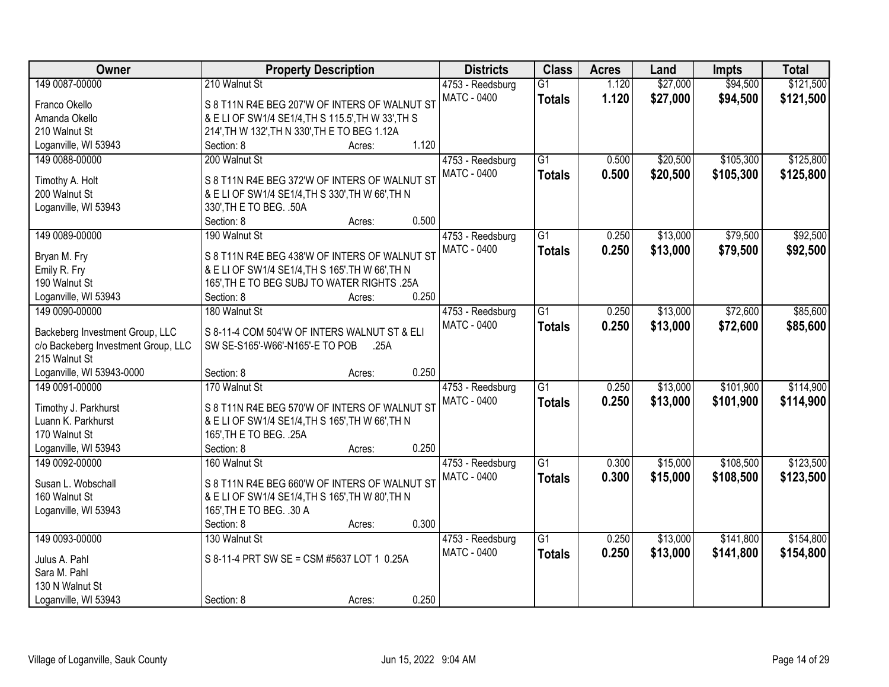| Owner                               | <b>Property Description</b>                                                  | <b>Districts</b>   | <b>Class</b>    | <b>Acres</b> | Land     | <b>Impts</b> | <b>Total</b> |
|-------------------------------------|------------------------------------------------------------------------------|--------------------|-----------------|--------------|----------|--------------|--------------|
| 149 0087-00000                      | 210 Walnut St                                                                | 4753 - Reedsburg   | $\overline{G1}$ | 1.120        | \$27,000 | \$94,500     | \$121,500    |
| Franco Okello                       | S 8 T11N R4E BEG 207'W OF INTERS OF WALNUT ST                                | <b>MATC - 0400</b> | <b>Totals</b>   | 1.120        | \$27,000 | \$94,500     | \$121,500    |
| Amanda Okello                       | & E LI OF SW1/4 SE1/4, TH S 115.5', TH W 33', TH S                           |                    |                 |              |          |              |              |
| 210 Walnut St                       | 214', TH W 132', TH N 330', TH E TO BEG 1.12A                                |                    |                 |              |          |              |              |
| Loganville, WI 53943                | 1.120<br>Section: 8<br>Acres:                                                |                    |                 |              |          |              |              |
| 149 0088-00000                      | 200 Walnut St                                                                | 4753 - Reedsburg   | $\overline{G1}$ | 0.500        | \$20,500 | \$105,300    | \$125,800    |
|                                     |                                                                              | MATC - 0400        | <b>Totals</b>   | 0.500        | \$20,500 | \$105,300    | \$125,800    |
| Timothy A. Holt                     | S 8 T11N R4E BEG 372'W OF INTERS OF WALNUT ST                                |                    |                 |              |          |              |              |
| 200 Walnut St                       | & E LI OF SW1/4 SE1/4, TH S 330', TH W 66', TH N                             |                    |                 |              |          |              |              |
| Loganville, WI 53943                | 330', TH E TO BEG. . 50A                                                     |                    |                 |              |          |              |              |
|                                     | 0.500<br>Section: 8<br>Acres:                                                |                    |                 |              |          |              |              |
| 149 0089-00000                      | 190 Walnut St                                                                | 4753 - Reedsburg   | $\overline{G1}$ | 0.250        | \$13,000 | \$79,500     | \$92,500     |
| Bryan M. Fry                        | S 8 T11N R4E BEG 438'W OF INTERS OF WALNUT ST                                | MATC - 0400        | <b>Totals</b>   | 0.250        | \$13,000 | \$79,500     | \$92,500     |
| Emily R. Fry                        | & E LI OF SW1/4 SE1/4, TH S 165'. TH W 66', TH N                             |                    |                 |              |          |              |              |
| 190 Walnut St                       | 165', TH E TO BEG SUBJ TO WATER RIGHTS .25A                                  |                    |                 |              |          |              |              |
| Loganville, WI 53943                | 0.250<br>Section: 8<br>Acres:                                                |                    |                 |              |          |              |              |
| 149 0090-00000                      | 180 Walnut St                                                                | 4753 - Reedsburg   | $\overline{G1}$ | 0.250        | \$13,000 | \$72,600     | \$85,600     |
|                                     |                                                                              | <b>MATC - 0400</b> | <b>Totals</b>   | 0.250        | \$13,000 | \$72,600     | \$85,600     |
| Backeberg Investment Group, LLC     | S 8-11-4 COM 504'W OF INTERS WALNUT ST & ELI                                 |                    |                 |              |          |              |              |
| c/o Backeberg Investment Group, LLC | SW SE-S165'-W66'-N165'-E TO POB<br>.25A                                      |                    |                 |              |          |              |              |
| 215 Walnut St                       |                                                                              |                    |                 |              |          |              |              |
| Loganville, WI 53943-0000           | 0.250<br>Section: 8<br>Acres:                                                |                    |                 |              |          |              |              |
| 149 0091-00000                      | 170 Walnut St                                                                | 4753 - Reedsburg   | $\overline{G1}$ | 0.250        | \$13,000 | \$101,900    | \$114,900    |
| Timothy J. Parkhurst                | S 8 T11N R4E BEG 570'W OF INTERS OF WALNUT ST                                | <b>MATC - 0400</b> | <b>Totals</b>   | 0.250        | \$13,000 | \$101,900    | \$114,900    |
| Luann K. Parkhurst                  |                                                                              |                    |                 |              |          |              |              |
| 170 Walnut St                       | & E LI OF SW1/4 SE1/4, TH S 165', TH W 66', TH N<br>165', TH E TO BEG. . 25A |                    |                 |              |          |              |              |
|                                     | 0.250                                                                        |                    |                 |              |          |              |              |
| Loganville, WI 53943                | Section: 8<br>Acres:                                                         |                    |                 |              |          |              |              |
| 149 0092-00000                      | 160 Walnut St                                                                | 4753 - Reedsburg   | $\overline{G1}$ | 0.300        | \$15,000 | \$108,500    | \$123,500    |
| Susan L. Wobschall                  | S 8 T11N R4E BEG 660'W OF INTERS OF WALNUT ST                                | <b>MATC - 0400</b> | <b>Totals</b>   | 0.300        | \$15,000 | \$108,500    | \$123,500    |
| 160 Walnut St                       | & E LI OF SW1/4 SE1/4, TH S 165', TH W 80', TH N                             |                    |                 |              |          |              |              |
| Loganville, WI 53943                | 165', TH E TO BEG. . 30 A                                                    |                    |                 |              |          |              |              |
|                                     | 0.300<br>Section: 8<br>Acres:                                                |                    |                 |              |          |              |              |
| 149 0093-00000                      | 130 Walnut St                                                                | 4753 - Reedsburg   | $\overline{G1}$ | 0.250        | \$13,000 | \$141,800    | \$154,800    |
|                                     |                                                                              | <b>MATC - 0400</b> | <b>Totals</b>   | 0.250        | \$13,000 | \$141,800    | \$154,800    |
| Julus A. Pahl                       | S 8-11-4 PRT SW SE = CSM #5637 LOT 1 0.25A                                   |                    |                 |              |          |              |              |
| Sara M. Pahl                        |                                                                              |                    |                 |              |          |              |              |
| 130 N Walnut St                     |                                                                              |                    |                 |              |          |              |              |
| Loganville, WI 53943                | 0.250<br>Section: 8<br>Acres:                                                |                    |                 |              |          |              |              |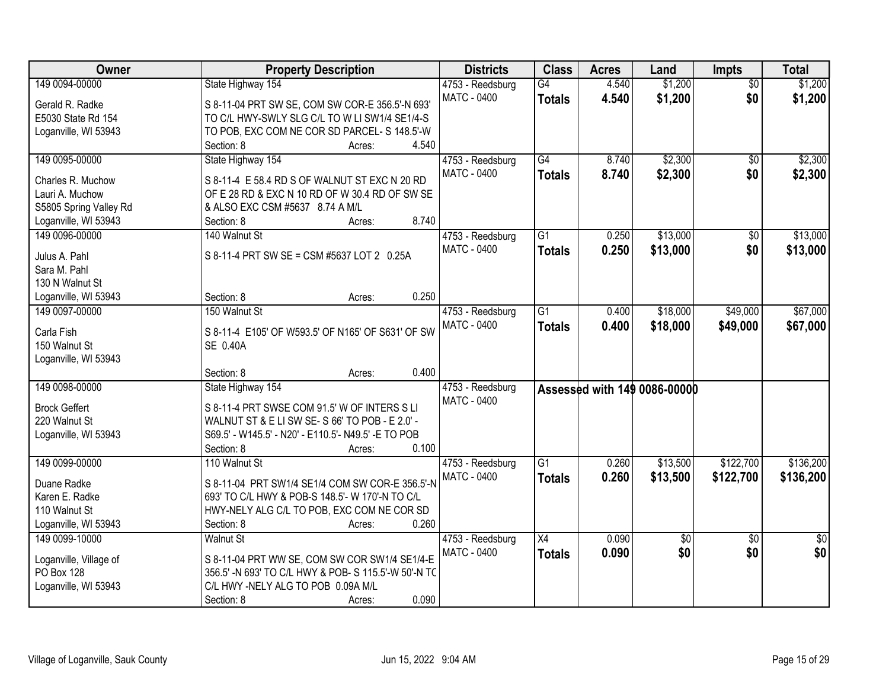| Owner                  | <b>Property Description</b>                          | <b>Districts</b>   | <b>Class</b>    | <b>Acres</b> | Land                         | Impts           | <b>Total</b>    |
|------------------------|------------------------------------------------------|--------------------|-----------------|--------------|------------------------------|-----------------|-----------------|
| 149 0094-00000         | State Highway 154                                    | 4753 - Reedsburg   | $\overline{G4}$ | 4.540        | \$1,200                      | $\overline{50}$ | \$1,200         |
| Gerald R. Radke        | S 8-11-04 PRT SW SE, COM SW COR-E 356.5'-N 693'      | <b>MATC - 0400</b> | <b>Totals</b>   | 4.540        | \$1,200                      | \$0             | \$1,200         |
| E5030 State Rd 154     | TO C/L HWY-SWLY SLG C/L TO W LI SW1/4 SE1/4-S        |                    |                 |              |                              |                 |                 |
| Loganville, WI 53943   | TO POB, EXC COM NE COR SD PARCEL- S 148.5'-W         |                    |                 |              |                              |                 |                 |
|                        | 4.540<br>Section: 8<br>Acres:                        |                    |                 |              |                              |                 |                 |
| 149 0095-00000         | State Highway 154                                    | 4753 - Reedsburg   | $\overline{G4}$ | 8.740        | \$2,300                      | \$0             | \$2,300         |
|                        |                                                      | <b>MATC - 0400</b> | <b>Totals</b>   | 8.740        | \$2,300                      | \$0             | \$2,300         |
| Charles R. Muchow      | S 8-11-4 E 58.4 RD S OF WALNUT ST EXC N 20 RD        |                    |                 |              |                              |                 |                 |
| Lauri A. Muchow        | OF E 28 RD & EXC N 10 RD OF W 30.4 RD OF SW SE       |                    |                 |              |                              |                 |                 |
| S5805 Spring Valley Rd | & ALSO EXC CSM #5637 8.74 A M/L                      |                    |                 |              |                              |                 |                 |
| Loganville, WI 53943   | 8.740<br>Section: 8<br>Acres:                        |                    |                 |              |                              |                 |                 |
| 149 0096-00000         | 140 Walnut St                                        | 4753 - Reedsburg   | $\overline{G1}$ | 0.250        | \$13,000                     | $\overline{50}$ | \$13,000        |
| Julus A. Pahl          | S 8-11-4 PRT SW SE = CSM #5637 LOT 2 0.25A           | <b>MATC - 0400</b> | <b>Totals</b>   | 0.250        | \$13,000                     | \$0             | \$13,000        |
| Sara M. Pahl           |                                                      |                    |                 |              |                              |                 |                 |
| 130 N Walnut St        |                                                      |                    |                 |              |                              |                 |                 |
| Loganville, WI 53943   | 0.250<br>Section: 8<br>Acres:                        |                    |                 |              |                              |                 |                 |
| 149 0097-00000         | 150 Walnut St                                        | 4753 - Reedsburg   | $\overline{G1}$ | 0.400        | \$18,000                     | \$49,000        | \$67,000        |
|                        |                                                      | <b>MATC - 0400</b> | <b>Totals</b>   | 0.400        | \$18,000                     | \$49,000        | \$67,000        |
| Carla Fish             | S 8-11-4 E105' OF W593.5' OF N165' OF S631' OF SW    |                    |                 |              |                              |                 |                 |
| 150 Walnut St          | SE 0.40A                                             |                    |                 |              |                              |                 |                 |
| Loganville, WI 53943   |                                                      |                    |                 |              |                              |                 |                 |
|                        | 0.400<br>Section: 8<br>Acres:                        |                    |                 |              |                              |                 |                 |
| 149 0098-00000         | State Highway 154                                    | 4753 - Reedsburg   |                 |              | Assessed with 149 0086-00000 |                 |                 |
| <b>Brock Geffert</b>   | S 8-11-4 PRT SWSE COM 91.5' W OF INTERS S LI         | MATC - 0400        |                 |              |                              |                 |                 |
| 220 Walnut St          | WALNUT ST & E LI SW SE- S 66' TO POB - E 2.0' -      |                    |                 |              |                              |                 |                 |
| Loganville, WI 53943   | S69.5' - W145.5' - N20' - E110.5'- N49.5' -E TO POB  |                    |                 |              |                              |                 |                 |
|                        | Section: 8<br>0.100<br>Acres:                        |                    |                 |              |                              |                 |                 |
| 149 0099-00000         | 110 Walnut St                                        | 4753 - Reedsburg   | G1              | 0.260        | \$13,500                     | \$122,700       | \$136,200       |
|                        |                                                      | <b>MATC - 0400</b> | <b>Totals</b>   | 0.260        | \$13,500                     | \$122,700       | \$136,200       |
| Duane Radke            | S 8-11-04 PRT SW1/4 SE1/4 COM SW COR-E 356.5'-N      |                    |                 |              |                              |                 |                 |
| Karen E. Radke         | 693' TO C/L HWY & POB-S 148.5'- W 170'-N TO C/L      |                    |                 |              |                              |                 |                 |
| 110 Walnut St          | HWY-NELY ALG C/L TO POB, EXC COM NE COR SD           |                    |                 |              |                              |                 |                 |
| Loganville, WI 53943   | 0.260<br>Section: 8<br>Acres:                        |                    |                 |              |                              |                 |                 |
| 149 0099-10000         | <b>Walnut St</b>                                     | 4753 - Reedsburg   | $\overline{X4}$ | 0.090        | \$0                          | $\overline{50}$ | $\overline{50}$ |
| Loganville, Village of | S 8-11-04 PRT WW SE, COM SW COR SW1/4 SE1/4-E        | <b>MATC - 0400</b> | <b>Totals</b>   | 0.090        | \$0                          | \$0             | \$0             |
| PO Box 128             | 356.5' -N 693' TO C/L HWY & POB- S 115.5'-W 50'-N TC |                    |                 |              |                              |                 |                 |
| Loganville, WI 53943   | C/L HWY -NELY ALG TO POB 0.09A M/L                   |                    |                 |              |                              |                 |                 |
|                        | 0.090<br>Section: 8<br>Acres:                        |                    |                 |              |                              |                 |                 |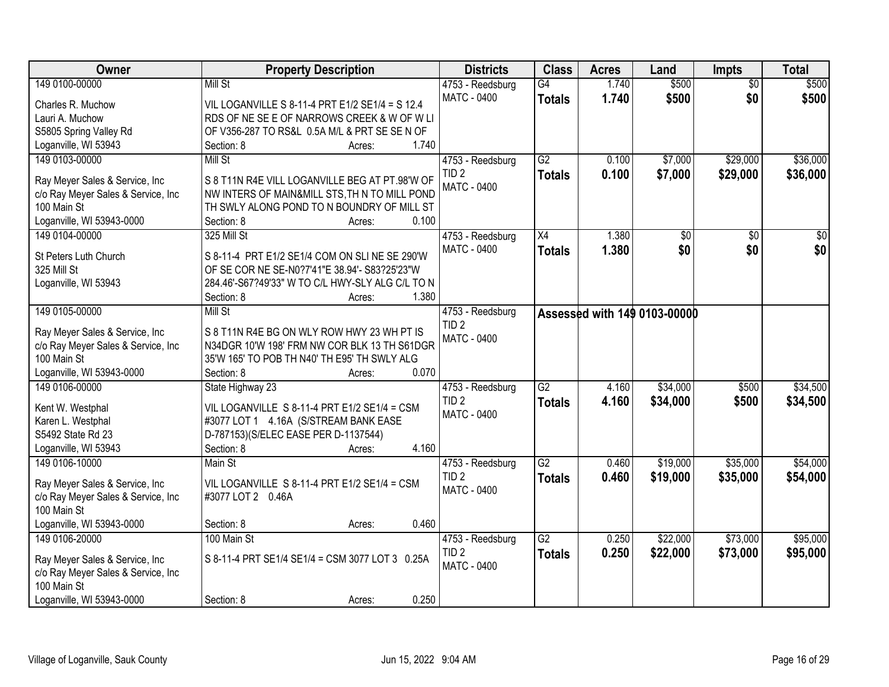| Owner                              | <b>Property Description</b>                      | <b>Districts</b>   | <b>Class</b>    | <b>Acres</b> | Land                         | <b>Impts</b>    | <b>Total</b>    |
|------------------------------------|--------------------------------------------------|--------------------|-----------------|--------------|------------------------------|-----------------|-----------------|
| 149 0100-00000                     | Mill St                                          | 4753 - Reedsburg   | $\overline{G4}$ | 1.740        | \$500                        | $\overline{50}$ | \$500           |
| Charles R. Muchow                  | VIL LOGANVILLE S 8-11-4 PRT E1/2 SE1/4 = S 12.4  | <b>MATC - 0400</b> | <b>Totals</b>   | 1.740        | \$500                        | \$0             | \$500           |
| Lauri A. Muchow                    | RDS OF NE SE E OF NARROWS CREEK & W OF W LI      |                    |                 |              |                              |                 |                 |
| S5805 Spring Valley Rd             | OF V356-287 TO RS&L 0.5A M/L & PRT SE SE N OF    |                    |                 |              |                              |                 |                 |
| Loganville, WI 53943               | 1.740<br>Section: 8<br>Acres:                    |                    |                 |              |                              |                 |                 |
| 149 0103-00000                     | <b>Mill St</b>                                   | 4753 - Reedsburg   | $\overline{G2}$ | 0.100        | \$7,000                      | \$29,000        | \$36,000        |
|                                    |                                                  | TID <sub>2</sub>   | <b>Totals</b>   | 0.100        | \$7,000                      | \$29,000        | \$36,000        |
| Ray Meyer Sales & Service, Inc     | S 8 T11N R4E VILL LOGANVILLE BEG AT PT.98'W OF   | <b>MATC - 0400</b> |                 |              |                              |                 |                 |
| c/o Ray Meyer Sales & Service, Inc | NW INTERS OF MAIN&MILL STS, TH N TO MILL POND    |                    |                 |              |                              |                 |                 |
| 100 Main St                        | TH SWLY ALONG POND TO N BOUNDRY OF MILL ST       |                    |                 |              |                              |                 |                 |
| Loganville, WI 53943-0000          | 0.100<br>Section: 8<br>Acres:                    |                    |                 |              |                              |                 |                 |
| 149 0104-00000                     | 325 Mill St                                      | 4753 - Reedsburg   | X4              | 1.380        | $\overline{50}$              | \$0             | $\overline{30}$ |
| St Peters Luth Church              | S 8-11-4 PRT E1/2 SE1/4 COM ON SLINE SE 290'W    | <b>MATC - 0400</b> | <b>Totals</b>   | 1.380        | \$0                          | \$0             | \$0             |
| 325 Mill St                        | OF SE COR NE SE-N0?7'41"E 38.94'- S83?25'23"W    |                    |                 |              |                              |                 |                 |
| Loganville, WI 53943               | 284.46'-S67?49'33" W TO C/L HWY-SLY ALG C/L TO N |                    |                 |              |                              |                 |                 |
|                                    | 1.380<br>Section: 8<br>Acres:                    |                    |                 |              |                              |                 |                 |
| 149 0105-00000                     | Mill St                                          | 4753 - Reedsburg   |                 |              | Assessed with 149 0103-00000 |                 |                 |
|                                    |                                                  | TID <sub>2</sub>   |                 |              |                              |                 |                 |
| Ray Meyer Sales & Service, Inc     | S 8 T11N R4E BG ON WLY ROW HWY 23 WH PT IS       | MATC - 0400        |                 |              |                              |                 |                 |
| c/o Ray Meyer Sales & Service, Inc | N34DGR 10'W 198' FRM NW COR BLK 13 TH S61DGR     |                    |                 |              |                              |                 |                 |
| 100 Main St                        | 35'W 165' TO POB TH N40' TH E95' TH SWLY ALG     |                    |                 |              |                              |                 |                 |
| Loganville, WI 53943-0000          | 0.070<br>Section: 8<br>Acres:                    |                    |                 |              |                              |                 |                 |
| 149 0106-00000                     | State Highway 23                                 | 4753 - Reedsburg   | $\overline{G2}$ | 4.160        | \$34,000                     | \$500           | \$34,500        |
| Kent W. Westphal                   | VIL LOGANVILLE S 8-11-4 PRT E1/2 SE1/4 = CSM     | TID <sub>2</sub>   | <b>Totals</b>   | 4.160        | \$34,000                     | \$500           | \$34,500        |
| Karen L. Westphal                  | #3077 LOT 1 4.16A (S/STREAM BANK EASE            | MATC - 0400        |                 |              |                              |                 |                 |
| S5492 State Rd 23                  | D-787153)(S/ELEC EASE PER D-1137544)             |                    |                 |              |                              |                 |                 |
| Loganville, WI 53943               | 4.160<br>Section: 8<br>Acres:                    |                    |                 |              |                              |                 |                 |
| 149 0106-10000                     | Main St                                          | 4753 - Reedsburg   | $\overline{G2}$ | 0.460        | \$19,000                     | \$35,000        | \$54,000        |
|                                    |                                                  | TID <sub>2</sub>   | <b>Totals</b>   | 0.460        | \$19,000                     | \$35,000        | \$54,000        |
| Ray Meyer Sales & Service, Inc     | VIL LOGANVILLE S 8-11-4 PRT E1/2 SE1/4 = CSM     | MATC - 0400        |                 |              |                              |                 |                 |
| c/o Ray Meyer Sales & Service, Inc | #3077 LOT 2 0.46A                                |                    |                 |              |                              |                 |                 |
| 100 Main St                        |                                                  |                    |                 |              |                              |                 |                 |
| Loganville, WI 53943-0000          | 0.460<br>Section: 8<br>Acres:                    |                    |                 |              |                              |                 |                 |
| 149 0106-20000                     | 100 Main St                                      | 4753 - Reedsburg   | $\overline{G2}$ | 0.250        | \$22,000                     | \$73,000        | \$95,000        |
| Ray Meyer Sales & Service, Inc     | S 8-11-4 PRT SE1/4 SE1/4 = CSM 3077 LOT 3 0.25A  | TID <sub>2</sub>   | <b>Totals</b>   | 0.250        | \$22,000                     | \$73,000        | \$95,000        |
| c/o Ray Meyer Sales & Service, Inc |                                                  | <b>MATC - 0400</b> |                 |              |                              |                 |                 |
| 100 Main St                        |                                                  |                    |                 |              |                              |                 |                 |
| Loganville, WI 53943-0000          | 0.250<br>Section: 8<br>Acres:                    |                    |                 |              |                              |                 |                 |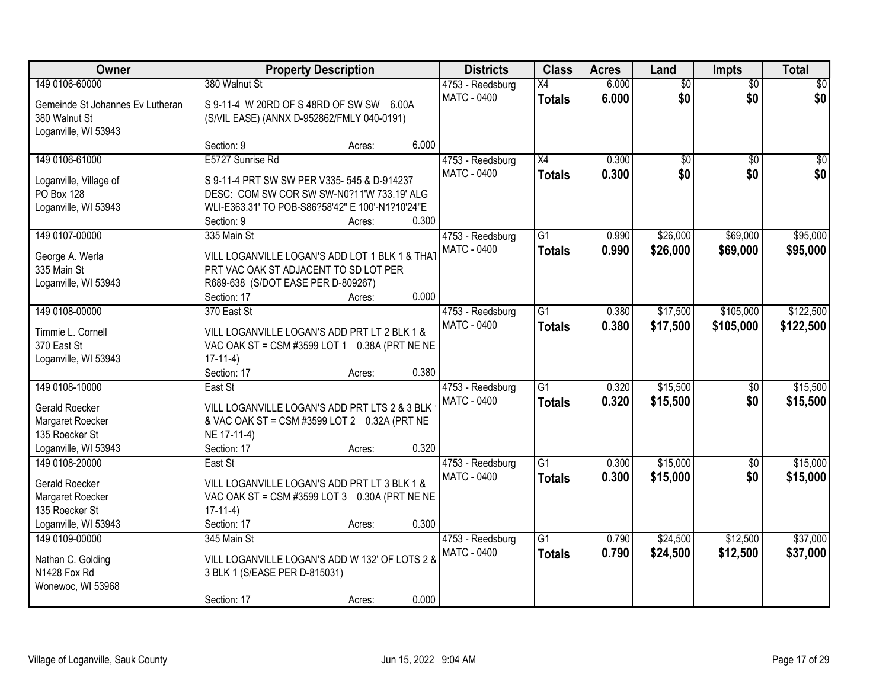| Owner                            |                                                                                         | <b>Property Description</b> |       | <b>Districts</b>   | <b>Class</b>    | <b>Acres</b> | Land            | <b>Impts</b>    | <b>Total</b> |
|----------------------------------|-----------------------------------------------------------------------------------------|-----------------------------|-------|--------------------|-----------------|--------------|-----------------|-----------------|--------------|
| 149 0106-60000                   | 380 Walnut St                                                                           |                             |       | 4753 - Reedsburg   | X4              | 6.000        | $\overline{60}$ | $\overline{50}$ | \$0          |
| Gemeinde St Johannes Ev Lutheran | S 9-11-4 W 20RD OF S 48RD OF SW SW 6.00A                                                |                             |       | <b>MATC - 0400</b> | <b>Totals</b>   | 6.000        | \$0             | \$0             | \$0          |
| 380 Walnut St                    | (S/VIL EASE) (ANNX D-952862/FMLY 040-0191)                                              |                             |       |                    |                 |              |                 |                 |              |
| Loganville, WI 53943             |                                                                                         |                             |       |                    |                 |              |                 |                 |              |
|                                  | Section: 9                                                                              | Acres:                      | 6.000 |                    |                 |              |                 |                 |              |
| 149 0106-61000                   | E5727 Sunrise Rd                                                                        |                             |       | 4753 - Reedsburg   | X4              | 0.300        | $\overline{50}$ | $\overline{50}$ | \$0          |
| Loganville, Village of           | S 9-11-4 PRT SW SW PER V335- 545 & D-914237                                             |                             |       | MATC - 0400        | <b>Totals</b>   | 0.300        | \$0             | \$0             | \$0          |
| PO Box 128                       | DESC: COM SW COR SW SW-N0?11'W 733.19' ALG                                              |                             |       |                    |                 |              |                 |                 |              |
| Loganville, WI 53943             | WLI-E363.31' TO POB-S86?58'42" E 100'-N1?10'24"E                                        |                             |       |                    |                 |              |                 |                 |              |
|                                  | Section: 9                                                                              | Acres:                      | 0.300 |                    |                 |              |                 |                 |              |
| 149 0107-00000                   | 335 Main St                                                                             |                             |       | 4753 - Reedsburg   | G1              | 0.990        | \$26,000        | \$69,000        | \$95,000     |
|                                  |                                                                                         |                             |       | <b>MATC - 0400</b> | <b>Totals</b>   | 0.990        | \$26,000        | \$69,000        | \$95,000     |
| George A. Werla<br>335 Main St   | VILL LOGANVILLE LOGAN'S ADD LOT 1 BLK 1 & THAT<br>PRT VAC OAK ST ADJACENT TO SD LOT PER |                             |       |                    |                 |              |                 |                 |              |
| Loganville, WI 53943             | R689-638 (S/DOT EASE PER D-809267)                                                      |                             |       |                    |                 |              |                 |                 |              |
|                                  | Section: 17                                                                             | Acres:                      | 0.000 |                    |                 |              |                 |                 |              |
| 149 0108-00000                   | 370 East St                                                                             |                             |       | 4753 - Reedsburg   | G1              | 0.380        | \$17,500        | \$105,000       | \$122,500    |
|                                  |                                                                                         |                             |       | MATC - 0400        | <b>Totals</b>   | 0.380        | \$17,500        | \$105,000       | \$122,500    |
| Timmie L. Cornell                | VILL LOGANVILLE LOGAN'S ADD PRT LT 2 BLK 1 &                                            |                             |       |                    |                 |              |                 |                 |              |
| 370 East St                      | VAC OAK ST = CSM #3599 LOT 1 0.38A (PRT NE NE                                           |                             |       |                    |                 |              |                 |                 |              |
| Loganville, WI 53943             | $17-11-4)$                                                                              |                             | 0.380 |                    |                 |              |                 |                 |              |
| 149 0108-10000                   | Section: 17                                                                             | Acres:                      |       |                    | $\overline{G1}$ | 0.320        | \$15,500        |                 | \$15,500     |
|                                  | East St                                                                                 |                             |       | 4753 - Reedsburg   |                 |              |                 | $\overline{50}$ |              |
| Gerald Roecker                   | VILL LOGANVILLE LOGAN'S ADD PRT LTS 2 & 3 BLK                                           |                             |       | <b>MATC - 0400</b> | <b>Totals</b>   | 0.320        | \$15,500        | \$0             | \$15,500     |
| Margaret Roecker                 | & VAC OAK ST = CSM #3599 LOT 2 0.32A (PRT NE                                            |                             |       |                    |                 |              |                 |                 |              |
| 135 Roecker St                   | NE 17-11-4)                                                                             |                             |       |                    |                 |              |                 |                 |              |
| Loganville, WI 53943             | Section: 17                                                                             | Acres:                      | 0.320 |                    |                 |              |                 |                 |              |
| 149 0108-20000                   | East St                                                                                 |                             |       | 4753 - Reedsburg   | $\overline{G1}$ | 0.300        | \$15,000        | $\overline{50}$ | \$15,000     |
| Gerald Roecker                   | VILL LOGANVILLE LOGAN'S ADD PRT LT 3 BLK 1 &                                            |                             |       | MATC - 0400        | <b>Totals</b>   | 0.300        | \$15,000        | \$0             | \$15,000     |
| Margaret Roecker                 | VAC OAK ST = CSM #3599 LOT 3 0.30A (PRT NE NE                                           |                             |       |                    |                 |              |                 |                 |              |
| 135 Roecker St                   | $17-11-4)$                                                                              |                             |       |                    |                 |              |                 |                 |              |
| Loganville, WI 53943             | Section: 17                                                                             | Acres:                      | 0.300 |                    |                 |              |                 |                 |              |
| 149 0109-00000                   | 345 Main St                                                                             |                             |       | 4753 - Reedsburg   | $\overline{G1}$ | 0.790        | \$24,500        | \$12,500        | \$37,000     |
| Nathan C. Golding                | VILL LOGANVILLE LOGAN'S ADD W 132' OF LOTS 2 &                                          |                             |       | MATC - 0400        | <b>Totals</b>   | 0.790        | \$24,500        | \$12,500        | \$37,000     |
| N1428 Fox Rd                     | 3 BLK 1 (S/EASE PER D-815031)                                                           |                             |       |                    |                 |              |                 |                 |              |
| Wonewoc, WI 53968                |                                                                                         |                             |       |                    |                 |              |                 |                 |              |
|                                  | Section: 17                                                                             | Acres:                      | 0.000 |                    |                 |              |                 |                 |              |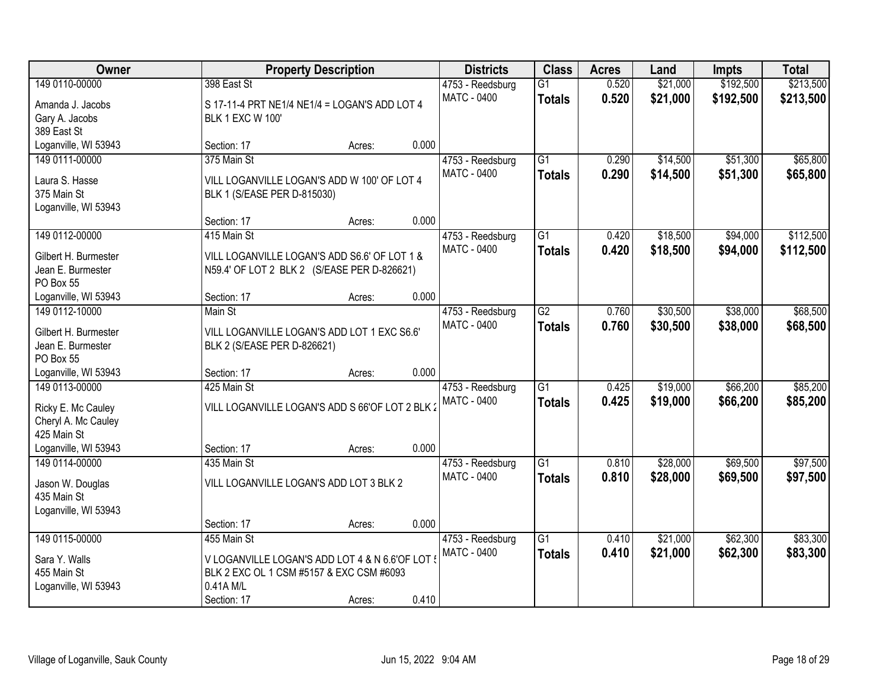| Owner                                     |                                                                            | <b>Property Description</b> |       | <b>Districts</b>                | <b>Class</b>    | <b>Acres</b> | Land     | <b>Impts</b> | <b>Total</b> |
|-------------------------------------------|----------------------------------------------------------------------------|-----------------------------|-------|---------------------------------|-----------------|--------------|----------|--------------|--------------|
| 149 0110-00000                            | 398 East St                                                                |                             |       | 4753 - Reedsburg                | $\overline{G1}$ | 0.520        | \$21,000 | \$192,500    | \$213,500    |
| Amanda J. Jacobs                          | S 17-11-4 PRT NE1/4 NE1/4 = LOGAN'S ADD LOT 4                              |                             |       | MATC - 0400                     | <b>Totals</b>   | 0.520        | \$21,000 | \$192,500    | \$213,500    |
| Gary A. Jacobs                            | <b>BLK 1 EXC W 100'</b>                                                    |                             |       |                                 |                 |              |          |              |              |
| 389 East St                               |                                                                            |                             |       |                                 |                 |              |          |              |              |
| Loganville, WI 53943                      | Section: 17                                                                | Acres:                      | 0.000 |                                 |                 |              |          |              |              |
| 149 0111-00000                            | 375 Main St                                                                |                             |       | 4753 - Reedsburg                | $\overline{G1}$ | 0.290        | \$14,500 | \$51,300     | \$65,800     |
| Laura S. Hasse                            | VILL LOGANVILLE LOGAN'S ADD W 100' OF LOT 4                                |                             |       | MATC - 0400                     | <b>Totals</b>   | 0.290        | \$14,500 | \$51,300     | \$65,800     |
| 375 Main St                               | BLK 1 (S/EASE PER D-815030)                                                |                             |       |                                 |                 |              |          |              |              |
| Loganville, WI 53943                      |                                                                            |                             |       |                                 |                 |              |          |              |              |
|                                           | Section: 17                                                                | Acres:                      | 0.000 |                                 |                 |              |          |              |              |
| 149 0112-00000                            | 415 Main St                                                                |                             |       | 4753 - Reedsburg                | $\overline{G1}$ | 0.420        | \$18,500 | \$94,000     | \$112,500    |
| Gilbert H. Burmester                      | VILL LOGANVILLE LOGAN'S ADD S6.6' OF LOT 1 &                               |                             |       | <b>MATC - 0400</b>              | <b>Totals</b>   | 0.420        | \$18,500 | \$94,000     | \$112,500    |
| Jean E. Burmester                         | N59.4' OF LOT 2 BLK 2 (S/EASE PER D-826621)                                |                             |       |                                 |                 |              |          |              |              |
| PO Box 55                                 |                                                                            |                             |       |                                 |                 |              |          |              |              |
| Loganville, WI 53943                      | Section: 17                                                                | Acres:                      | 0.000 |                                 |                 |              |          |              |              |
| 149 0112-10000                            | Main St                                                                    |                             |       | 4753 - Reedsburg                | $\overline{G2}$ | 0.760        | \$30,500 | \$38,000     | \$68,500     |
|                                           |                                                                            |                             |       | <b>MATC - 0400</b>              | <b>Totals</b>   | 0.760        | \$30,500 | \$38,000     | \$68,500     |
| Gilbert H. Burmester<br>Jean E. Burmester | VILL LOGANVILLE LOGAN'S ADD LOT 1 EXC S6.6'<br>BLK 2 (S/EASE PER D-826621) |                             |       |                                 |                 |              |          |              |              |
| PO Box 55                                 |                                                                            |                             |       |                                 |                 |              |          |              |              |
| Loganville, WI 53943                      | Section: 17                                                                | Acres:                      | 0.000 |                                 |                 |              |          |              |              |
| 149 0113-00000                            | 425 Main St                                                                |                             |       | 4753 - Reedsburg                | $\overline{G1}$ | 0.425        | \$19,000 | \$66,200     | \$85,200     |
|                                           |                                                                            |                             |       | <b>MATC - 0400</b>              | <b>Totals</b>   | 0.425        | \$19,000 | \$66,200     | \$85,200     |
| Ricky E. Mc Cauley                        | VILL LOGANVILLE LOGAN'S ADD S 66'OF LOT 2 BLK 2                            |                             |       |                                 |                 |              |          |              |              |
| Cheryl A. Mc Cauley<br>425 Main St        |                                                                            |                             |       |                                 |                 |              |          |              |              |
| Loganville, WI 53943                      | Section: 17                                                                | Acres:                      | 0.000 |                                 |                 |              |          |              |              |
| 149 0114-00000                            | 435 Main St                                                                |                             |       | 4753 - Reedsburg                | $\overline{G1}$ | 0.810        | \$28,000 | \$69,500     | \$97,500     |
|                                           |                                                                            |                             |       | MATC - 0400                     | <b>Totals</b>   | 0.810        | \$28,000 | \$69,500     | \$97,500     |
| Jason W. Douglas                          | VILL LOGANVILLE LOGAN'S ADD LOT 3 BLK 2                                    |                             |       |                                 |                 |              |          |              |              |
| 435 Main St                               |                                                                            |                             |       |                                 |                 |              |          |              |              |
| Loganville, WI 53943                      |                                                                            |                             |       |                                 |                 |              |          |              |              |
|                                           | Section: 17                                                                | Acres:                      | 0.000 |                                 | $\overline{G1}$ |              |          |              |              |
| 149 0115-00000                            | 455 Main St                                                                |                             |       | 4753 - Reedsburg<br>MATC - 0400 |                 | 0.410        | \$21,000 | \$62,300     | \$83,300     |
| Sara Y. Walls                             | V LOGANVILLE LOGAN'S ADD LOT 4 & N 6.6'OF LOT {                            |                             |       |                                 | <b>Totals</b>   | 0.410        | \$21,000 | \$62,300     | \$83,300     |
| 455 Main St                               | BLK 2 EXC OL 1 CSM #5157 & EXC CSM #6093                                   |                             |       |                                 |                 |              |          |              |              |
| Loganville, WI 53943                      | 0.41A M/L                                                                  |                             |       |                                 |                 |              |          |              |              |
|                                           | Section: 17                                                                | Acres:                      | 0.410 |                                 |                 |              |          |              |              |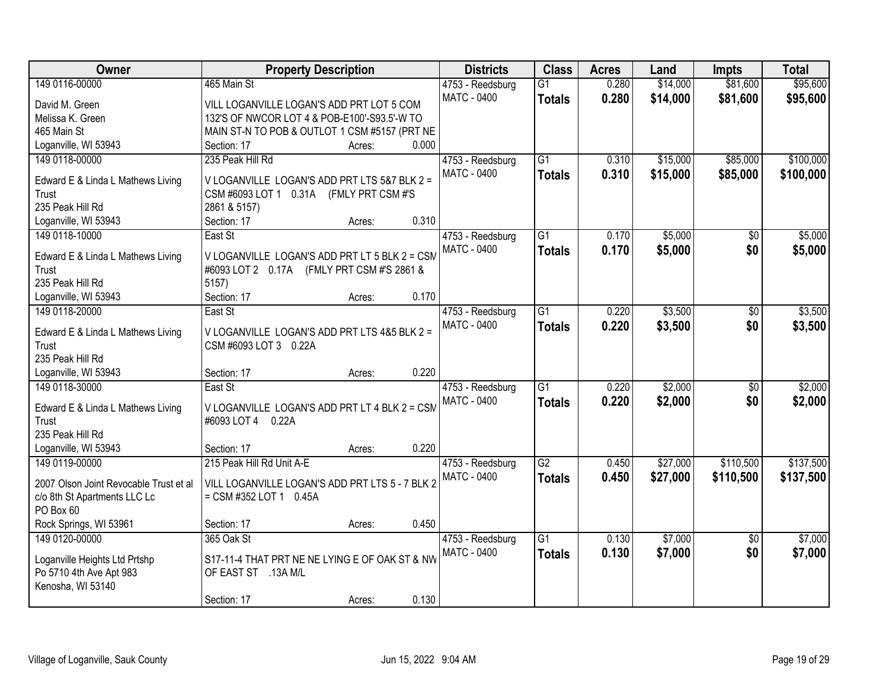| Owner                                      | <b>Property Description</b>                                                                 |       | <b>Districts</b>                       | <b>Class</b>    | <b>Acres</b> | Land     | <b>Impts</b>    | <b>Total</b> |
|--------------------------------------------|---------------------------------------------------------------------------------------------|-------|----------------------------------------|-----------------|--------------|----------|-----------------|--------------|
| 149 0116-00000                             | 465 Main St                                                                                 |       | 4753 - Reedsburg                       | $\overline{G1}$ | 0.280        | \$14,000 | \$81,600        | \$95,600     |
| David M. Green                             | VILL LOGANVILLE LOGAN'S ADD PRT LOT 5 COM                                                   |       | <b>MATC - 0400</b>                     | <b>Totals</b>   | 0.280        | \$14,000 | \$81,600        | \$95,600     |
| Melissa K. Green                           | 132'S OF NWCOR LOT 4 & POB-E100'-S93.5'-W TO                                                |       |                                        |                 |              |          |                 |              |
| 465 Main St                                | MAIN ST-N TO POB & OUTLOT 1 CSM #5157 (PRT NE                                               |       |                                        |                 |              |          |                 |              |
| Loganville, WI 53943                       | Section: 17<br>Acres:                                                                       | 0.000 |                                        |                 |              |          |                 |              |
| 149 0118-00000                             | 235 Peak Hill Rd                                                                            |       | 4753 - Reedsburg                       | $\overline{G1}$ | 0.310        | \$15,000 | \$85,000        | \$100,000    |
| Edward E & Linda L Mathews Living          | V LOGANVILLE LOGAN'S ADD PRT LTS 5&7 BLK 2 =                                                |       | <b>MATC - 0400</b>                     | <b>Totals</b>   | 0.310        | \$15,000 | \$85,000        | \$100,000    |
| Trust                                      | CSM #6093 LOT 1 0.31A (FMLY PRT CSM #'S                                                     |       |                                        |                 |              |          |                 |              |
| 235 Peak Hill Rd                           | 2861 & 5157)                                                                                |       |                                        |                 |              |          |                 |              |
| Loganville, WI 53943                       | Section: 17<br>Acres:                                                                       | 0.310 |                                        |                 |              |          |                 |              |
| 149 0118-10000                             | East St                                                                                     |       | 4753 - Reedsburg                       | $\overline{G1}$ | 0.170        | \$5,000  | \$0             | \$5,000      |
|                                            |                                                                                             |       | <b>MATC - 0400</b>                     | <b>Totals</b>   | 0.170        | \$5,000  | \$0             | \$5,000      |
| Edward E & Linda L Mathews Living<br>Trust | V LOGANVILLE LOGAN'S ADD PRT LT 5 BLK 2 = CSM<br>#6093 LOT 2 0.17A (FMLY PRT CSM #'S 2861 & |       |                                        |                 |              |          |                 |              |
| 235 Peak Hill Rd                           | 5157)                                                                                       |       |                                        |                 |              |          |                 |              |
| Loganville, WI 53943                       | Section: 17<br>Acres:                                                                       | 0.170 |                                        |                 |              |          |                 |              |
| 149 0118-20000                             | East St                                                                                     |       | 4753 - Reedsburg                       | $\overline{G1}$ | 0.220        | \$3,500  | \$0             | \$3,500      |
|                                            |                                                                                             |       | <b>MATC - 0400</b>                     | <b>Totals</b>   | 0.220        | \$3,500  | \$0             | \$3,500      |
| Edward E & Linda L Mathews Living          | V LOGANVILLE LOGAN'S ADD PRT LTS 4&5 BLK 2 =                                                |       |                                        |                 |              |          |                 |              |
| Trust                                      | CSM #6093 LOT 3 0.22A                                                                       |       |                                        |                 |              |          |                 |              |
| 235 Peak Hill Rd                           |                                                                                             | 0.220 |                                        |                 |              |          |                 |              |
| Loganville, WI 53943<br>149 0118-30000     | Section: 17<br>Acres:<br>East St                                                            |       |                                        | $\overline{G1}$ | 0.220        | \$2,000  | $\overline{50}$ | \$2,000      |
|                                            |                                                                                             |       | 4753 - Reedsburg<br><b>MATC - 0400</b> |                 | 0.220        |          | \$0             |              |
| Edward E & Linda L Mathews Living          | V LOGANVILLE LOGAN'S ADD PRT LT 4 BLK 2 = CSM                                               |       |                                        | Totals          |              | \$2,000  |                 | \$2,000      |
| Trust                                      | #6093 LOT 4 0.22A                                                                           |       |                                        |                 |              |          |                 |              |
| 235 Peak Hill Rd                           |                                                                                             |       |                                        |                 |              |          |                 |              |
| Loganville, WI 53943                       | Section: 17<br>Acres:                                                                       | 0.220 |                                        |                 |              |          |                 |              |
| 149 0119-00000                             | 215 Peak Hill Rd Unit A-E                                                                   |       | 4753 - Reedsburg                       | G2              | 0.450        | \$27,000 | \$110,500       | \$137,500    |
| 2007 Olson Joint Revocable Trust et al     | VILL LOGANVILLE LOGAN'S ADD PRT LTS 5 - 7 BLK 2                                             |       | MATC - 0400                            | <b>Totals</b>   | 0.450        | \$27,000 | \$110,500       | \$137,500    |
| c/o 8th St Apartments LLC Lc               | $=$ CSM #352 LOT 1 0.45A                                                                    |       |                                        |                 |              |          |                 |              |
| PO Box 60                                  |                                                                                             |       |                                        |                 |              |          |                 |              |
| Rock Springs, WI 53961                     | Section: 17<br>Acres:                                                                       | 0.450 |                                        |                 |              |          |                 |              |
| 149 0120-00000                             | 365 Oak St                                                                                  |       | 4753 - Reedsburg                       | G <sub>1</sub>  | 0.130        | \$7,000  | $\overline{30}$ | \$7,000      |
| Loganville Heights Ltd Prtshp              | S17-11-4 THAT PRT NE NE LYING E OF OAK ST & NW                                              |       | MATC - 0400                            | <b>Totals</b>   | 0.130        | \$7,000  | \$0             | \$7,000      |
| Po 5710 4th Ave Apt 983                    | OF EAST ST .13A M/L                                                                         |       |                                        |                 |              |          |                 |              |
| Kenosha, WI 53140                          |                                                                                             |       |                                        |                 |              |          |                 |              |
|                                            | Section: 17<br>Acres:                                                                       | 0.130 |                                        |                 |              |          |                 |              |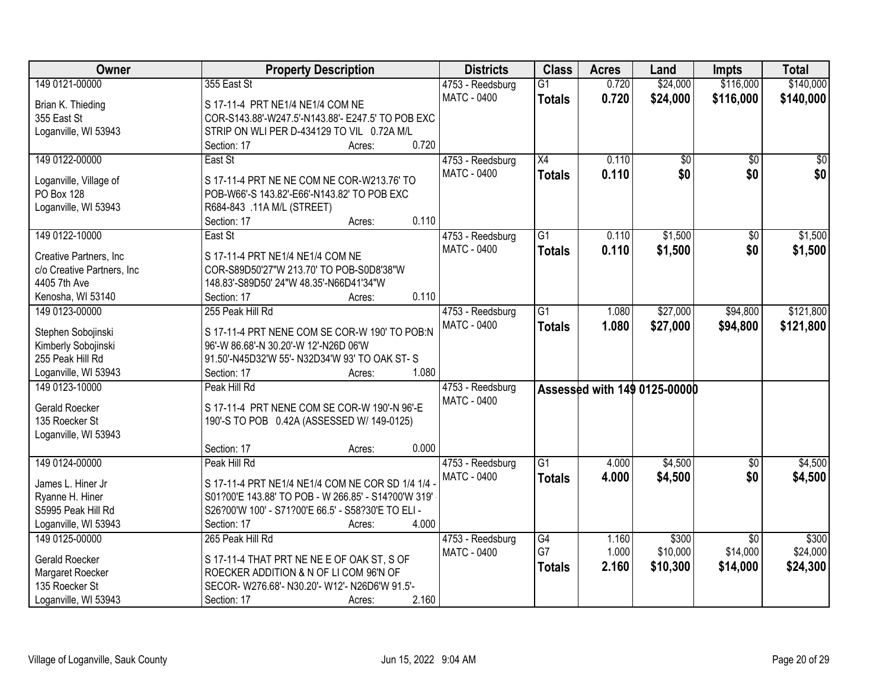| Owner                      | <b>Property Description</b>                         | <b>Districts</b>   | <b>Class</b>    | <b>Acres</b> | Land                         | <b>Impts</b>    | <b>Total</b> |
|----------------------------|-----------------------------------------------------|--------------------|-----------------|--------------|------------------------------|-----------------|--------------|
| 149 0121-00000             | 355 East St                                         | 4753 - Reedsburg   | $\overline{G1}$ | 0.720        | \$24,000                     | \$116,000       | \$140,000    |
| Brian K. Thieding          | S 17-11-4 PRT NE1/4 NE1/4 COM NE                    | MATC - 0400        | <b>Totals</b>   | 0.720        | \$24,000                     | \$116,000       | \$140,000    |
| 355 East St                | COR-S143.88'-W247.5'-N143.88'- E247.5' TO POB EXC   |                    |                 |              |                              |                 |              |
| Loganville, WI 53943       | STRIP ON WLI PER D-434129 TO VIL 0.72A M/L          |                    |                 |              |                              |                 |              |
|                            | 0.720<br>Section: 17<br>Acres:                      |                    |                 |              |                              |                 |              |
| 149 0122-00000             | East St                                             | 4753 - Reedsburg   | X4              | 0.110        | \$0                          | $\overline{50}$ | \$0          |
|                            |                                                     | MATC - 0400        | <b>Totals</b>   | 0.110        | \$0                          | \$0             | \$0          |
| Loganville, Village of     | S 17-11-4 PRT NE NE COM NE COR-W213.76' TO          |                    |                 |              |                              |                 |              |
| <b>PO Box 128</b>          | POB-W66'-S 143.82'-E66'-N143.82' TO POB EXC         |                    |                 |              |                              |                 |              |
| Loganville, WI 53943       | R684-843 .11A M/L (STREET)                          |                    |                 |              |                              |                 |              |
|                            | 0.110<br>Section: 17<br>Acres:                      |                    |                 |              |                              |                 |              |
| 149 0122-10000             | East St                                             | 4753 - Reedsburg   | $\overline{G1}$ | 0.110        | \$1,500                      | \$0             | \$1,500      |
| Creative Partners, Inc.    | S 17-11-4 PRT NE1/4 NE1/4 COM NE                    | <b>MATC - 0400</b> | <b>Totals</b>   | 0.110        | \$1,500                      | \$0             | \$1,500      |
| c/o Creative Partners, Inc | COR-S89D50'27"W 213.70' TO POB-S0D8'38"W            |                    |                 |              |                              |                 |              |
| 4405 7th Ave               | 148.83'-S89D50' 24"W 48.35'-N66D41'34"W             |                    |                 |              |                              |                 |              |
| Kenosha, WI 53140          | 0.110<br>Section: 17<br>Acres:                      |                    |                 |              |                              |                 |              |
| 149 0123-00000             | 255 Peak Hill Rd                                    | 4753 - Reedsburg   | $\overline{G1}$ | 1.080        | \$27,000                     | \$94,800        | \$121,800    |
|                            |                                                     | <b>MATC - 0400</b> | <b>Totals</b>   | 1.080        | \$27,000                     | \$94,800        | \$121,800    |
| Stephen Sobojinski         | S 17-11-4 PRT NENE COM SE COR-W 190' TO POB:N       |                    |                 |              |                              |                 |              |
| Kimberly Sobojinski        | 96'-W 86.68'-N 30.20'-W 12'-N26D 06'W               |                    |                 |              |                              |                 |              |
| 255 Peak Hill Rd           | 91.50'-N45D32'W 55'- N32D34'W 93' TO OAK ST-S       |                    |                 |              |                              |                 |              |
| Loganville, WI 53943       | 1.080<br>Section: 17<br>Acres:                      |                    |                 |              |                              |                 |              |
| 149 0123-10000             | Peak Hill Rd                                        | 4753 - Reedsburg   |                 |              | Assessed with 149 0125-00000 |                 |              |
| <b>Gerald Roecker</b>      | S 17-11-4 PRT NENE COM SE COR-W 190'-N 96'-E        | MATC - 0400        |                 |              |                              |                 |              |
| 135 Roecker St             | 190'-S TO POB 0.42A (ASSESSED W/ 149-0125)          |                    |                 |              |                              |                 |              |
| Loganville, WI 53943       |                                                     |                    |                 |              |                              |                 |              |
|                            | 0.000<br>Section: 17<br>Acres:                      |                    |                 |              |                              |                 |              |
| 149 0124-00000             | Peak Hill Rd                                        | 4753 - Reedsburg   | $\overline{G1}$ | 4.000        | \$4,500                      | \$0             | \$4,500      |
|                            |                                                     | <b>MATC - 0400</b> | <b>Totals</b>   | 4.000        | \$4,500                      | \$0             | \$4,500      |
| James L. Hiner Jr          | S 17-11-4 PRT NE1/4 NE1/4 COM NE COR SD 1/4 1/4 -   |                    |                 |              |                              |                 |              |
| Ryanne H. Hiner            | S01?00'E 143.88' TO POB - W 266.85' - S14?00'W 319' |                    |                 |              |                              |                 |              |
| S5995 Peak Hill Rd         | S26?00'W 100' - S71?00'E 66.5' - S58?30'E TO ELI -  |                    |                 |              |                              |                 |              |
| Loganville, WI 53943       | 4.000<br>Section: 17<br>Acres:                      |                    |                 |              |                              |                 |              |
| 149 0125-00000             | 265 Peak Hill Rd                                    | 4753 - Reedsburg   | G4              | 1.160        | \$300                        | $\overline{30}$ | \$300        |
| <b>Gerald Roecker</b>      | S 17-11-4 THAT PRT NE NE E OF OAK ST, S OF          | MATC - 0400        | G7              | 1.000        | \$10,000                     | \$14,000        | \$24,000     |
| Margaret Roecker           | ROECKER ADDITION & N OF LI COM 96'N OF              |                    | <b>Totals</b>   | 2.160        | \$10,300                     | \$14,000        | \$24,300     |
| 135 Roecker St             | SECOR- W276.68'- N30.20'- W12'- N26D6'W 91.5'-      |                    |                 |              |                              |                 |              |
| Loganville, WI 53943       | 2.160<br>Section: 17<br>Acres:                      |                    |                 |              |                              |                 |              |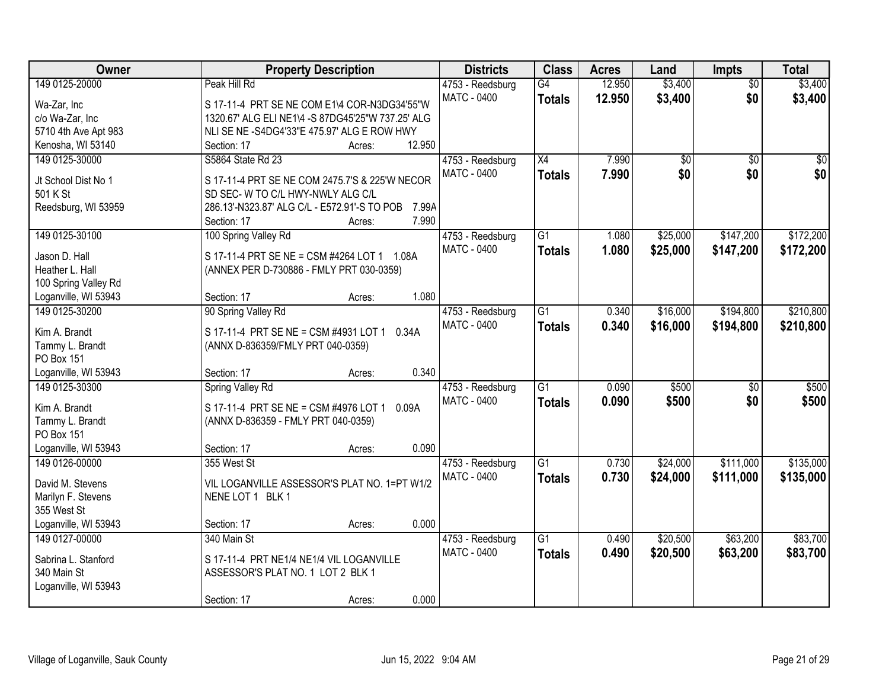| Owner                | <b>Property Description</b>                           | <b>Districts</b>                | <b>Class</b>    | <b>Acres</b> | Land            | <b>Impts</b>    | <b>Total</b>    |
|----------------------|-------------------------------------------------------|---------------------------------|-----------------|--------------|-----------------|-----------------|-----------------|
| 149 0125-20000       | Peak Hill Rd                                          | 4753 - Reedsburg                | G4              | 12.950       | \$3,400         | $\overline{50}$ | \$3,400         |
| Wa-Zar, Inc          | S 17-11-4 PRT SE NE COM E1\4 COR-N3DG34'55"W          | <b>MATC - 0400</b>              | <b>Totals</b>   | 12.950       | \$3,400         | \$0             | \$3,400         |
| c/o Wa-Zar, Inc      | 1320.67' ALG ELI NE1\4 -S 87DG45'25"W 737.25' ALG     |                                 |                 |              |                 |                 |                 |
| 5710 4th Ave Apt 983 | NLI SE NE -S4DG4'33"E 475.97' ALG E ROW HWY           |                                 |                 |              |                 |                 |                 |
| Kenosha, WI 53140    | 12.950<br>Section: 17<br>Acres:                       |                                 |                 |              |                 |                 |                 |
| 149 0125-30000       | S5864 State Rd 23                                     | 4753 - Reedsburg                | $\overline{X4}$ | 7.990        | $\overline{50}$ | $\overline{30}$ | $\overline{30}$ |
|                      |                                                       | <b>MATC - 0400</b>              | <b>Totals</b>   | 7.990        | \$0             | \$0             | \$0             |
| Jt School Dist No 1  | S 17-11-4 PRT SE NE COM 2475.7'S & 225'W NECOR        |                                 |                 |              |                 |                 |                 |
| 501 K St             | SD SEC- W TO C/L HWY-NWLY ALG C/L                     |                                 |                 |              |                 |                 |                 |
| Reedsburg, WI 53959  | 286.13'-N323.87' ALG C/L - E572.91'-S TO POB<br>7.99A |                                 |                 |              |                 |                 |                 |
|                      | 7.990<br>Section: 17<br>Acres:                        |                                 |                 |              |                 |                 |                 |
| 149 0125-30100       | 100 Spring Valley Rd                                  | 4753 - Reedsburg                | $\overline{G1}$ | 1.080        | \$25,000        | \$147,200       | \$172,200       |
| Jason D. Hall        | S 17-11-4 PRT SE NE = CSM #4264 LOT 1 1.08A           | <b>MATC - 0400</b>              | <b>Totals</b>   | 1.080        | \$25,000        | \$147,200       | \$172,200       |
| Heather L. Hall      | (ANNEX PER D-730886 - FMLY PRT 030-0359)              |                                 |                 |              |                 |                 |                 |
| 100 Spring Valley Rd |                                                       |                                 |                 |              |                 |                 |                 |
| Loganville, WI 53943 | 1.080<br>Section: 17<br>Acres:                        |                                 |                 |              |                 |                 |                 |
| 149 0125-30200       | 90 Spring Valley Rd                                   | 4753 - Reedsburg                | $\overline{G1}$ | 0.340        | \$16,000        | \$194,800       | \$210,800       |
|                      |                                                       | MATC - 0400                     | <b>Totals</b>   | 0.340        | \$16,000        | \$194,800       | \$210,800       |
| Kim A. Brandt        | S 17-11-4 PRT SE NE = CSM #4931 LOT 1<br>0.34A        |                                 |                 |              |                 |                 |                 |
| Tammy L. Brandt      | (ANNX D-836359/FMLY PRT 040-0359)                     |                                 |                 |              |                 |                 |                 |
| PO Box 151           |                                                       |                                 |                 |              |                 |                 |                 |
| Loganville, WI 53943 | 0.340<br>Section: 17<br>Acres:                        |                                 |                 |              |                 |                 |                 |
| 149 0125-30300       | <b>Spring Valley Rd</b>                               | 4753 - Reedsburg                | $\overline{G1}$ | 0.090        | \$500           | $\overline{50}$ | \$500           |
| Kim A. Brandt        | S 17-11-4 PRT SE NE = CSM #4976 LOT 1 0.09A           | <b>MATC - 0400</b>              | <b>Totals</b>   | 0.090        | \$500           | \$0             | \$500           |
| Tammy L. Brandt      | (ANNX D-836359 - FMLY PRT 040-0359)                   |                                 |                 |              |                 |                 |                 |
| PO Box 151           |                                                       |                                 |                 |              |                 |                 |                 |
| Loganville, WI 53943 | 0.090<br>Section: 17<br>Acres:                        |                                 |                 |              |                 |                 |                 |
| 149 0126-00000       | 355 West St                                           |                                 | $\overline{G1}$ | 0.730        | \$24,000        | \$111,000       | \$135,000       |
|                      |                                                       | 4753 - Reedsburg<br>MATC - 0400 |                 |              |                 |                 |                 |
| David M. Stevens     | VIL LOGANVILLE ASSESSOR'S PLAT NO. 1=PT W1/2          |                                 | <b>Totals</b>   | 0.730        | \$24,000        | \$111,000       | \$135,000       |
| Marilyn F. Stevens   | NENE LOT 1 BLK 1                                      |                                 |                 |              |                 |                 |                 |
| 355 West St          |                                                       |                                 |                 |              |                 |                 |                 |
| Loganville, WI 53943 | 0.000<br>Section: 17<br>Acres:                        |                                 |                 |              |                 |                 |                 |
| 149 0127-00000       | 340 Main St                                           | 4753 - Reedsburg                | $\overline{G1}$ | 0.490        | \$20,500        | \$63,200        | \$83,700        |
|                      | S 17-11-4 PRT NE1/4 NE1/4 VIL LOGANVILLE              | <b>MATC - 0400</b>              | <b>Totals</b>   | 0.490        | \$20,500        | \$63,200        | \$83,700        |
| Sabrina L. Stanford  |                                                       |                                 |                 |              |                 |                 |                 |
| 340 Main St          | ASSESSOR'S PLAT NO. 1 LOT 2 BLK 1                     |                                 |                 |              |                 |                 |                 |
| Loganville, WI 53943 |                                                       |                                 |                 |              |                 |                 |                 |
|                      | 0.000<br>Section: 17<br>Acres:                        |                                 |                 |              |                 |                 |                 |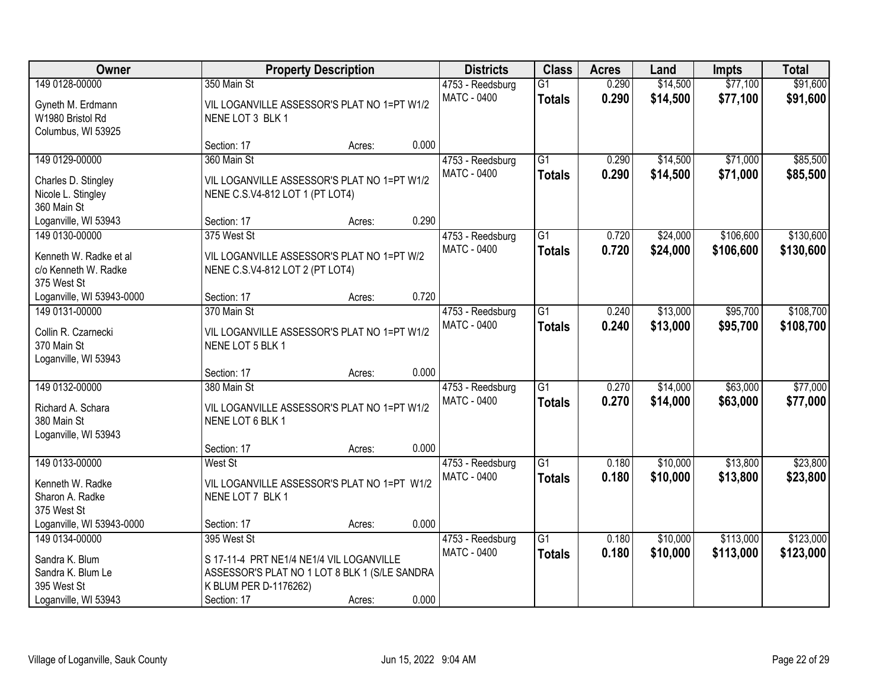| <b>Owner</b>                                                  |                                                                                           | <b>Property Description</b> |       | <b>Districts</b>                       | <b>Class</b>                     | <b>Acres</b>   | Land                 | <b>Impts</b>         | <b>Total</b>         |
|---------------------------------------------------------------|-------------------------------------------------------------------------------------------|-----------------------------|-------|----------------------------------------|----------------------------------|----------------|----------------------|----------------------|----------------------|
| 149 0128-00000                                                | 350 Main St                                                                               |                             |       | 4753 - Reedsburg                       | $\overline{G1}$                  | 0.290          | \$14,500             | \$77,100             | \$91,600             |
| Gyneth M. Erdmann<br>W1980 Bristol Rd<br>Columbus, WI 53925   | VIL LOGANVILLE ASSESSOR'S PLAT NO 1=PT W1/2<br>NENE LOT 3 BLK 1                           |                             |       | <b>MATC - 0400</b>                     | <b>Totals</b>                    | 0.290          | \$14,500             | \$77,100             | \$91,600             |
|                                                               | Section: 17                                                                               | Acres:                      | 0.000 |                                        |                                  |                |                      |                      |                      |
| 149 0129-00000                                                | 360 Main St                                                                               |                             |       | 4753 - Reedsburg                       | $\overline{G1}$                  | 0.290          | \$14,500             | \$71,000             | \$85,500             |
| Charles D. Stingley<br>Nicole L. Stingley<br>360 Main St      | VIL LOGANVILLE ASSESSOR'S PLAT NO 1=PT W1/2<br>NENE C.S.V4-812 LOT 1 (PT LOT4)            |                             |       | <b>MATC - 0400</b>                     | <b>Totals</b>                    | 0.290          | \$14,500             | \$71,000             | \$85,500             |
| Loganville, WI 53943                                          | Section: 17                                                                               | Acres:                      | 0.290 |                                        |                                  |                |                      |                      |                      |
| 149 0130-00000                                                | 375 West St                                                                               |                             |       | 4753 - Reedsburg                       | G1                               | 0.720          | \$24,000             | \$106,600            | \$130,600            |
| Kenneth W. Radke et al<br>c/o Kenneth W. Radke<br>375 West St | VIL LOGANVILLE ASSESSOR'S PLAT NO 1=PT W/2<br>NENE C.S.V4-812 LOT 2 (PT LOT4)             |                             |       | MATC - 0400                            | <b>Totals</b>                    | 0.720          | \$24,000             | \$106,600            | \$130,600            |
| Loganville, WI 53943-0000                                     | Section: 17                                                                               | Acres:                      | 0.720 |                                        |                                  |                |                      |                      |                      |
| 149 0131-00000                                                | 370 Main St                                                                               |                             |       | 4753 - Reedsburg                       | $\overline{G1}$                  | 0.240          | \$13,000             | \$95,700             | \$108,700            |
| Collin R. Czarnecki<br>370 Main St<br>Loganville, WI 53943    | VIL LOGANVILLE ASSESSOR'S PLAT NO 1=PT W1/2<br>NENE LOT 5 BLK 1                           |                             |       | <b>MATC - 0400</b>                     | <b>Totals</b>                    | 0.240          | \$13,000             | \$95,700             | \$108,700            |
|                                                               | Section: 17                                                                               | Acres:                      | 0.000 |                                        |                                  |                |                      |                      |                      |
| 149 0132-00000<br>Richard A. Schara<br>380 Main St            | 380 Main St<br>VIL LOGANVILLE ASSESSOR'S PLAT NO 1=PT W1/2<br>NENE LOT 6 BLK 1            |                             |       | 4753 - Reedsburg<br><b>MATC - 0400</b> | $\overline{G1}$<br><b>Totals</b> | 0.270<br>0.270 | \$14,000<br>\$14,000 | \$63,000<br>\$63,000 | \$77,000<br>\$77,000 |
| Loganville, WI 53943                                          |                                                                                           |                             |       |                                        |                                  |                |                      |                      |                      |
|                                                               | Section: 17                                                                               | Acres:                      | 0.000 |                                        |                                  |                |                      |                      |                      |
| 149 0133-00000                                                | West St                                                                                   |                             |       | 4753 - Reedsburg                       | $\overline{G1}$                  | 0.180          | \$10,000             | \$13,800             | \$23,800             |
| Kenneth W. Radke<br>Sharon A. Radke<br>375 West St            | VIL LOGANVILLE ASSESSOR'S PLAT NO 1=PT W1/2<br>NENE LOT 7 BLK 1                           |                             |       | MATC - 0400                            | <b>Totals</b>                    | 0.180          | \$10,000             | \$13,800             | \$23,800             |
| Loganville, WI 53943-0000                                     | Section: 17                                                                               | Acres:                      | 0.000 |                                        |                                  |                |                      |                      |                      |
| 149 0134-00000                                                | 395 West St                                                                               |                             |       | 4753 - Reedsburg                       | $\overline{G1}$                  | 0.180          | \$10,000             | \$113,000            | \$123,000            |
| Sandra K. Blum<br>Sandra K. Blum Le                           | S 17-11-4 PRT NE1/4 NE1/4 VIL LOGANVILLE<br>ASSESSOR'S PLAT NO 1 LOT 8 BLK 1 (S/LE SANDRA |                             |       | <b>MATC - 0400</b>                     | <b>Totals</b>                    | 0.180          | \$10,000             | \$113,000            | \$123,000            |
| 395 West St<br>Loganville, WI 53943                           | K BLUM PER D-1176262)<br>Section: 17                                                      | Acres:                      | 0.000 |                                        |                                  |                |                      |                      |                      |
|                                                               |                                                                                           |                             |       |                                        |                                  |                |                      |                      |                      |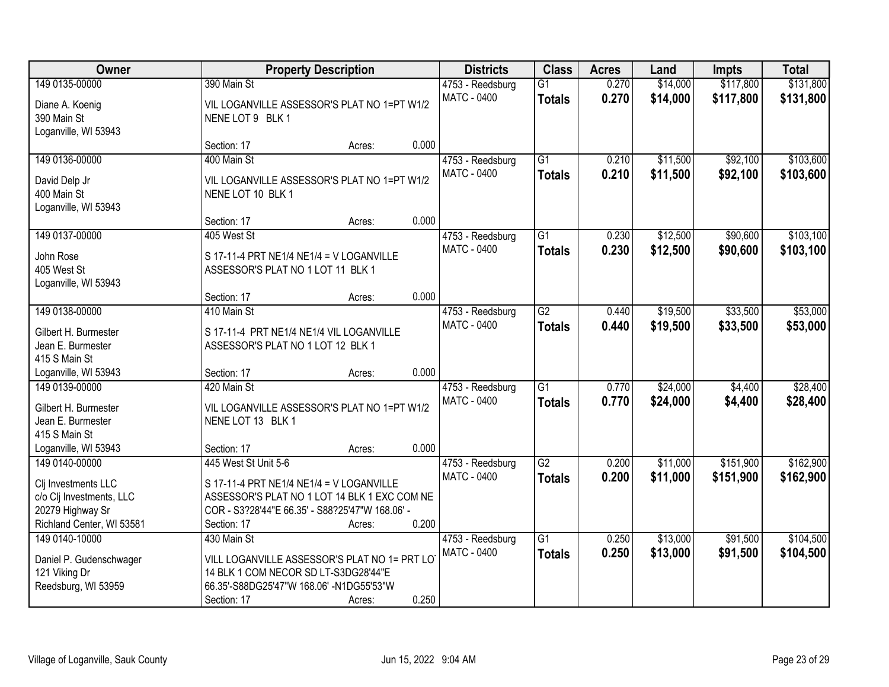| Owner                                                           |                                                                                  | <b>Property Description</b>                     |       | <b>Districts</b>                       | <b>Class</b>                     | <b>Acres</b>   | Land                 | <b>Impts</b>       | <b>Total</b>         |
|-----------------------------------------------------------------|----------------------------------------------------------------------------------|-------------------------------------------------|-------|----------------------------------------|----------------------------------|----------------|----------------------|--------------------|----------------------|
| 149 0135-00000                                                  | 390 Main St                                                                      |                                                 |       | 4753 - Reedsburg                       | $\overline{G1}$                  | 0.270          | \$14,000             | \$117,800          | \$131,800            |
| Diane A. Koenig<br>390 Main St<br>Loganville, WI 53943          | NENE LOT 9 BLK 1                                                                 | VIL LOGANVILLE ASSESSOR'S PLAT NO 1=PT W1/2     |       | <b>MATC - 0400</b>                     | <b>Totals</b>                    | 0.270          | \$14,000             | \$117,800          | \$131,800            |
|                                                                 | Section: 17                                                                      | Acres:                                          | 0.000 |                                        |                                  |                |                      |                    |                      |
| 149 0136-00000                                                  | 400 Main St                                                                      |                                                 |       | 4753 - Reedsburg                       | $\overline{G1}$                  | 0.210          | \$11,500             | \$92,100           | \$103,600            |
| David Delp Jr<br>400 Main St<br>Loganville, WI 53943            | NENE LOT 10 BLK 1                                                                | VIL LOGANVILLE ASSESSOR'S PLAT NO 1=PT W1/2     |       | MATC - 0400                            | <b>Totals</b>                    | 0.210          | \$11,500             | \$92,100           | \$103,600            |
|                                                                 | Section: 17                                                                      | Acres:                                          | 0.000 |                                        |                                  |                |                      |                    |                      |
| 149 0137-00000                                                  | 405 West St                                                                      |                                                 |       | 4753 - Reedsburg                       | $\overline{G1}$                  | 0.230          | \$12,500             | \$90,600           | \$103,100            |
| John Rose<br>405 West St<br>Loganville, WI 53943                | ASSESSOR'S PLAT NO 1 LOT 11 BLK 1                                                | S 17-11-4 PRT NE1/4 NE1/4 = V LOGANVILLE        |       | MATC - 0400                            | <b>Totals</b>                    | 0.230          | \$12,500             | \$90,600           | \$103,100            |
|                                                                 | Section: 17                                                                      | Acres:                                          | 0.000 |                                        |                                  |                |                      |                    |                      |
| 149 0138-00000                                                  | 410 Main St                                                                      |                                                 |       | 4753 - Reedsburg                       | $\overline{G2}$                  | 0.440          | \$19,500             | \$33,500           | \$53,000             |
| Gilbert H. Burmester<br>Jean E. Burmester<br>415 S Main St      | ASSESSOR'S PLAT NO 1 LOT 12 BLK 1                                                | S 17-11-4 PRT NE1/4 NE1/4 VIL LOGANVILLE        |       | <b>MATC - 0400</b>                     | <b>Totals</b>                    | 0.440          | \$19,500             | \$33,500           | \$53,000             |
| Loganville, WI 53943                                            | Section: 17                                                                      | Acres:                                          | 0.000 |                                        |                                  |                |                      |                    |                      |
| 149 0139-00000                                                  | 420 Main St                                                                      |                                                 |       | 4753 - Reedsburg<br><b>MATC - 0400</b> | $\overline{G1}$<br><b>Totals</b> | 0.770<br>0.770 | \$24,000<br>\$24,000 | \$4,400<br>\$4,400 | \$28,400<br>\$28,400 |
| Gilbert H. Burmester<br>Jean E. Burmester<br>415 S Main St      | NENE LOT 13 BLK 1                                                                | VIL LOGANVILLE ASSESSOR'S PLAT NO 1=PT W1/2     |       |                                        |                                  |                |                      |                    |                      |
| Loganville, WI 53943                                            | Section: 17                                                                      | Acres:                                          | 0.000 |                                        |                                  |                |                      |                    |                      |
| 149 0140-00000                                                  | 445 West St Unit 5-6                                                             |                                                 |       | 4753 - Reedsburg                       | $\overline{G2}$                  | 0.200          | \$11,000             | \$151,900          | \$162,900            |
| Clj Investments LLC                                             |                                                                                  | S 17-11-4 PRT NE1/4 NE1/4 = V LOGANVILLE        |       | <b>MATC - 0400</b>                     | <b>Totals</b>                    | 0.200          | \$11,000             | \$151,900          | \$162,900            |
| c/o Clj Investments, LLC                                        |                                                                                  | ASSESSOR'S PLAT NO 1 LOT 14 BLK 1 EXC COM NE    |       |                                        |                                  |                |                      |                    |                      |
| 20279 Highway Sr                                                |                                                                                  | COR - S3?28'44"E 66.35' - S88?25'47"W 168.06' - |       |                                        |                                  |                |                      |                    |                      |
| Richland Center, WI 53581                                       | Section: 17                                                                      | Acres:                                          | 0.200 |                                        |                                  |                |                      |                    |                      |
| 149 0140-10000                                                  | 430 Main St                                                                      |                                                 |       | 4753 - Reedsburg                       | $\overline{G1}$                  | 0.250          | \$13,000             | \$91,500           | \$104,500            |
| Daniel P. Gudenschwager<br>121 Viking Dr<br>Reedsburg, WI 53959 | 14 BLK 1 COM NECOR SD LT-S3DG28'44"E<br>66.35'-S88DG25'47"W 168.06' -N1DG55'53"W | VILL LOGANVILLE ASSESSOR'S PLAT NO 1= PRT LO    |       | MATC - 0400                            | <b>Totals</b>                    | 0.250          | \$13,000             | \$91,500           | \$104,500            |
|                                                                 | Section: 17                                                                      | Acres:                                          | 0.250 |                                        |                                  |                |                      |                    |                      |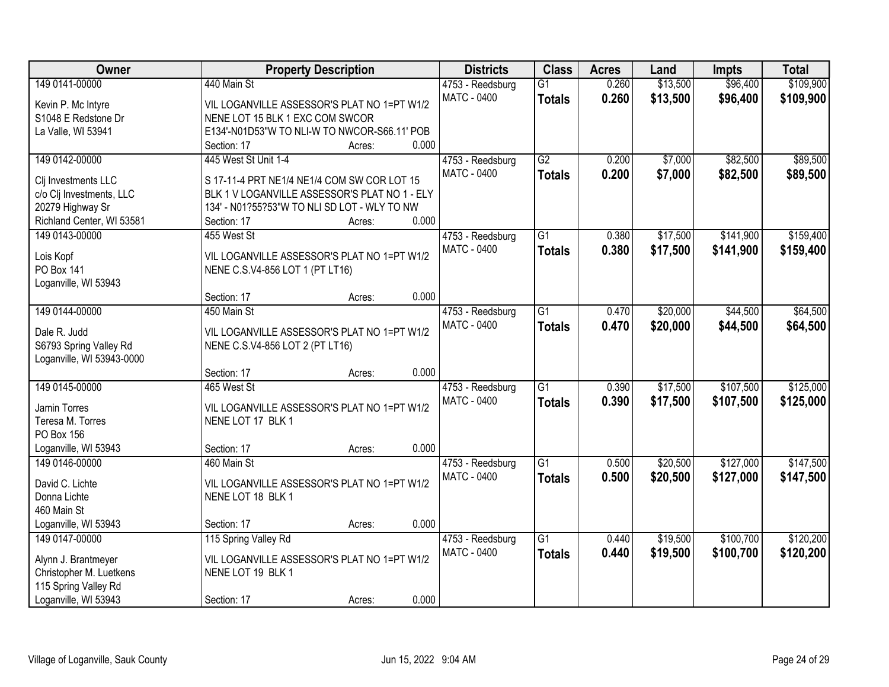| Owner                                        |                                                                                              | <b>Property Description</b> |       | <b>Districts</b>   | <b>Class</b>    | <b>Acres</b> | Land     | <b>Impts</b> | <b>Total</b> |
|----------------------------------------------|----------------------------------------------------------------------------------------------|-----------------------------|-------|--------------------|-----------------|--------------|----------|--------------|--------------|
| 149 0141-00000                               | 440 Main St                                                                                  |                             |       | 4753 - Reedsburg   | $\overline{G1}$ | 0.260        | \$13,500 | \$96,400     | \$109,900    |
| Kevin P. Mc Intyre                           | VIL LOGANVILLE ASSESSOR'S PLAT NO 1=PT W1/2                                                  |                             |       | <b>MATC - 0400</b> | <b>Totals</b>   | 0.260        | \$13,500 | \$96,400     | \$109,900    |
| S1048 E Redstone Dr                          | NENE LOT 15 BLK 1 EXC COM SWCOR                                                              |                             |       |                    |                 |              |          |              |              |
| La Valle, WI 53941                           | E134'-N01D53"W TO NLI-W TO NWCOR-S66.11' POB                                                 |                             |       |                    |                 |              |          |              |              |
|                                              | Section: 17                                                                                  | Acres:                      | 0.000 |                    |                 |              |          |              |              |
| 149 0142-00000                               | 445 West St Unit 1-4                                                                         |                             |       | 4753 - Reedsburg   | $\overline{G2}$ | 0.200        | \$7,000  | \$82,500     | \$89,500     |
|                                              |                                                                                              |                             |       | <b>MATC - 0400</b> | <b>Totals</b>   | 0.200        | \$7,000  | \$82,500     | \$89,500     |
| Clj Investments LLC                          | S 17-11-4 PRT NE1/4 NE1/4 COM SW COR LOT 15<br>BLK 1 V LOGANVILLE ASSESSOR'S PLAT NO 1 - ELY |                             |       |                    |                 |              |          |              |              |
| c/o Clj Investments, LLC<br>20279 Highway Sr | 134' - N01?55?53"W TO NLI SD LOT - WLY TO NW                                                 |                             |       |                    |                 |              |          |              |              |
| Richland Center, WI 53581                    | Section: 17                                                                                  | Acres:                      | 0.000 |                    |                 |              |          |              |              |
| 149 0143-00000                               | 455 West St                                                                                  |                             |       | 4753 - Reedsburg   | $\overline{G1}$ | 0.380        | \$17,500 | \$141,900    | \$159,400    |
|                                              |                                                                                              |                             |       | <b>MATC - 0400</b> |                 | 0.380        |          |              |              |
| Lois Kopf                                    | VIL LOGANVILLE ASSESSOR'S PLAT NO 1=PT W1/2                                                  |                             |       |                    | <b>Totals</b>   |              | \$17,500 | \$141,900    | \$159,400    |
| PO Box 141                                   | NENE C.S.V4-856 LOT 1 (PT LT16)                                                              |                             |       |                    |                 |              |          |              |              |
| Loganville, WI 53943                         |                                                                                              |                             |       |                    |                 |              |          |              |              |
|                                              | Section: 17                                                                                  | Acres:                      | 0.000 |                    |                 |              |          |              |              |
| 149 0144-00000                               | 450 Main St                                                                                  |                             |       | 4753 - Reedsburg   | $\overline{G1}$ | 0.470        | \$20,000 | \$44,500     | \$64,500     |
| Dale R. Judd                                 | VIL LOGANVILLE ASSESSOR'S PLAT NO 1=PT W1/2                                                  |                             |       | <b>MATC - 0400</b> | <b>Totals</b>   | 0.470        | \$20,000 | \$44,500     | \$64,500     |
| S6793 Spring Valley Rd                       | NENE C.S.V4-856 LOT 2 (PT LT16)                                                              |                             |       |                    |                 |              |          |              |              |
| Loganville, WI 53943-0000                    |                                                                                              |                             |       |                    |                 |              |          |              |              |
|                                              | Section: 17                                                                                  | Acres:                      | 0.000 |                    |                 |              |          |              |              |
| 149 0145-00000                               | 465 West St                                                                                  |                             |       | 4753 - Reedsburg   | $\overline{G1}$ | 0.390        | \$17,500 | \$107,500    | \$125,000    |
|                                              |                                                                                              |                             |       | <b>MATC - 0400</b> | <b>Totals</b>   | 0.390        | \$17,500 | \$107,500    | \$125,000    |
| Jamin Torres                                 | VIL LOGANVILLE ASSESSOR'S PLAT NO 1=PT W1/2                                                  |                             |       |                    |                 |              |          |              |              |
| Teresa M. Torres                             | NENE LOT 17 BLK 1                                                                            |                             |       |                    |                 |              |          |              |              |
| PO Box 156                                   |                                                                                              |                             |       |                    |                 |              |          |              |              |
| Loganville, WI 53943                         | Section: 17                                                                                  | Acres:                      | 0.000 |                    |                 |              |          |              |              |
| 149 0146-00000                               | 460 Main St                                                                                  |                             |       | 4753 - Reedsburg   | G1              | 0.500        | \$20,500 | \$127,000    | \$147,500    |
| David C. Lichte                              | VIL LOGANVILLE ASSESSOR'S PLAT NO 1=PT W1/2                                                  |                             |       | <b>MATC - 0400</b> | <b>Totals</b>   | 0.500        | \$20,500 | \$127,000    | \$147,500    |
| Donna Lichte                                 | NENE LOT 18 BLK 1                                                                            |                             |       |                    |                 |              |          |              |              |
| 460 Main St                                  |                                                                                              |                             |       |                    |                 |              |          |              |              |
| Loganville, WI 53943                         | Section: 17                                                                                  | Acres:                      | 0.000 |                    |                 |              |          |              |              |
| 149 0147-00000                               | 115 Spring Valley Rd                                                                         |                             |       | 4753 - Reedsburg   | $\overline{G1}$ | 0.440        | \$19,500 | \$100,700    | \$120,200    |
|                                              |                                                                                              |                             |       | <b>MATC - 0400</b> | <b>Totals</b>   | 0.440        | \$19,500 | \$100,700    | \$120,200    |
| Alynn J. Brantmeyer                          | VIL LOGANVILLE ASSESSOR'S PLAT NO 1=PT W1/2                                                  |                             |       |                    |                 |              |          |              |              |
| Christopher M. Luetkens                      | NENE LOT 19 BLK 1                                                                            |                             |       |                    |                 |              |          |              |              |
| 115 Spring Valley Rd                         |                                                                                              |                             |       |                    |                 |              |          |              |              |
| Loganville, WI 53943                         | Section: 17                                                                                  | Acres:                      | 0.000 |                    |                 |              |          |              |              |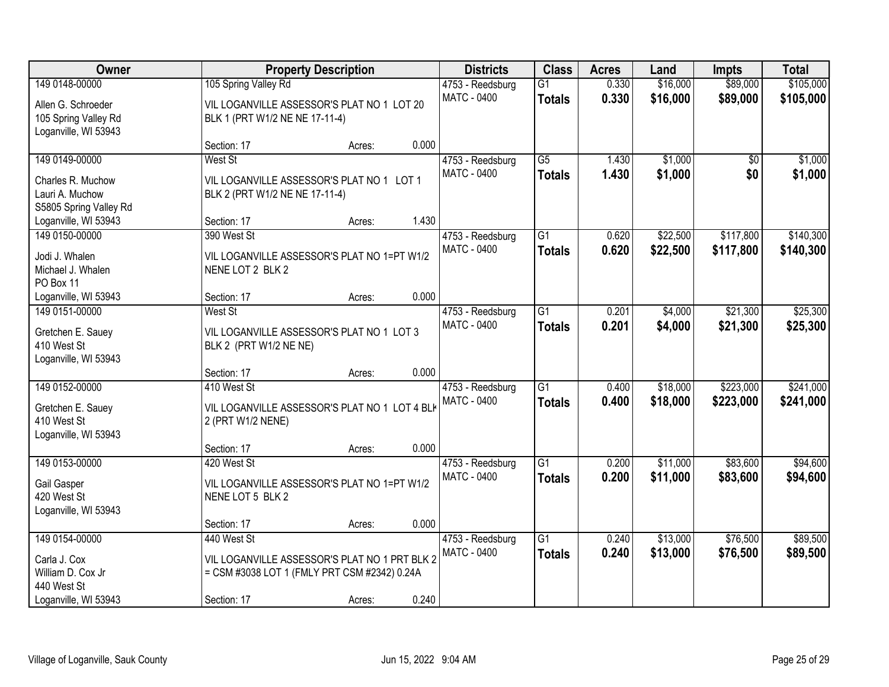| Owner                  | <b>Property Description</b>                   |        |       | <b>Districts</b>   | <b>Class</b>    | <b>Acres</b> | Land     | <b>Impts</b>    | <b>Total</b> |
|------------------------|-----------------------------------------------|--------|-------|--------------------|-----------------|--------------|----------|-----------------|--------------|
| 149 0148-00000         | 105 Spring Valley Rd                          |        |       | 4753 - Reedsburg   | $\overline{G1}$ | 0.330        | \$16,000 | \$89,000        | \$105,000    |
| Allen G. Schroeder     | VIL LOGANVILLE ASSESSOR'S PLAT NO 1 LOT 20    |        |       | <b>MATC - 0400</b> | <b>Totals</b>   | 0.330        | \$16,000 | \$89,000        | \$105,000    |
| 105 Spring Valley Rd   | BLK 1 (PRT W1/2 NE NE 17-11-4)                |        |       |                    |                 |              |          |                 |              |
| Loganville, WI 53943   |                                               |        |       |                    |                 |              |          |                 |              |
|                        | Section: 17                                   | Acres: | 0.000 |                    |                 |              |          |                 |              |
| 149 0149-00000         | West St                                       |        |       | 4753 - Reedsburg   | $\overline{G5}$ | 1.430        | \$1,000  | $\overline{50}$ | \$1,000      |
| Charles R. Muchow      | VIL LOGANVILLE ASSESSOR'S PLAT NO 1 LOT 1     |        |       | MATC - 0400        | <b>Totals</b>   | 1.430        | \$1,000  | \$0             | \$1,000      |
| Lauri A. Muchow        | BLK 2 (PRT W1/2 NE NE 17-11-4)                |        |       |                    |                 |              |          |                 |              |
| S5805 Spring Valley Rd |                                               |        |       |                    |                 |              |          |                 |              |
| Loganville, WI 53943   | Section: 17                                   | Acres: | 1.430 |                    |                 |              |          |                 |              |
| 149 0150-00000         | 390 West St                                   |        |       | 4753 - Reedsburg   | $\overline{G1}$ | 0.620        | \$22,500 | \$117,800       | \$140,300    |
| Jodi J. Whalen         | VIL LOGANVILLE ASSESSOR'S PLAT NO 1=PT W1/2   |        |       | MATC - 0400        | <b>Totals</b>   | 0.620        | \$22,500 | \$117,800       | \$140,300    |
| Michael J. Whalen      | NENE LOT 2 BLK 2                              |        |       |                    |                 |              |          |                 |              |
| PO Box 11              |                                               |        |       |                    |                 |              |          |                 |              |
| Loganville, WI 53943   | Section: 17                                   | Acres: | 0.000 |                    |                 |              |          |                 |              |
| 149 0151-00000         | West St                                       |        |       | 4753 - Reedsburg   | $\overline{G1}$ | 0.201        | \$4,000  | \$21,300        | \$25,300     |
| Gretchen E. Sauey      | VIL LOGANVILLE ASSESSOR'S PLAT NO 1 LOT 3     |        |       | <b>MATC - 0400</b> | <b>Totals</b>   | 0.201        | \$4,000  | \$21,300        | \$25,300     |
| 410 West St            | BLK 2 (PRT W1/2 NE NE)                        |        |       |                    |                 |              |          |                 |              |
| Loganville, WI 53943   |                                               |        |       |                    |                 |              |          |                 |              |
|                        | Section: 17                                   | Acres: | 0.000 |                    |                 |              |          |                 |              |
| 149 0152-00000         | 410 West St                                   |        |       | 4753 - Reedsburg   | $\overline{G1}$ | 0.400        | \$18,000 | \$223,000       | \$241,000    |
| Gretchen E. Sauey      | VIL LOGANVILLE ASSESSOR'S PLAT NO 1 LOT 4 BL  |        |       | <b>MATC - 0400</b> | <b>Totals</b>   | 0.400        | \$18,000 | \$223,000       | \$241,000    |
| 410 West St            | 2 (PRT W1/2 NENE)                             |        |       |                    |                 |              |          |                 |              |
| Loganville, WI 53943   |                                               |        |       |                    |                 |              |          |                 |              |
|                        | Section: 17                                   | Acres: | 0.000 |                    |                 |              |          |                 |              |
| 149 0153-00000         | 420 West St                                   |        |       | 4753 - Reedsburg   | $\overline{G1}$ | 0.200        | \$11,000 | \$83,600        | \$94,600     |
| Gail Gasper            | VIL LOGANVILLE ASSESSOR'S PLAT NO 1=PT W1/2   |        |       | <b>MATC - 0400</b> | <b>Totals</b>   | 0.200        | \$11,000 | \$83,600        | \$94,600     |
| 420 West St            | NENE LOT 5 BLK 2                              |        |       |                    |                 |              |          |                 |              |
| Loganville, WI 53943   |                                               |        |       |                    |                 |              |          |                 |              |
|                        | Section: 17                                   | Acres: | 0.000 |                    |                 |              |          |                 |              |
| 149 0154-00000         | 440 West St                                   |        |       | 4753 - Reedsburg   | $\overline{G1}$ | 0.240        | \$13,000 | \$76,500        | \$89,500     |
| Carla J. Cox           | VIL LOGANVILLE ASSESSOR'S PLAT NO 1 PRT BLK 2 |        |       | MATC - 0400        | <b>Totals</b>   | 0.240        | \$13,000 | \$76,500        | \$89,500     |
| William D. Cox Jr      | = CSM #3038 LOT 1 (FMLY PRT CSM #2342) 0.24A  |        |       |                    |                 |              |          |                 |              |
| 440 West St            |                                               |        |       |                    |                 |              |          |                 |              |
| Loganville, WI 53943   | Section: 17                                   | Acres: | 0.240 |                    |                 |              |          |                 |              |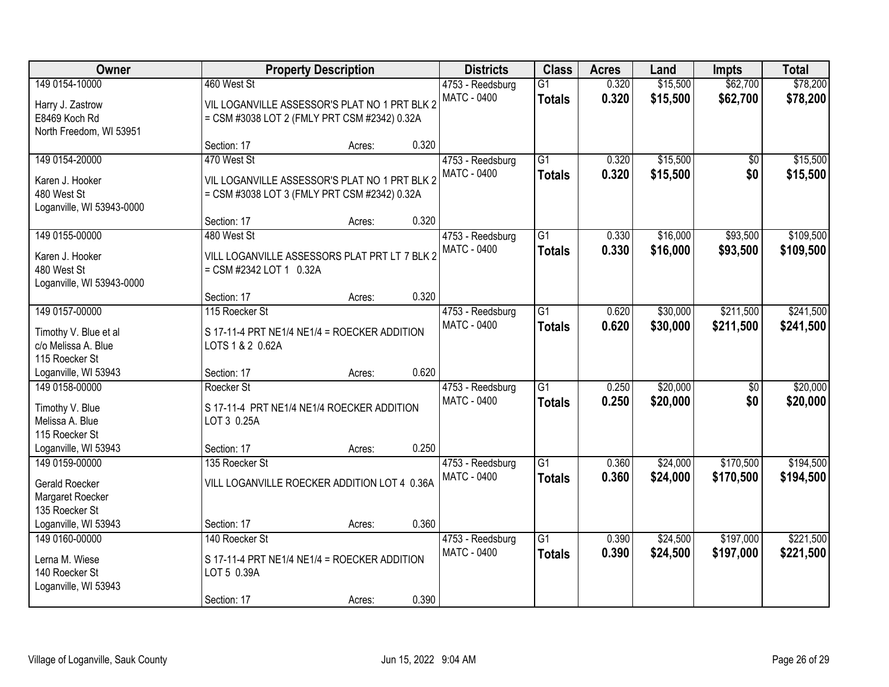| Owner                                                                            | <b>Property Description</b>                                                                                  |        | <b>Districts</b> | <b>Class</b>                           | <b>Acres</b>                     | Land           | <b>Impts</b>         | <b>Total</b>           |                        |
|----------------------------------------------------------------------------------|--------------------------------------------------------------------------------------------------------------|--------|------------------|----------------------------------------|----------------------------------|----------------|----------------------|------------------------|------------------------|
| 149 0154-10000<br>Harry J. Zastrow<br>E8469 Koch Rd                              | 460 West St<br>VIL LOGANVILLE ASSESSOR'S PLAT NO 1 PRT BLK 2<br>= CSM #3038 LOT 2 (FMLY PRT CSM #2342) 0.32A |        |                  | 4753 - Reedsburg<br><b>MATC - 0400</b> | $\overline{G1}$<br><b>Totals</b> | 0.320<br>0.320 | \$15,500<br>\$15,500 | \$62,700<br>\$62,700   | \$78,200<br>\$78,200   |
| North Freedom, WI 53951                                                          | Section: 17                                                                                                  | Acres: | 0.320            |                                        |                                  |                |                      |                        |                        |
| 149 0154-20000<br>Karen J. Hooker<br>480 West St<br>Loganville, WI 53943-0000    | 470 West St<br>VIL LOGANVILLE ASSESSOR'S PLAT NO 1 PRT BLK 2<br>= CSM #3038 LOT 3 (FMLY PRT CSM #2342) 0.32A |        |                  | 4753 - Reedsburg<br>MATC - 0400        | $\overline{G1}$<br><b>Totals</b> | 0.320<br>0.320 | \$15,500<br>\$15,500 | $\overline{50}$<br>\$0 | \$15,500<br>\$15,500   |
| 149 0155-00000<br>Karen J. Hooker<br>480 West St                                 | Section: 17<br>480 West St<br>VILL LOGANVILLE ASSESSORS PLAT PRT LT 7 BLK 2<br>= CSM #2342 LOT 1 0.32A       | Acres: | 0.320            | 4753 - Reedsburg<br>MATC - 0400        | $\overline{G1}$<br><b>Totals</b> | 0.330<br>0.330 | \$16,000<br>\$16,000 | \$93,500<br>\$93,500   | \$109,500<br>\$109,500 |
| Loganville, WI 53943-0000                                                        | Section: 17                                                                                                  | Acres: | 0.320            |                                        |                                  |                |                      |                        |                        |
| 149 0157-00000<br>Timothy V. Blue et al<br>c/o Melissa A. Blue<br>115 Roecker St | 115 Roecker St<br>S 17-11-4 PRT NE1/4 NE1/4 = ROECKER ADDITION<br>LOTS 1 & 2 0.62A                           |        |                  | 4753 - Reedsburg<br><b>MATC - 0400</b> | $\overline{G1}$<br><b>Totals</b> | 0.620<br>0.620 | \$30,000<br>\$30,000 | \$211,500<br>\$211,500 | \$241,500<br>\$241,500 |
| Loganville, WI 53943                                                             | Section: 17                                                                                                  | Acres: | 0.620            |                                        |                                  |                |                      |                        |                        |
| 149 0158-00000<br>Timothy V. Blue<br>Melissa A. Blue<br>115 Roecker St           | Roecker St<br>S 17-11-4 PRT NE1/4 NE1/4 ROECKER ADDITION<br>LOT 3 0.25A                                      |        |                  | 4753 - Reedsburg<br><b>MATC - 0400</b> | $\overline{G1}$<br><b>Totals</b> | 0.250<br>0.250 | \$20,000<br>\$20,000 | \$0<br>\$0             | \$20,000<br>\$20,000   |
| Loganville, WI 53943<br>149 0159-00000                                           | Section: 17<br>135 Roecker St                                                                                | Acres: | 0.250            | 4753 - Reedsburg                       | $\overline{G1}$                  | 0.360          | \$24,000             | \$170,500              | \$194,500              |
| <b>Gerald Roecker</b><br>Margaret Roecker<br>135 Roecker St                      | VILL LOGANVILLE ROECKER ADDITION LOT 4 0.36A                                                                 |        |                  | MATC - 0400                            | <b>Totals</b>                    | 0.360          | \$24,000             | \$170,500              | \$194,500              |
| Loganville, WI 53943                                                             | Section: 17                                                                                                  | Acres: | 0.360            |                                        |                                  |                |                      |                        |                        |
| 149 0160-00000<br>Lerna M. Wiese<br>140 Roecker St<br>Loganville, WI 53943       | 140 Roecker St<br>S 17-11-4 PRT NE1/4 NE1/4 = ROECKER ADDITION<br>LOT 5 0.39A                                |        |                  | 4753 - Reedsburg<br><b>MATC - 0400</b> | $\overline{G1}$<br><b>Totals</b> | 0.390<br>0.390 | \$24,500<br>\$24,500 | \$197,000<br>\$197,000 | \$221,500<br>\$221,500 |
|                                                                                  | Section: 17                                                                                                  | Acres: | 0.390            |                                        |                                  |                |                      |                        |                        |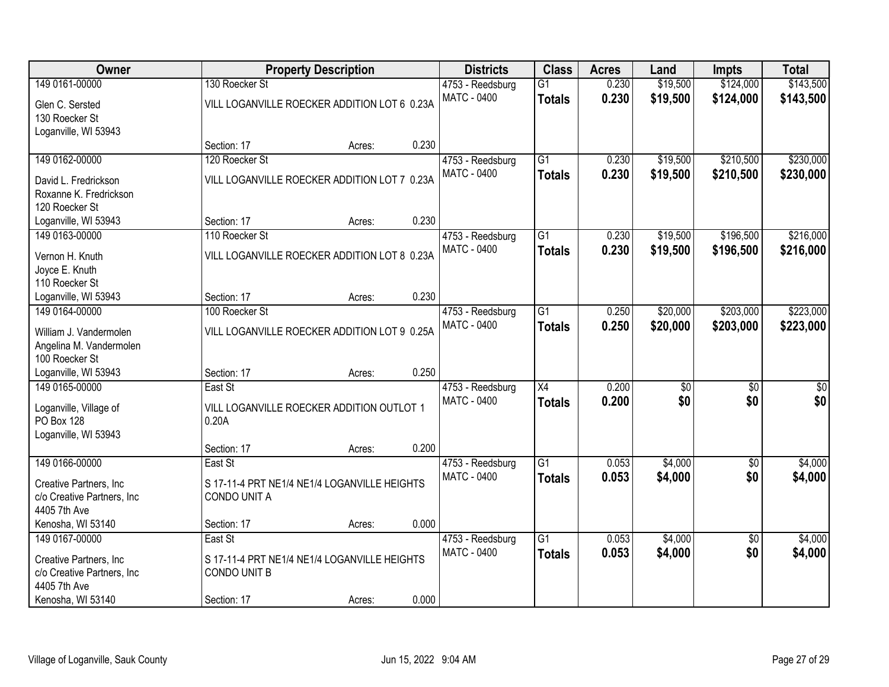| Owner                      |                                              | <b>Property Description</b> |       | <b>Districts</b>   | <b>Class</b>    | <b>Acres</b> | Land     | <b>Impts</b>    | <b>Total</b> |
|----------------------------|----------------------------------------------|-----------------------------|-------|--------------------|-----------------|--------------|----------|-----------------|--------------|
| 149 0161-00000             | 130 Roecker St                               |                             |       | 4753 - Reedsburg   | $\overline{G1}$ | 0.230        | \$19,500 | \$124,000       | \$143,500    |
| Glen C. Sersted            | VILL LOGANVILLE ROECKER ADDITION LOT 6 0.23A |                             |       | <b>MATC - 0400</b> | <b>Totals</b>   | 0.230        | \$19,500 | \$124,000       | \$143,500    |
| 130 Roecker St             |                                              |                             |       |                    |                 |              |          |                 |              |
| Loganville, WI 53943       |                                              |                             |       |                    |                 |              |          |                 |              |
|                            | Section: 17                                  | Acres:                      | 0.230 |                    |                 |              |          |                 |              |
| 149 0162-00000             | 120 Roecker St                               |                             |       | 4753 - Reedsburg   | $\overline{G1}$ | 0.230        | \$19,500 | \$210,500       | \$230,000    |
| David L. Fredrickson       | VILL LOGANVILLE ROECKER ADDITION LOT 7 0.23A |                             |       | <b>MATC - 0400</b> | <b>Totals</b>   | 0.230        | \$19,500 | \$210,500       | \$230,000    |
| Roxanne K. Fredrickson     |                                              |                             |       |                    |                 |              |          |                 |              |
| 120 Roecker St             |                                              |                             |       |                    |                 |              |          |                 |              |
| Loganville, WI 53943       | Section: 17                                  | Acres:                      | 0.230 |                    |                 |              |          |                 |              |
| 149 0163-00000             | 110 Roecker St                               |                             |       | 4753 - Reedsburg   | G1              | 0.230        | \$19,500 | \$196,500       | \$216,000    |
| Vernon H. Knuth            | VILL LOGANVILLE ROECKER ADDITION LOT 8 0.23A |                             |       | <b>MATC - 0400</b> | <b>Totals</b>   | 0.230        | \$19,500 | \$196,500       | \$216,000    |
| Joyce E. Knuth             |                                              |                             |       |                    |                 |              |          |                 |              |
| 110 Roecker St             |                                              |                             |       |                    |                 |              |          |                 |              |
| Loganville, WI 53943       | Section: 17                                  | Acres:                      | 0.230 |                    |                 |              |          |                 |              |
| 149 0164-00000             | 100 Roecker St                               |                             |       | 4753 - Reedsburg   | $\overline{G1}$ | 0.250        | \$20,000 | \$203,000       | \$223,000    |
| William J. Vandermolen     | VILL LOGANVILLE ROECKER ADDITION LOT 9 0.25A |                             |       | <b>MATC - 0400</b> | <b>Totals</b>   | 0.250        | \$20,000 | \$203,000       | \$223,000    |
| Angelina M. Vandermolen    |                                              |                             |       |                    |                 |              |          |                 |              |
| 100 Roecker St             |                                              |                             |       |                    |                 |              |          |                 |              |
| Loganville, WI 53943       | Section: 17                                  | Acres:                      | 0.250 |                    |                 |              |          |                 |              |
| 149 0165-00000             | East St                                      |                             |       | 4753 - Reedsburg   | $\overline{X4}$ | 0.200        | \$0      | $\overline{50}$ | \$0          |
| Loganville, Village of     | VILL LOGANVILLE ROECKER ADDITION OUTLOT 1    |                             |       | <b>MATC - 0400</b> | <b>Totals</b>   | 0.200        | \$0      | \$0             | \$0          |
| <b>PO Box 128</b>          | 0.20A                                        |                             |       |                    |                 |              |          |                 |              |
| Loganville, WI 53943       |                                              |                             |       |                    |                 |              |          |                 |              |
|                            | Section: 17                                  | Acres:                      | 0.200 |                    |                 |              |          |                 |              |
| 149 0166-00000             | East St                                      |                             |       | 4753 - Reedsburg   | $\overline{G1}$ | 0.053        | \$4,000  | $\overline{60}$ | \$4,000      |
| Creative Partners, Inc.    | S 17-11-4 PRT NE1/4 NE1/4 LOGANVILLE HEIGHTS |                             |       | <b>MATC - 0400</b> | <b>Totals</b>   | 0.053        | \$4,000  | \$0             | \$4,000      |
| c/o Creative Partners, Inc | CONDO UNIT A                                 |                             |       |                    |                 |              |          |                 |              |
| 4405 7th Ave               |                                              |                             |       |                    |                 |              |          |                 |              |
| Kenosha, WI 53140          | Section: 17                                  | Acres:                      | 0.000 |                    |                 |              |          |                 |              |
| 149 0167-00000             | East St                                      |                             |       | 4753 - Reedsburg   | $\overline{G1}$ | 0.053        | \$4,000  | $\overline{30}$ | \$4,000      |
| Creative Partners, Inc.    | S 17-11-4 PRT NE1/4 NE1/4 LOGANVILLE HEIGHTS |                             |       | <b>MATC - 0400</b> | <b>Totals</b>   | 0.053        | \$4,000  | \$0             | \$4,000      |
| c/o Creative Partners, Inc | <b>CONDO UNIT B</b>                          |                             |       |                    |                 |              |          |                 |              |
| 4405 7th Ave               |                                              |                             |       |                    |                 |              |          |                 |              |
| Kenosha, WI 53140          | Section: 17                                  | Acres:                      | 0.000 |                    |                 |              |          |                 |              |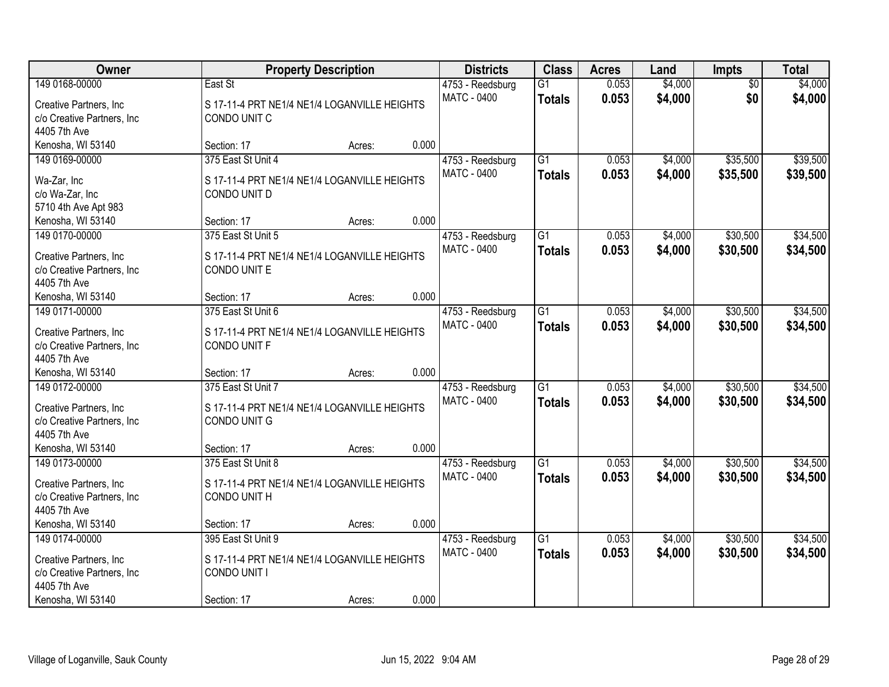| Owner                          |                                              | <b>Property Description</b> |       | <b>Districts</b>   | <b>Class</b>    | <b>Acres</b> | Land    | <b>Impts</b>    | <b>Total</b> |
|--------------------------------|----------------------------------------------|-----------------------------|-------|--------------------|-----------------|--------------|---------|-----------------|--------------|
| 149 0168-00000                 | East St                                      |                             |       | 4753 - Reedsburg   | $\overline{G1}$ | 0.053        | \$4,000 | $\overline{50}$ | \$4,000      |
| Creative Partners, Inc.        | S 17-11-4 PRT NE1/4 NE1/4 LOGANVILLE HEIGHTS |                             |       | <b>MATC - 0400</b> | <b>Totals</b>   | 0.053        | \$4,000 | \$0             | \$4,000      |
| c/o Creative Partners, Inc     | CONDO UNIT C                                 |                             |       |                    |                 |              |         |                 |              |
| 4405 7th Ave                   |                                              |                             |       |                    |                 |              |         |                 |              |
| Kenosha, WI 53140              | Section: 17                                  | Acres:                      | 0.000 |                    |                 |              |         |                 |              |
| 149 0169-00000                 | 375 East St Unit 4                           |                             |       | 4753 - Reedsburg   | G1              | 0.053        | \$4,000 | \$35,500        | \$39,500     |
|                                | S 17-11-4 PRT NE1/4 NE1/4 LOGANVILLE HEIGHTS |                             |       | <b>MATC - 0400</b> | <b>Totals</b>   | 0.053        | \$4,000 | \$35,500        | \$39,500     |
| Wa-Zar, Inc<br>c/o Wa-Zar, Inc | CONDO UNIT D                                 |                             |       |                    |                 |              |         |                 |              |
| 5710 4th Ave Apt 983           |                                              |                             |       |                    |                 |              |         |                 |              |
| Kenosha, WI 53140              | Section: 17                                  | Acres:                      | 0.000 |                    |                 |              |         |                 |              |
| 149 0170-00000                 | 375 East St Unit 5                           |                             |       | 4753 - Reedsburg   | $\overline{G1}$ | 0.053        | \$4,000 | \$30,500        | \$34,500     |
|                                |                                              |                             |       | MATC - 0400        | <b>Totals</b>   | 0.053        | \$4,000 | \$30,500        | \$34,500     |
| Creative Partners, Inc         | S 17-11-4 PRT NE1/4 NE1/4 LOGANVILLE HEIGHTS |                             |       |                    |                 |              |         |                 |              |
| c/o Creative Partners, Inc     | CONDO UNIT E                                 |                             |       |                    |                 |              |         |                 |              |
| 4405 7th Ave                   |                                              |                             |       |                    |                 |              |         |                 |              |
| Kenosha, WI 53140              | Section: 17                                  | Acres:                      | 0.000 |                    |                 |              |         |                 |              |
| 149 0171-00000                 | 375 East St Unit 6                           |                             |       | 4753 - Reedsburg   | $\overline{G1}$ | 0.053        | \$4,000 | \$30,500        | \$34,500     |
| Creative Partners, Inc.        | S 17-11-4 PRT NE1/4 NE1/4 LOGANVILLE HEIGHTS |                             |       | <b>MATC - 0400</b> | <b>Totals</b>   | 0.053        | \$4,000 | \$30,500        | \$34,500     |
| c/o Creative Partners, Inc     | CONDO UNIT F                                 |                             |       |                    |                 |              |         |                 |              |
| 4405 7th Ave                   |                                              |                             |       |                    |                 |              |         |                 |              |
| Kenosha, WI 53140              | Section: 17                                  | Acres:                      | 0.000 |                    |                 |              |         |                 |              |
| 149 0172-00000                 | 375 East St Unit 7                           |                             |       | 4753 - Reedsburg   | $\overline{G1}$ | 0.053        | \$4,000 | \$30,500        | \$34,500     |
| Creative Partners, Inc.        | S 17-11-4 PRT NE1/4 NE1/4 LOGANVILLE HEIGHTS |                             |       | MATC - 0400        | <b>Totals</b>   | 0.053        | \$4,000 | \$30,500        | \$34,500     |
| c/o Creative Partners, Inc     | CONDO UNIT G                                 |                             |       |                    |                 |              |         |                 |              |
| 4405 7th Ave                   |                                              |                             |       |                    |                 |              |         |                 |              |
| Kenosha, WI 53140              | Section: 17                                  | Acres:                      | 0.000 |                    |                 |              |         |                 |              |
| 149 0173-00000                 | 375 East St Unit 8                           |                             |       | 4753 - Reedsburg   | $\overline{G1}$ | 0.053        | \$4,000 | \$30,500        | \$34,500     |
|                                |                                              |                             |       | <b>MATC - 0400</b> | <b>Totals</b>   | 0.053        | \$4,000 | \$30,500        | \$34,500     |
| Creative Partners, Inc         | S 17-11-4 PRT NE1/4 NE1/4 LOGANVILLE HEIGHTS |                             |       |                    |                 |              |         |                 |              |
| c/o Creative Partners, Inc     | CONDO UNIT H                                 |                             |       |                    |                 |              |         |                 |              |
| 4405 7th Ave                   |                                              |                             |       |                    |                 |              |         |                 |              |
| Kenosha, WI 53140              | Section: 17                                  | Acres:                      | 0.000 |                    |                 |              |         |                 |              |
| 149 0174-00000                 | 395 East St Unit 9                           |                             |       | 4753 - Reedsburg   | $\overline{G1}$ | 0.053        | \$4,000 | \$30,500        | \$34,500     |
| Creative Partners, Inc.        | S 17-11-4 PRT NE1/4 NE1/4 LOGANVILLE HEIGHTS |                             |       | MATC - 0400        | <b>Totals</b>   | 0.053        | \$4,000 | \$30,500        | \$34,500     |
| c/o Creative Partners, Inc     | CONDO UNIT I                                 |                             |       |                    |                 |              |         |                 |              |
| 4405 7th Ave                   |                                              |                             |       |                    |                 |              |         |                 |              |
| Kenosha, WI 53140              | Section: 17                                  | Acres:                      | 0.000 |                    |                 |              |         |                 |              |